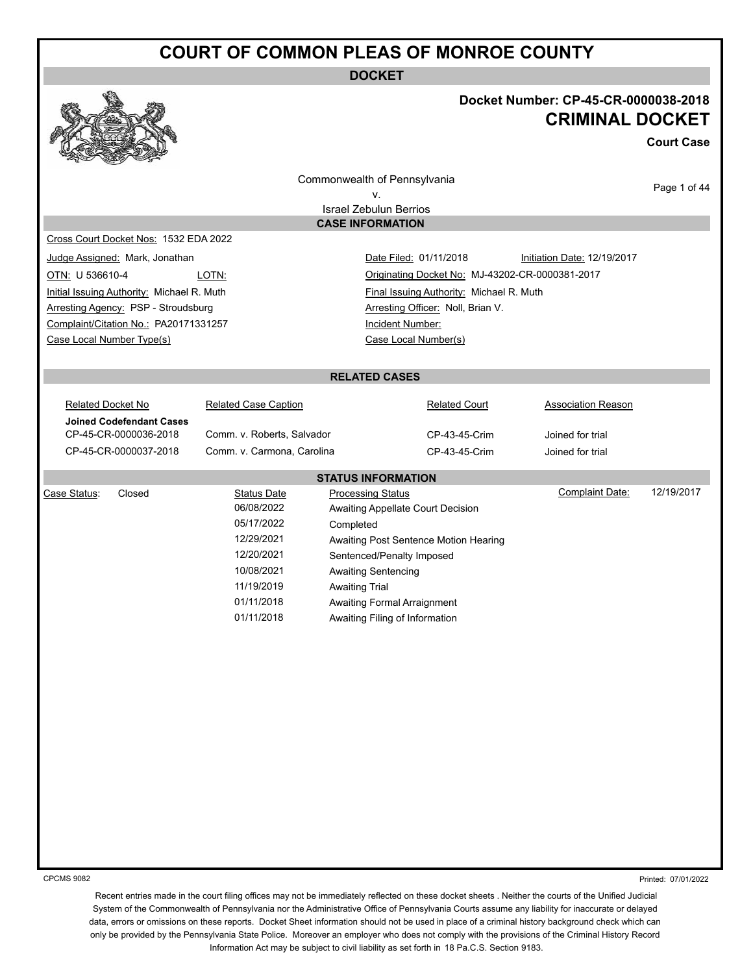**DOCKET**



#### **Docket Number: CP-45-CR-0000038-2018 CRIMINAL DOCKET**

**Court Case**

Commonwealth of Pennsylvania

Page 1 of 44

v. Israel Zebulun Berrios **CASE INFORMATION**

Cross Court Docket Nos: 1532 EDA 2022

Initial Issuing Authority: Michael R. Muth Final Issuing Authority: Michael R. Muth Arresting Agency: PSP - Stroudsburg Arresting Officer: Noll, Brian V. Complaint/Citation No.: PA20171331257 Incident Number: Case Local Number Type(s) Case Local Number(s)

Judge Assigned: Mark, Jonathan Nation Date Filed: 01/11/2018 Initiation Date: 12/19/2017 OTN: U 536610-4 LOTN: LOTN: Criginating Docket No: MJ-43202-CR-0000381-2017

#### **RELATED CASES**

| Related Docket No        | <b>Related Case Caption</b> | <b>Related Court</b> | <b>Association Reason</b> |
|--------------------------|-----------------------------|----------------------|---------------------------|
| Joined Codefendant Cases |                             |                      |                           |
| CP-45-CR-0000036-2018    | Comm. v. Roberts, Salvador  | CP-43-45-Crim        | Joined for trial          |
| CP-45-CR-0000037-2018    | Comm. v. Carmona, Carolina  | CP-43-45-Crim        | Joined for trial          |
|                          |                             |                      |                           |
|                          | <b>CTATUO INFODMATION</b>   |                      |                           |

|              | <b>SIAIUS INFURMAIIUN</b> |             |                                       |                 |            |  |
|--------------|---------------------------|-------------|---------------------------------------|-----------------|------------|--|
| Case Status: | Closed                    | Status Date | <b>Processing Status</b>              | Complaint Date: | 12/19/2017 |  |
|              |                           | 06/08/2022  | Awaiting Appellate Court Decision     |                 |            |  |
|              |                           | 05/17/2022  | Completed                             |                 |            |  |
|              |                           | 12/29/2021  | Awaiting Post Sentence Motion Hearing |                 |            |  |
|              |                           | 12/20/2021  | Sentenced/Penalty Imposed             |                 |            |  |
|              |                           | 10/08/2021  | Awaiting Sentencing                   |                 |            |  |
|              |                           | 11/19/2019  | <b>Awaiting Trial</b>                 |                 |            |  |
|              |                           | 01/11/2018  | Awaiting Formal Arraignment           |                 |            |  |
|              |                           | 01/11/2018  | Awaiting Filing of Information        |                 |            |  |
|              |                           |             |                                       |                 |            |  |

CPCMS 9082

Printed: 07/01/2022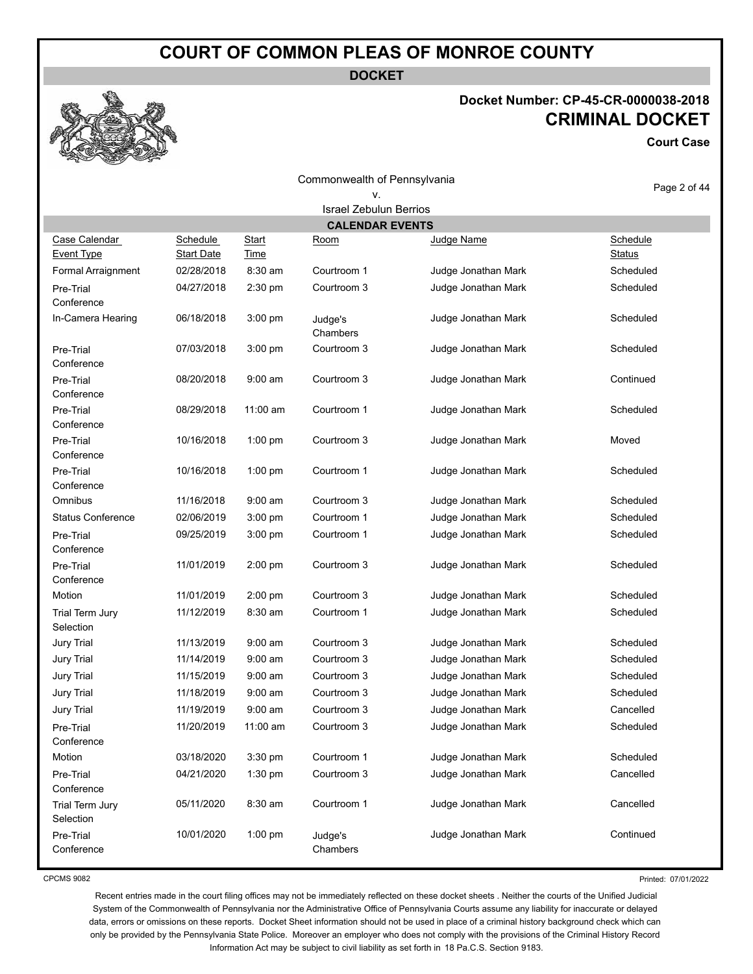**DOCKET**

# **Docket Number: CP-45-CR-0000038-2018 CRIMINAL DOCKET**

**Court Case**

|                                    |                                      |                             | Commonwealth of Pennsylvania  |                     |                           |
|------------------------------------|--------------------------------------|-----------------------------|-------------------------------|---------------------|---------------------------|
|                                    |                                      |                             | v.                            |                     | Page 2 of 44              |
|                                    |                                      |                             | <b>Israel Zebulun Berrios</b> |                     |                           |
|                                    |                                      |                             | <b>CALENDAR EVENTS</b>        |                     |                           |
| Case Calendar<br><b>Event Type</b> | <b>Schedule</b><br><b>Start Date</b> | <b>Start</b><br><b>Time</b> | Room                          | Judge Name          | Schedule<br><b>Status</b> |
| Formal Arraignment                 | 02/28/2018                           | $8:30$ am                   | Courtroom 1                   | Judge Jonathan Mark | Scheduled                 |
| Pre-Trial<br>Conference            | 04/27/2018                           | 2:30 pm                     | Courtroom 3                   | Judge Jonathan Mark | Scheduled                 |
| In-Camera Hearing                  | 06/18/2018                           | 3:00 pm                     | Judge's<br>Chambers           | Judge Jonathan Mark | Scheduled                 |
| Pre-Trial<br>Conference            | 07/03/2018                           | 3:00 pm                     | Courtroom 3                   | Judge Jonathan Mark | Scheduled                 |
| Pre-Trial<br>Conference            | 08/20/2018                           | $9:00$ am                   | Courtroom 3                   | Judge Jonathan Mark | Continued                 |
| Pre-Trial<br>Conference            | 08/29/2018                           | 11:00 am                    | Courtroom 1                   | Judge Jonathan Mark | Scheduled                 |
| Pre-Trial<br>Conference            | 10/16/2018                           | $1:00$ pm                   | Courtroom 3                   | Judge Jonathan Mark | Moved                     |
| Pre-Trial<br>Conference            | 10/16/2018                           | 1:00 pm                     | Courtroom 1                   | Judge Jonathan Mark | Scheduled                 |
| Omnibus                            | 11/16/2018                           | $9:00$ am                   | Courtroom 3                   | Judge Jonathan Mark | Scheduled                 |
| <b>Status Conference</b>           | 02/06/2019                           | 3:00 pm                     | Courtroom 1                   | Judge Jonathan Mark | Scheduled                 |
| Pre-Trial<br>Conference            | 09/25/2019                           | 3:00 pm                     | Courtroom 1                   | Judge Jonathan Mark | Scheduled                 |
| Pre-Trial<br>Conference            | 11/01/2019                           | 2:00 pm                     | Courtroom 3                   | Judge Jonathan Mark | Scheduled                 |
| Motion                             | 11/01/2019                           | 2:00 pm                     | Courtroom 3                   | Judge Jonathan Mark | Scheduled                 |
| Trial Term Jury<br>Selection       | 11/12/2019                           | 8:30 am                     | Courtroom 1                   | Judge Jonathan Mark | Scheduled                 |
| <b>Jury Trial</b>                  | 11/13/2019                           | $9:00$ am                   | Courtroom 3                   | Judge Jonathan Mark | Scheduled                 |
| <b>Jury Trial</b>                  | 11/14/2019                           | $9:00$ am                   | Courtroom 3                   | Judge Jonathan Mark | Scheduled                 |
| <b>Jury Trial</b>                  | 11/15/2019                           | $9:00$ am                   | Courtroom 3                   | Judge Jonathan Mark | Scheduled                 |
| <b>Jury Trial</b>                  | 11/18/2019                           | $9:00$ am                   | Courtroom 3                   | Judge Jonathan Mark | Scheduled                 |
| <b>Jury Trial</b>                  | 11/19/2019                           | $9:00$ am                   | Courtroom 3                   | Judge Jonathan Mark | Cancelled                 |
| Pre-Trial<br>Conference            | 11/20/2019                           | 11:00 am                    | Courtroom 3                   | Judge Jonathan Mark | Scheduled                 |
| Motion                             | 03/18/2020                           | 3:30 pm                     | Courtroom 1                   | Judge Jonathan Mark | Scheduled                 |
| Pre-Trial<br>Conference            | 04/21/2020                           | 1:30 pm                     | Courtroom 3                   | Judge Jonathan Mark | Cancelled                 |
| Trial Term Jury<br>Selection       | 05/11/2020                           | 8:30 am                     | Courtroom 1                   | Judge Jonathan Mark | Cancelled                 |
| Pre-Trial<br>Conference            | 10/01/2020                           | $1:00$ pm                   | Judge's<br>Chambers           | Judge Jonathan Mark | Continued                 |

CPCMS 9082

Printed: 07/01/2022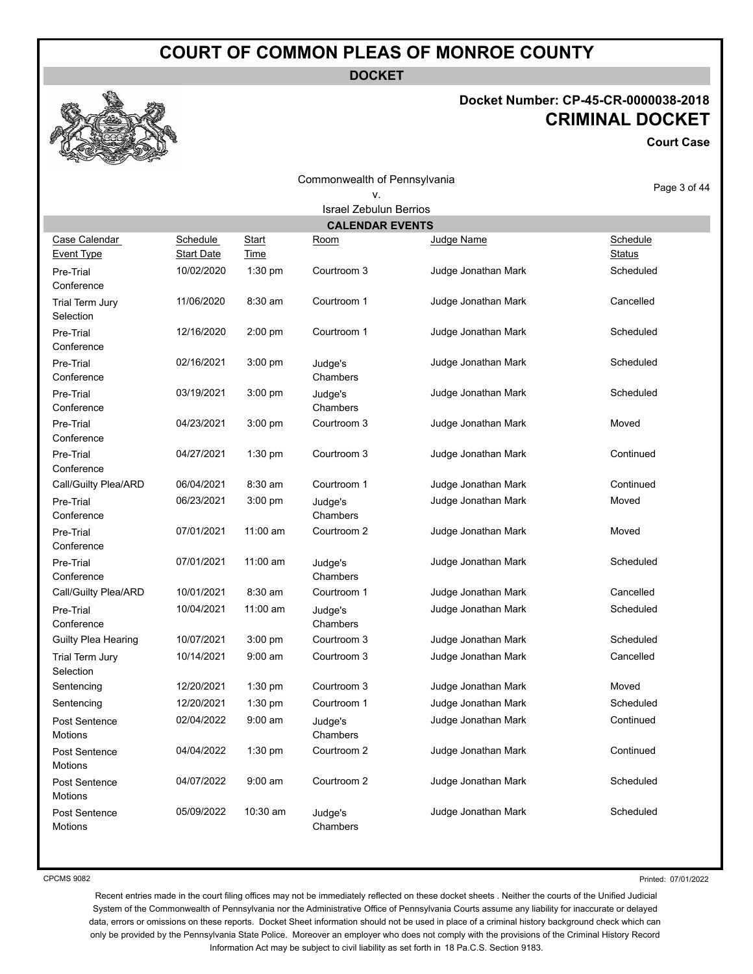**DOCKET**

#### **Docket Number: CP-45-CR-0000038-2018 CRIMINAL DOCKET**

**Court Case**

| <u>read of</u>                     |                        |               | Commonwealth of Pennsylvania  |                     |                           |
|------------------------------------|------------------------|---------------|-------------------------------|---------------------|---------------------------|
|                                    |                        |               | ٧.                            |                     | Page 3 of 44              |
|                                    |                        |               | <b>Israel Zebulun Berrios</b> |                     |                           |
|                                    |                        |               | <b>CALENDAR EVENTS</b>        |                     |                           |
| Case Calendar<br><b>Event Type</b> | Schedule<br>Start Date | Start<br>Time | Room                          | Judge Name          | Schedule<br><b>Status</b> |
| Pre-Trial<br>Conference            | 10/02/2020             | 1:30 pm       | Courtroom 3                   | Judge Jonathan Mark | Scheduled                 |
| Trial Term Jury<br>Selection       | 11/06/2020             | 8:30 am       | Courtroom 1                   | Judge Jonathan Mark | Cancelled                 |
| Pre-Trial<br>Conference            | 12/16/2020             | 2:00 pm       | Courtroom 1                   | Judge Jonathan Mark | Scheduled                 |
| Pre-Trial<br>Conference            | 02/16/2021             | 3:00 pm       | Judge's<br>Chambers           | Judge Jonathan Mark | Scheduled                 |
| Pre-Trial<br>Conference            | 03/19/2021             | $3:00$ pm     | Judge's<br>Chambers           | Judge Jonathan Mark | Scheduled                 |
| Pre-Trial<br>Conference            | 04/23/2021             | 3:00 pm       | Courtroom 3                   | Judge Jonathan Mark | Moved                     |
| Pre-Trial<br>Conference            | 04/27/2021             | 1:30 pm       | Courtroom 3                   | Judge Jonathan Mark | Continued                 |
| Call/Guilty Plea/ARD               | 06/04/2021             | 8:30 am       | Courtroom 1                   | Judge Jonathan Mark | Continued                 |
| Pre-Trial<br>Conference            | 06/23/2021             | $3:00$ pm     | Judge's<br>Chambers           | Judge Jonathan Mark | Moved                     |
| Pre-Trial<br>Conference            | 07/01/2021             | 11:00 am      | Courtroom 2                   | Judge Jonathan Mark | Moved                     |
| Pre-Trial<br>Conference            | 07/01/2021             | 11:00 am      | Judge's<br>Chambers           | Judge Jonathan Mark | Scheduled                 |
| Call/Guilty Plea/ARD               | 10/01/2021             | 8:30 am       | Courtroom 1                   | Judge Jonathan Mark | Cancelled                 |
| Pre-Trial<br>Conference            | 10/04/2021             | $11:00$ am    | Judge's<br>Chambers           | Judge Jonathan Mark | Scheduled                 |
| Guilty Plea Hearing                | 10/07/2021             | 3:00 pm       | Courtroom 3                   | Judge Jonathan Mark | Scheduled                 |
| Trial Term Jury<br>Selection       | 10/14/2021             | $9:00$ am     | Courtroom 3                   | Judge Jonathan Mark | Cancelled                 |
| Sentencing                         | 12/20/2021             | 1:30 pm       | Courtroom 3                   | Judge Jonathan Mark | Moved                     |
| Sentencing                         | 12/20/2021             | 1:30 pm       | Courtroom 1                   | Judge Jonathan Mark | Scheduled                 |
| Post Sentence                      | 02/04/2022             | $9:00$ am     | Judge's                       | Judge Jonathan Mark | Continued                 |

CPCMS 9082

**Motions** 

Motions

**Motions** 

Motions

Printed: 07/01/2022

Recent entries made in the court filing offices may not be immediately reflected on these docket sheets . Neither the courts of the Unified Judicial System of the Commonwealth of Pennsylvania nor the Administrative Office of Pennsylvania Courts assume any liability for inaccurate or delayed data, errors or omissions on these reports. Docket Sheet information should not be used in place of a criminal history background check which can only be provided by the Pennsylvania State Police. Moreover an employer who does not comply with the provisions of the Criminal History Record Information Act may be subject to civil liability as set forth in 18 Pa.C.S. Section 9183.

Chambers

Chambers Post Sentence **Mark Scheduled** C5/09/2022 10:30 am Judge's Judge Jonathan Mark Scheduled

05/09/2022 10:30 am Judge's

Post Sentence 04/04/2022 1:30 pm Courtroom 2 Judge Jonathan Mark Continued

Post Sentence **04/07/2022** 9:00 am Courtroom 2 Judge Jonathan Mark Scheduled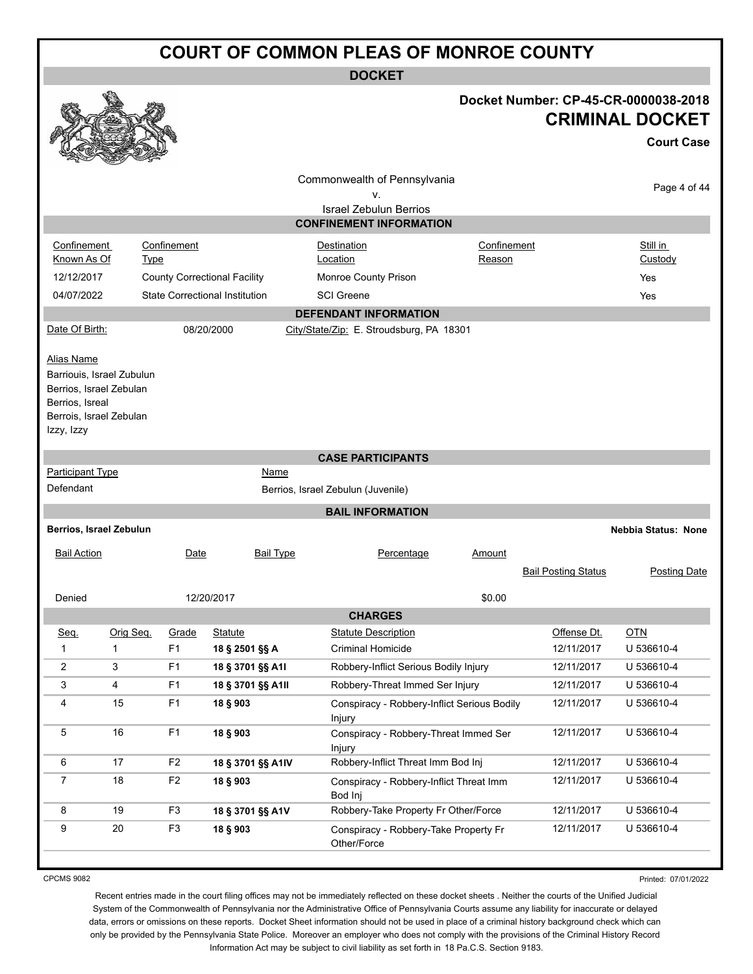**DOCKET**

#### **Docket Number: CP-45-CR-0000038-2018 CRIMINAL DOCKET**

|                                                                                                                                |                                     |                                       |                                                                     |                       |                            | <b>Court Case</b>          |
|--------------------------------------------------------------------------------------------------------------------------------|-------------------------------------|---------------------------------------|---------------------------------------------------------------------|-----------------------|----------------------------|----------------------------|
|                                                                                                                                |                                     |                                       | Commonwealth of Pennsylvania<br>٧.<br><b>Israel Zebulun Berrios</b> |                       |                            | Page 4 of 44               |
|                                                                                                                                |                                     |                                       | <b>CONFINEMENT INFORMATION</b>                                      |                       |                            |                            |
| Confinement<br>Known As Of                                                                                                     | Confinement<br><b>Type</b>          |                                       | Destination<br>Location                                             | Confinement<br>Reason |                            | Still in<br>Custody        |
| 12/12/2017                                                                                                                     | <b>County Correctional Facility</b> |                                       | Monroe County Prison                                                |                       |                            | Yes                        |
| 04/07/2022                                                                                                                     |                                     | <b>State Correctional Institution</b> | <b>SCI</b> Greene                                                   |                       |                            | Yes                        |
|                                                                                                                                |                                     |                                       | <b>DEFENDANT INFORMATION</b>                                        |                       |                            |                            |
| Date Of Birth:                                                                                                                 |                                     | 08/20/2000                            | City/State/Zip: E. Stroudsburg, PA 18301                            |                       |                            |                            |
| Alias Name<br>Barriouis, Israel Zubulun<br>Berrios, Israel Zebulan<br>Berrios, Isreal<br>Berrois, Israel Zebulan<br>Izzy, Izzy |                                     |                                       |                                                                     |                       |                            |                            |
|                                                                                                                                |                                     |                                       | <b>CASE PARTICIPANTS</b>                                            |                       |                            |                            |
| <b>Participant Type</b>                                                                                                        |                                     | Name                                  |                                                                     |                       |                            |                            |
| Defendant                                                                                                                      |                                     |                                       | Berrios, Israel Zebulun (Juvenile)                                  |                       |                            |                            |
|                                                                                                                                |                                     |                                       | <b>BAIL INFORMATION</b>                                             |                       |                            |                            |
| Berrios, Israel Zebulun                                                                                                        |                                     |                                       |                                                                     |                       |                            | <b>Nebbia Status: None</b> |
| <b>Bail Action</b>                                                                                                             | Date                                | <b>Bail Type</b>                      | Percentage                                                          | Amount                |                            |                            |
|                                                                                                                                |                                     |                                       |                                                                     |                       | <b>Bail Posting Status</b> | <b>Posting Date</b>        |
| Denied                                                                                                                         |                                     | 12/20/2017                            |                                                                     | \$0.00                |                            |                            |
|                                                                                                                                |                                     |                                       | <b>CHARGES</b>                                                      |                       |                            |                            |
| Seq.<br>Orig Seq.                                                                                                              | Grade                               | <b>Statute</b>                        | <b>Statute Description</b>                                          |                       | Offense Dt.                | <b>OTN</b>                 |
| 1<br>$\mathbf{1}$                                                                                                              | F <sub>1</sub>                      | 18 § 2501 §§ A                        | <b>Criminal Homicide</b>                                            |                       | 12/11/2017                 | U 536610-4                 |
| 2<br>3                                                                                                                         | F <sub>1</sub>                      | 18 § 3701 §§ A1I                      | Robbery-Inflict Serious Bodily Injury                               |                       | 12/11/2017                 | U 536610-4                 |
| 4<br>3                                                                                                                         | F <sub>1</sub>                      | 18 § 3701 §§ A1II                     | Robbery-Threat Immed Ser Injury                                     |                       | 12/11/2017                 | U 536610-4                 |
| 15<br>4                                                                                                                        | F <sub>1</sub>                      | 18 § 903                              | Conspiracy - Robbery-Inflict Serious Bodily<br>Injury               |                       | 12/11/2017                 | U 536610-4                 |
| 16<br>5                                                                                                                        | F1                                  | 18 § 903                              | Conspiracy - Robbery-Threat Immed Ser<br>Injury                     |                       | 12/11/2017                 | U 536610-4                 |
| 6<br>17                                                                                                                        | F <sub>2</sub>                      | 18 § 3701 §§ A1IV                     | Robbery-Inflict Threat Imm Bod Inj                                  |                       | 12/11/2017                 | U 536610-4                 |
| $18$<br>7                                                                                                                      | F <sub>2</sub>                      | 18 § 903                              | Conspiracy - Robbery-Inflict Threat Imm<br>Bod Inj                  |                       | 12/11/2017                 | U 536610-4                 |
| 19<br>8                                                                                                                        | F <sub>3</sub>                      | 18 § 3701 §§ A1V                      | Robbery-Take Property Fr Other/Force                                |                       | 12/11/2017                 | U 536610-4                 |
| 9<br>20                                                                                                                        | F <sub>3</sub>                      | 18 § 903                              | Conspiracy - Robbery-Take Property Fr<br>Other/Force                |                       | 12/11/2017                 | U 536610-4                 |

CPCMS 9082

K.

Printed: 07/01/2022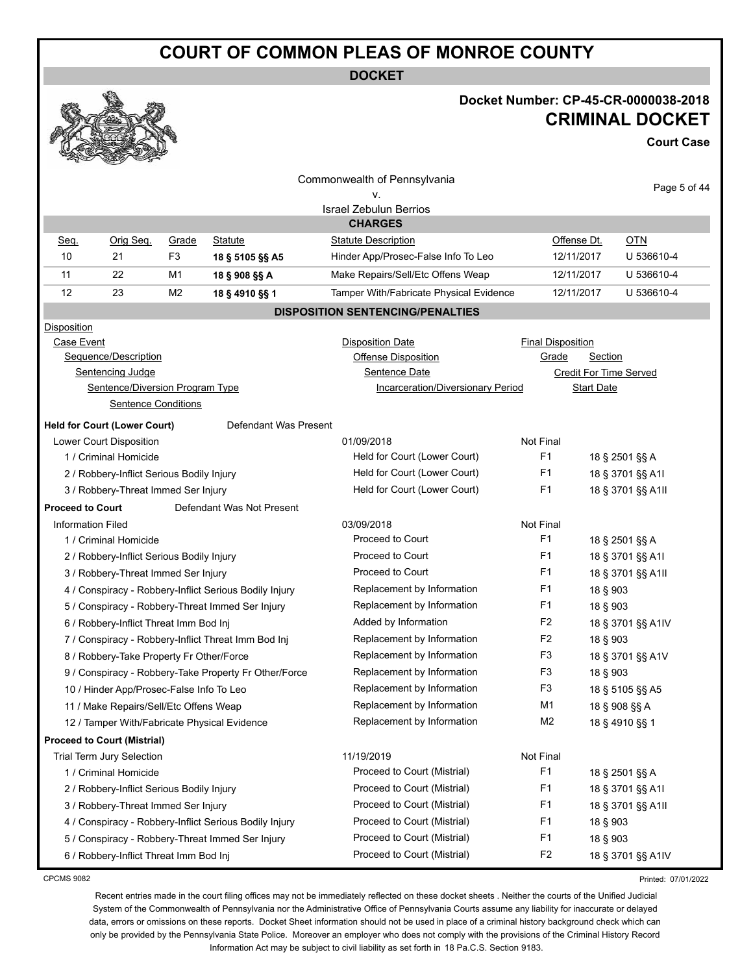**DOCKET**

#### **Docket Number: CP-45-CR-0000038-2018 CRIMINAL DOCKET**

**Court Case**

|                                           |                                              |                              |                                                        | Commonwealth of Pennsylvania             |                          |                               |
|-------------------------------------------|----------------------------------------------|------------------------------|--------------------------------------------------------|------------------------------------------|--------------------------|-------------------------------|
|                                           |                                              |                              |                                                        | ٧.                                       |                          | Page 5 of 44                  |
|                                           |                                              |                              |                                                        | Israel Zebulun Berrios                   |                          |                               |
|                                           |                                              |                              |                                                        | <b>CHARGES</b>                           |                          |                               |
| Seq.                                      | Orig Seq.                                    | Grade                        | <b>Statute</b>                                         | <b>Statute Description</b>               | Offense Dt.              | <b>OTN</b>                    |
| 10                                        | 21                                           | F3                           | 18 § 5105 §§ A5                                        | Hinder App/Prosec-False Info To Leo      | 12/11/2017               | U 536610-4                    |
| 11                                        | 22                                           | M1                           | 18 § 908 §§ A                                          | Make Repairs/Sell/Etc Offens Weap        | 12/11/2017               | U 536610-4                    |
| 12                                        | 23                                           | M <sub>2</sub>               | 18 § 4910 §§ 1                                         | Tamper With/Fabricate Physical Evidence  | 12/11/2017               | U 536610-4                    |
|                                           |                                              |                              |                                                        | <b>DISPOSITION SENTENCING/PENALTIES</b>  |                          |                               |
| <b>Disposition</b>                        |                                              |                              |                                                        |                                          |                          |                               |
| Case Event                                |                                              |                              |                                                        | <b>Disposition Date</b>                  | <b>Final Disposition</b> |                               |
|                                           | Sequence/Description                         |                              |                                                        | Offense Disposition                      | Grade                    | Section                       |
|                                           | Sentencing Judge                             |                              |                                                        | Sentence Date                            |                          | <b>Credit For Time Served</b> |
|                                           | Sentence/Diversion Program Type              |                              |                                                        | <b>Incarceration/Diversionary Period</b> |                          | <b>Start Date</b>             |
|                                           | <b>Sentence Conditions</b>                   |                              |                                                        |                                          |                          |                               |
|                                           | <b>Held for Court (Lower Court)</b>          |                              | Defendant Was Present                                  |                                          |                          |                               |
|                                           | Lower Court Disposition                      |                              |                                                        | 01/09/2018                               | Not Final                |                               |
|                                           | 1 / Criminal Homicide                        |                              |                                                        | Held for Court (Lower Court)             | F1                       | 18 § 2501 §§ A                |
| 2 / Robbery-Inflict Serious Bodily Injury |                                              | Held for Court (Lower Court) | F1                                                     | 18 § 3701 §§ A1I                         |                          |                               |
|                                           | 3 / Robbery-Threat Immed Ser Injury          |                              |                                                        | Held for Court (Lower Court)             | F1                       | 18 § 3701 §§ A1II             |
| <b>Proceed to Court</b>                   |                                              |                              | Defendant Was Not Present                              |                                          |                          |                               |
| <b>Information Filed</b>                  |                                              |                              |                                                        | 03/09/2018                               | Not Final                |                               |
|                                           | 1 / Criminal Homicide                        |                              |                                                        | Proceed to Court                         | F1                       | 18 § 2501 §§ A                |
|                                           | 2 / Robbery-Inflict Serious Bodily Injury    |                              |                                                        | Proceed to Court                         | F1                       | 18 § 3701 §§ A1I              |
|                                           | 3 / Robbery-Threat Immed Ser Injury          |                              |                                                        | Proceed to Court                         | F1                       | 18 § 3701 §§ A1II             |
|                                           |                                              |                              | 4 / Conspiracy - Robbery-Inflict Serious Bodily Injury | Replacement by Information               | F <sub>1</sub>           | 18 § 903                      |
|                                           |                                              |                              | 5 / Conspiracy - Robbery-Threat Immed Ser Injury       | Replacement by Information               | F1                       | 18 § 903                      |
|                                           | 6 / Robbery-Inflict Threat Imm Bod Inj       |                              |                                                        | Added by Information                     | F <sub>2</sub>           | 18 § 3701 §§ A1IV             |
|                                           |                                              |                              | 7 / Conspiracy - Robbery-Inflict Threat Imm Bod Inj    | Replacement by Information               | F <sub>2</sub>           | 18 § 903                      |
|                                           | 8 / Robbery-Take Property Fr Other/Force     |                              |                                                        | Replacement by Information               | F <sub>3</sub>           | 18 § 3701 §§ A1V              |
|                                           |                                              |                              | 9 / Conspiracy - Robbery-Take Property Fr Other/Force  | Replacement by Information               | F <sub>3</sub>           | 18 § 903                      |
|                                           | 10 / Hinder App/Prosec-False Info To Leo     |                              |                                                        | Replacement by Information               | F <sub>3</sub>           | 18 § 5105 §§ A5               |
|                                           | 11 / Make Repairs/Sell/Etc Offens Weap       |                              |                                                        | Replacement by Information               | M1                       | 18 § 908 §§ A                 |
|                                           | 12 / Tamper With/Fabricate Physical Evidence |                              |                                                        | Replacement by Information               | M <sub>2</sub>           | 18 § 4910 §§ 1                |
|                                           | <b>Proceed to Court (Mistrial)</b>           |                              |                                                        |                                          |                          |                               |
|                                           | Trial Term Jury Selection                    |                              |                                                        | 11/19/2019                               | Not Final                |                               |
|                                           | 1 / Criminal Homicide                        |                              |                                                        | Proceed to Court (Mistrial)              | F <sub>1</sub>           | 18 § 2501 §§ A                |
|                                           | 2 / Robbery-Inflict Serious Bodily Injury    |                              |                                                        | Proceed to Court (Mistrial)              | F <sub>1</sub>           | 18 § 3701 §§ A1I              |
|                                           | 3 / Robbery-Threat Immed Ser Injury          |                              |                                                        | Proceed to Court (Mistrial)              | F <sub>1</sub>           | 18 § 3701 §§ A1II             |
|                                           |                                              |                              | 4 / Conspiracy - Robbery-Inflict Serious Bodily Injury | Proceed to Court (Mistrial)              | F <sub>1</sub>           | 18 § 903                      |
|                                           |                                              |                              | 5 / Conspiracy - Robbery-Threat Immed Ser Injury       | Proceed to Court (Mistrial)              | F <sub>1</sub>           | 18 § 903                      |
|                                           | 6 / Robbery-Inflict Threat Imm Bod Inj       |                              |                                                        | Proceed to Court (Mistrial)              | F <sub>2</sub>           | 18 § 3701 §§ A1IV             |

CPCMS 9082

Printed: 07/01/2022

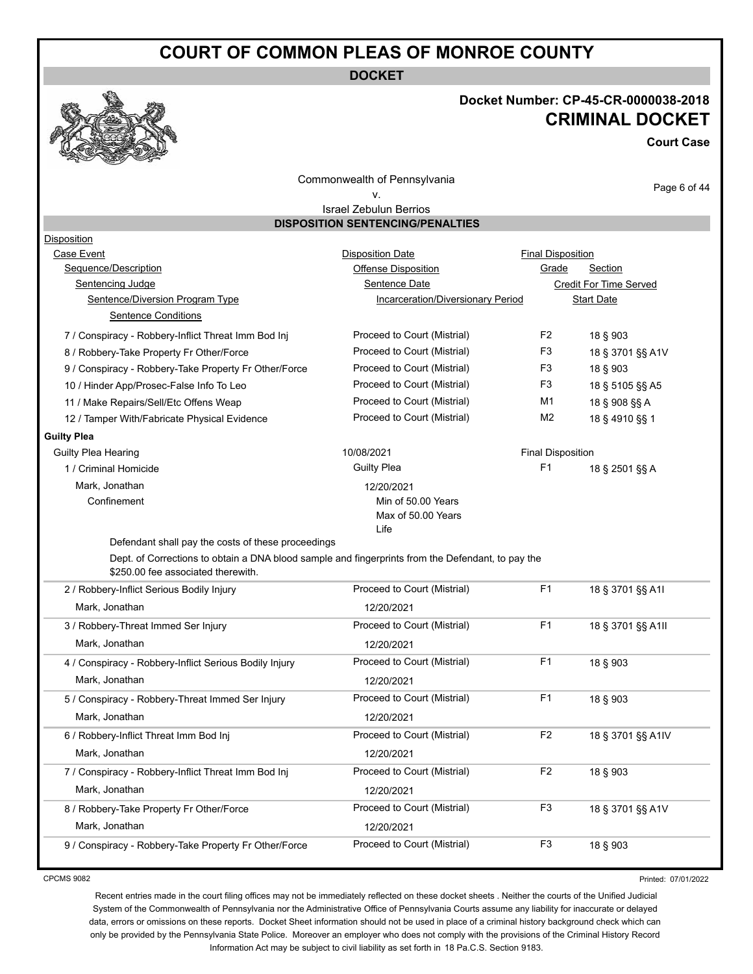**DOCKET**



#### **Docket Number: CP-45-CR-0000038-2018 CRIMINAL DOCKET**

**Court Case**

Commonwealth of Pennsylvania v.

Page 6 of 44

#### Israel Zebulun Berrios **DISPOSITION SENTENCING/PENALTIES**

| Case Event<br><b>Disposition Date</b><br><b>Final Disposition</b><br>Sequence/Description<br>Grade<br><b>Section</b><br>Offense Disposition<br><b>Sentencing Judge</b><br><b>Sentence Date</b><br>Credit For Time Served<br>Sentence/Diversion Program Type<br>Incarceration/Diversionary Period<br><b>Start Date</b><br><b>Sentence Conditions</b><br>F <sub>2</sub><br>Proceed to Court (Mistrial)<br>7 / Conspiracy - Robbery-Inflict Threat Imm Bod Inj<br>18 § 903<br>Proceed to Court (Mistrial)<br>F <sub>3</sub><br>18 § 3701 §§ A1V<br>8 / Robbery-Take Property Fr Other/Force<br>F <sub>3</sub><br>Proceed to Court (Mistrial)<br>9 / Conspiracy - Robbery-Take Property Fr Other/Force<br>18 § 903<br>F <sub>3</sub><br>Proceed to Court (Mistrial)<br>18 § 5105 §§ A5<br>10 / Hinder App/Prosec-False Info To Leo<br>Proceed to Court (Mistrial)<br>M1<br>18 § 908 §§ A<br>11 / Make Repairs/Sell/Etc Offens Weap<br>Proceed to Court (Mistrial)<br>M <sub>2</sub><br>12 / Tamper With/Fabricate Physical Evidence<br>18 § 4910 §§ 1<br>Guilty Plea Hearing<br>10/08/2021<br><b>Final Disposition</b><br><b>Guilty Plea</b><br>F1<br>1 / Criminal Homicide<br>18 § 2501 §§ A<br>Mark, Jonathan<br>12/20/2021<br>Confinement<br>Min of 50.00 Years<br>Max of 50.00 Years<br>Life<br>Defendant shall pay the costs of these proceedings<br>Dept. of Corrections to obtain a DNA blood sample and fingerprints from the Defendant, to pay the<br>\$250.00 fee associated therewith.<br>F1<br>Proceed to Court (Mistrial)<br>2 / Robbery-Inflict Serious Bodily Injury<br>18 § 3701 §§ A1I<br>Mark, Jonathan<br>12/20/2021<br>F1<br>Proceed to Court (Mistrial)<br>3 / Robbery-Threat Immed Ser Injury<br>18 § 3701 §§ A1II<br>Mark, Jonathan<br>12/20/2021<br>F1<br>Proceed to Court (Mistrial)<br>4 / Conspiracy - Robbery-Inflict Serious Bodily Injury<br>18 § 903<br>Mark, Jonathan<br>12/20/2021<br>Proceed to Court (Mistrial)<br>F <sub>1</sub><br>5 / Conspiracy - Robbery-Threat Immed Ser Injury<br>18 § 903<br>Mark, Jonathan<br>12/20/2021<br>Proceed to Court (Mistrial)<br>F <sub>2</sub><br>18 § 3701 §§ A1IV<br>6 / Robbery-Inflict Threat Imm Bod Inj<br>Mark, Jonathan<br>12/20/2021<br>F <sub>2</sub><br>Proceed to Court (Mistrial)<br>7 / Conspiracy - Robbery-Inflict Threat Imm Bod Inj<br>18 § 903<br>Mark, Jonathan<br>12/20/2021<br>Proceed to Court (Mistrial)<br>F <sub>3</sub><br>8 / Robbery-Take Property Fr Other/Force<br>18 § 3701 §§ A1V<br>Mark, Jonathan<br>12/20/2021<br>Proceed to Court (Mistrial)<br>F <sub>3</sub><br>9 / Conspiracy - Robbery-Take Property Fr Other/Force<br>18 § 903 | <b>Disposition</b> |  |  |
|---------------------------------------------------------------------------------------------------------------------------------------------------------------------------------------------------------------------------------------------------------------------------------------------------------------------------------------------------------------------------------------------------------------------------------------------------------------------------------------------------------------------------------------------------------------------------------------------------------------------------------------------------------------------------------------------------------------------------------------------------------------------------------------------------------------------------------------------------------------------------------------------------------------------------------------------------------------------------------------------------------------------------------------------------------------------------------------------------------------------------------------------------------------------------------------------------------------------------------------------------------------------------------------------------------------------------------------------------------------------------------------------------------------------------------------------------------------------------------------------------------------------------------------------------------------------------------------------------------------------------------------------------------------------------------------------------------------------------------------------------------------------------------------------------------------------------------------------------------------------------------------------------------------------------------------------------------------------------------------------------------------------------------------------------------------------------------------------------------------------------------------------------------------------------------------------------------------------------------------------------------------------------------------------------------------------------------------------------------------------------------------------------------------------------------------------------------------------------------------------------------------------------------------------------------------------------------------------------------------------------------------------|--------------------|--|--|
|                                                                                                                                                                                                                                                                                                                                                                                                                                                                                                                                                                                                                                                                                                                                                                                                                                                                                                                                                                                                                                                                                                                                                                                                                                                                                                                                                                                                                                                                                                                                                                                                                                                                                                                                                                                                                                                                                                                                                                                                                                                                                                                                                                                                                                                                                                                                                                                                                                                                                                                                                                                                                                             |                    |  |  |
|                                                                                                                                                                                                                                                                                                                                                                                                                                                                                                                                                                                                                                                                                                                                                                                                                                                                                                                                                                                                                                                                                                                                                                                                                                                                                                                                                                                                                                                                                                                                                                                                                                                                                                                                                                                                                                                                                                                                                                                                                                                                                                                                                                                                                                                                                                                                                                                                                                                                                                                                                                                                                                             |                    |  |  |
|                                                                                                                                                                                                                                                                                                                                                                                                                                                                                                                                                                                                                                                                                                                                                                                                                                                                                                                                                                                                                                                                                                                                                                                                                                                                                                                                                                                                                                                                                                                                                                                                                                                                                                                                                                                                                                                                                                                                                                                                                                                                                                                                                                                                                                                                                                                                                                                                                                                                                                                                                                                                                                             |                    |  |  |
|                                                                                                                                                                                                                                                                                                                                                                                                                                                                                                                                                                                                                                                                                                                                                                                                                                                                                                                                                                                                                                                                                                                                                                                                                                                                                                                                                                                                                                                                                                                                                                                                                                                                                                                                                                                                                                                                                                                                                                                                                                                                                                                                                                                                                                                                                                                                                                                                                                                                                                                                                                                                                                             |                    |  |  |
|                                                                                                                                                                                                                                                                                                                                                                                                                                                                                                                                                                                                                                                                                                                                                                                                                                                                                                                                                                                                                                                                                                                                                                                                                                                                                                                                                                                                                                                                                                                                                                                                                                                                                                                                                                                                                                                                                                                                                                                                                                                                                                                                                                                                                                                                                                                                                                                                                                                                                                                                                                                                                                             |                    |  |  |
|                                                                                                                                                                                                                                                                                                                                                                                                                                                                                                                                                                                                                                                                                                                                                                                                                                                                                                                                                                                                                                                                                                                                                                                                                                                                                                                                                                                                                                                                                                                                                                                                                                                                                                                                                                                                                                                                                                                                                                                                                                                                                                                                                                                                                                                                                                                                                                                                                                                                                                                                                                                                                                             |                    |  |  |
|                                                                                                                                                                                                                                                                                                                                                                                                                                                                                                                                                                                                                                                                                                                                                                                                                                                                                                                                                                                                                                                                                                                                                                                                                                                                                                                                                                                                                                                                                                                                                                                                                                                                                                                                                                                                                                                                                                                                                                                                                                                                                                                                                                                                                                                                                                                                                                                                                                                                                                                                                                                                                                             |                    |  |  |
|                                                                                                                                                                                                                                                                                                                                                                                                                                                                                                                                                                                                                                                                                                                                                                                                                                                                                                                                                                                                                                                                                                                                                                                                                                                                                                                                                                                                                                                                                                                                                                                                                                                                                                                                                                                                                                                                                                                                                                                                                                                                                                                                                                                                                                                                                                                                                                                                                                                                                                                                                                                                                                             |                    |  |  |
|                                                                                                                                                                                                                                                                                                                                                                                                                                                                                                                                                                                                                                                                                                                                                                                                                                                                                                                                                                                                                                                                                                                                                                                                                                                                                                                                                                                                                                                                                                                                                                                                                                                                                                                                                                                                                                                                                                                                                                                                                                                                                                                                                                                                                                                                                                                                                                                                                                                                                                                                                                                                                                             |                    |  |  |
|                                                                                                                                                                                                                                                                                                                                                                                                                                                                                                                                                                                                                                                                                                                                                                                                                                                                                                                                                                                                                                                                                                                                                                                                                                                                                                                                                                                                                                                                                                                                                                                                                                                                                                                                                                                                                                                                                                                                                                                                                                                                                                                                                                                                                                                                                                                                                                                                                                                                                                                                                                                                                                             |                    |  |  |
|                                                                                                                                                                                                                                                                                                                                                                                                                                                                                                                                                                                                                                                                                                                                                                                                                                                                                                                                                                                                                                                                                                                                                                                                                                                                                                                                                                                                                                                                                                                                                                                                                                                                                                                                                                                                                                                                                                                                                                                                                                                                                                                                                                                                                                                                                                                                                                                                                                                                                                                                                                                                                                             | <b>Guilty Plea</b> |  |  |
|                                                                                                                                                                                                                                                                                                                                                                                                                                                                                                                                                                                                                                                                                                                                                                                                                                                                                                                                                                                                                                                                                                                                                                                                                                                                                                                                                                                                                                                                                                                                                                                                                                                                                                                                                                                                                                                                                                                                                                                                                                                                                                                                                                                                                                                                                                                                                                                                                                                                                                                                                                                                                                             |                    |  |  |
|                                                                                                                                                                                                                                                                                                                                                                                                                                                                                                                                                                                                                                                                                                                                                                                                                                                                                                                                                                                                                                                                                                                                                                                                                                                                                                                                                                                                                                                                                                                                                                                                                                                                                                                                                                                                                                                                                                                                                                                                                                                                                                                                                                                                                                                                                                                                                                                                                                                                                                                                                                                                                                             |                    |  |  |
|                                                                                                                                                                                                                                                                                                                                                                                                                                                                                                                                                                                                                                                                                                                                                                                                                                                                                                                                                                                                                                                                                                                                                                                                                                                                                                                                                                                                                                                                                                                                                                                                                                                                                                                                                                                                                                                                                                                                                                                                                                                                                                                                                                                                                                                                                                                                                                                                                                                                                                                                                                                                                                             |                    |  |  |
|                                                                                                                                                                                                                                                                                                                                                                                                                                                                                                                                                                                                                                                                                                                                                                                                                                                                                                                                                                                                                                                                                                                                                                                                                                                                                                                                                                                                                                                                                                                                                                                                                                                                                                                                                                                                                                                                                                                                                                                                                                                                                                                                                                                                                                                                                                                                                                                                                                                                                                                                                                                                                                             |                    |  |  |
|                                                                                                                                                                                                                                                                                                                                                                                                                                                                                                                                                                                                                                                                                                                                                                                                                                                                                                                                                                                                                                                                                                                                                                                                                                                                                                                                                                                                                                                                                                                                                                                                                                                                                                                                                                                                                                                                                                                                                                                                                                                                                                                                                                                                                                                                                                                                                                                                                                                                                                                                                                                                                                             |                    |  |  |
|                                                                                                                                                                                                                                                                                                                                                                                                                                                                                                                                                                                                                                                                                                                                                                                                                                                                                                                                                                                                                                                                                                                                                                                                                                                                                                                                                                                                                                                                                                                                                                                                                                                                                                                                                                                                                                                                                                                                                                                                                                                                                                                                                                                                                                                                                                                                                                                                                                                                                                                                                                                                                                             |                    |  |  |
|                                                                                                                                                                                                                                                                                                                                                                                                                                                                                                                                                                                                                                                                                                                                                                                                                                                                                                                                                                                                                                                                                                                                                                                                                                                                                                                                                                                                                                                                                                                                                                                                                                                                                                                                                                                                                                                                                                                                                                                                                                                                                                                                                                                                                                                                                                                                                                                                                                                                                                                                                                                                                                             |                    |  |  |
|                                                                                                                                                                                                                                                                                                                                                                                                                                                                                                                                                                                                                                                                                                                                                                                                                                                                                                                                                                                                                                                                                                                                                                                                                                                                                                                                                                                                                                                                                                                                                                                                                                                                                                                                                                                                                                                                                                                                                                                                                                                                                                                                                                                                                                                                                                                                                                                                                                                                                                                                                                                                                                             |                    |  |  |
|                                                                                                                                                                                                                                                                                                                                                                                                                                                                                                                                                                                                                                                                                                                                                                                                                                                                                                                                                                                                                                                                                                                                                                                                                                                                                                                                                                                                                                                                                                                                                                                                                                                                                                                                                                                                                                                                                                                                                                                                                                                                                                                                                                                                                                                                                                                                                                                                                                                                                                                                                                                                                                             |                    |  |  |
|                                                                                                                                                                                                                                                                                                                                                                                                                                                                                                                                                                                                                                                                                                                                                                                                                                                                                                                                                                                                                                                                                                                                                                                                                                                                                                                                                                                                                                                                                                                                                                                                                                                                                                                                                                                                                                                                                                                                                                                                                                                                                                                                                                                                                                                                                                                                                                                                                                                                                                                                                                                                                                             |                    |  |  |
|                                                                                                                                                                                                                                                                                                                                                                                                                                                                                                                                                                                                                                                                                                                                                                                                                                                                                                                                                                                                                                                                                                                                                                                                                                                                                                                                                                                                                                                                                                                                                                                                                                                                                                                                                                                                                                                                                                                                                                                                                                                                                                                                                                                                                                                                                                                                                                                                                                                                                                                                                                                                                                             |                    |  |  |
|                                                                                                                                                                                                                                                                                                                                                                                                                                                                                                                                                                                                                                                                                                                                                                                                                                                                                                                                                                                                                                                                                                                                                                                                                                                                                                                                                                                                                                                                                                                                                                                                                                                                                                                                                                                                                                                                                                                                                                                                                                                                                                                                                                                                                                                                                                                                                                                                                                                                                                                                                                                                                                             |                    |  |  |
|                                                                                                                                                                                                                                                                                                                                                                                                                                                                                                                                                                                                                                                                                                                                                                                                                                                                                                                                                                                                                                                                                                                                                                                                                                                                                                                                                                                                                                                                                                                                                                                                                                                                                                                                                                                                                                                                                                                                                                                                                                                                                                                                                                                                                                                                                                                                                                                                                                                                                                                                                                                                                                             |                    |  |  |
|                                                                                                                                                                                                                                                                                                                                                                                                                                                                                                                                                                                                                                                                                                                                                                                                                                                                                                                                                                                                                                                                                                                                                                                                                                                                                                                                                                                                                                                                                                                                                                                                                                                                                                                                                                                                                                                                                                                                                                                                                                                                                                                                                                                                                                                                                                                                                                                                                                                                                                                                                                                                                                             |                    |  |  |
|                                                                                                                                                                                                                                                                                                                                                                                                                                                                                                                                                                                                                                                                                                                                                                                                                                                                                                                                                                                                                                                                                                                                                                                                                                                                                                                                                                                                                                                                                                                                                                                                                                                                                                                                                                                                                                                                                                                                                                                                                                                                                                                                                                                                                                                                                                                                                                                                                                                                                                                                                                                                                                             |                    |  |  |
|                                                                                                                                                                                                                                                                                                                                                                                                                                                                                                                                                                                                                                                                                                                                                                                                                                                                                                                                                                                                                                                                                                                                                                                                                                                                                                                                                                                                                                                                                                                                                                                                                                                                                                                                                                                                                                                                                                                                                                                                                                                                                                                                                                                                                                                                                                                                                                                                                                                                                                                                                                                                                                             |                    |  |  |
|                                                                                                                                                                                                                                                                                                                                                                                                                                                                                                                                                                                                                                                                                                                                                                                                                                                                                                                                                                                                                                                                                                                                                                                                                                                                                                                                                                                                                                                                                                                                                                                                                                                                                                                                                                                                                                                                                                                                                                                                                                                                                                                                                                                                                                                                                                                                                                                                                                                                                                                                                                                                                                             |                    |  |  |
|                                                                                                                                                                                                                                                                                                                                                                                                                                                                                                                                                                                                                                                                                                                                                                                                                                                                                                                                                                                                                                                                                                                                                                                                                                                                                                                                                                                                                                                                                                                                                                                                                                                                                                                                                                                                                                                                                                                                                                                                                                                                                                                                                                                                                                                                                                                                                                                                                                                                                                                                                                                                                                             |                    |  |  |
|                                                                                                                                                                                                                                                                                                                                                                                                                                                                                                                                                                                                                                                                                                                                                                                                                                                                                                                                                                                                                                                                                                                                                                                                                                                                                                                                                                                                                                                                                                                                                                                                                                                                                                                                                                                                                                                                                                                                                                                                                                                                                                                                                                                                                                                                                                                                                                                                                                                                                                                                                                                                                                             |                    |  |  |
|                                                                                                                                                                                                                                                                                                                                                                                                                                                                                                                                                                                                                                                                                                                                                                                                                                                                                                                                                                                                                                                                                                                                                                                                                                                                                                                                                                                                                                                                                                                                                                                                                                                                                                                                                                                                                                                                                                                                                                                                                                                                                                                                                                                                                                                                                                                                                                                                                                                                                                                                                                                                                                             |                    |  |  |
|                                                                                                                                                                                                                                                                                                                                                                                                                                                                                                                                                                                                                                                                                                                                                                                                                                                                                                                                                                                                                                                                                                                                                                                                                                                                                                                                                                                                                                                                                                                                                                                                                                                                                                                                                                                                                                                                                                                                                                                                                                                                                                                                                                                                                                                                                                                                                                                                                                                                                                                                                                                                                                             |                    |  |  |

CPCMS 9082

Printed: 07/01/2022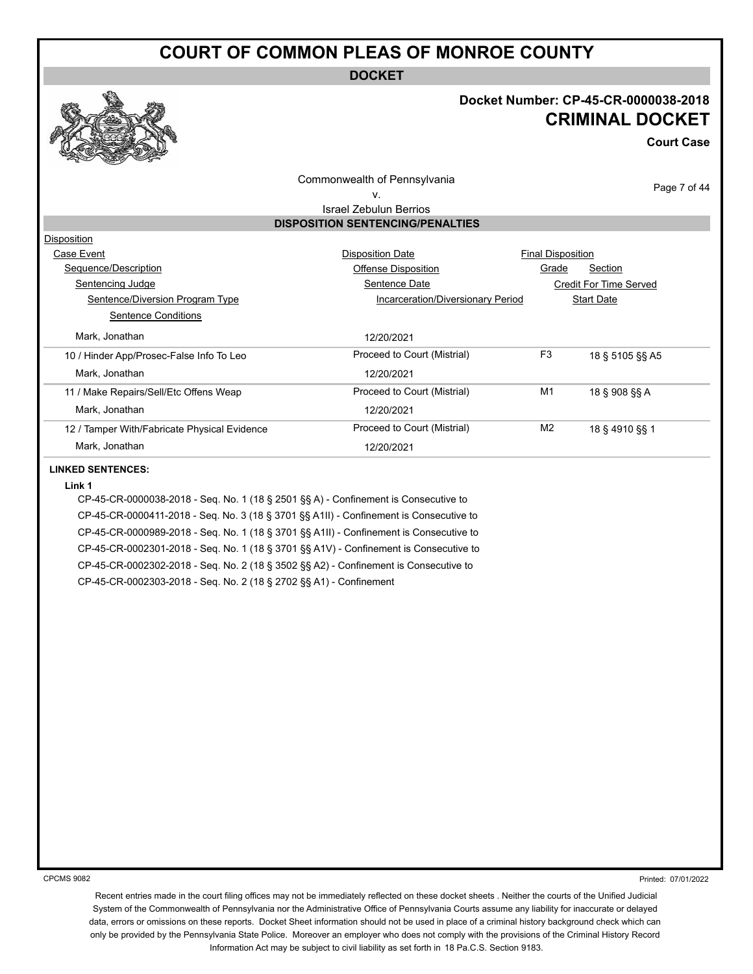**DOCKET**

#### **Docket Number: CP-45-CR-0000038-2018 CRIMINAL DOCKET**

**Court Case**

Page 7 of 44

Commonwealth of Pennsylvania

#### v.

Israel Zebulun Berrios **DISPOSITION SENTENCING/PENALTIES**

| Disposition                                  |                                   |                                   |
|----------------------------------------------|-----------------------------------|-----------------------------------|
| Case Event                                   | <b>Disposition Date</b>           | <b>Final Disposition</b>          |
| Sequence/Description                         | Offense Disposition               | Grade<br>Section                  |
| Sentencing Judge                             | Sentence Date                     | Credit For Time Served            |
| Sentence/Diversion Program Type              | Incarceration/Diversionary Period | <b>Start Date</b>                 |
| Sentence Conditions                          |                                   |                                   |
| Mark. Jonathan                               | 12/20/2021                        |                                   |
| 10 / Hinder App/Prosec-False Info To Leo     | Proceed to Court (Mistrial)       | F <sub>3</sub><br>18 § 5105 §§ A5 |
| Mark. Jonathan                               | 12/20/2021                        |                                   |
| 11 / Make Repairs/Sell/Etc Offens Weap       | Proceed to Court (Mistrial)       | M1<br>18 § 908 §§ A               |
| Mark, Jonathan                               | 12/20/2021                        |                                   |
| 12 / Tamper With/Fabricate Physical Evidence | Proceed to Court (Mistrial)       | M <sub>2</sub><br>18 § 4910 §§ 1  |
| Mark, Jonathan                               | 12/20/2021                        |                                   |
|                                              |                                   |                                   |

#### **LINKED SENTENCES:**

#### **Link 1**

CP-45-CR-0000038-2018 - Seq. No. 1 (18 § 2501 §§ A) - Confinement is Consecutive to CP-45-CR-0000411-2018 - Seq. No. 3 (18 § 3701 §§ A1II) - Confinement is Consecutive to CP-45-CR-0000989-2018 - Seq. No. 1 (18 § 3701 §§ A1II) - Confinement is Consecutive to CP-45-CR-0002301-2018 - Seq. No. 1 (18 § 3701 §§ A1V) - Confinement is Consecutive to CP-45-CR-0002302-2018 - Seq. No. 2 (18 § 3502 §§ A2) - Confinement is Consecutive to CP-45-CR-0002303-2018 - Seq. No. 2 (18 § 2702 §§ A1) - Confinement

CPCMS 9082

Printed: 07/01/2022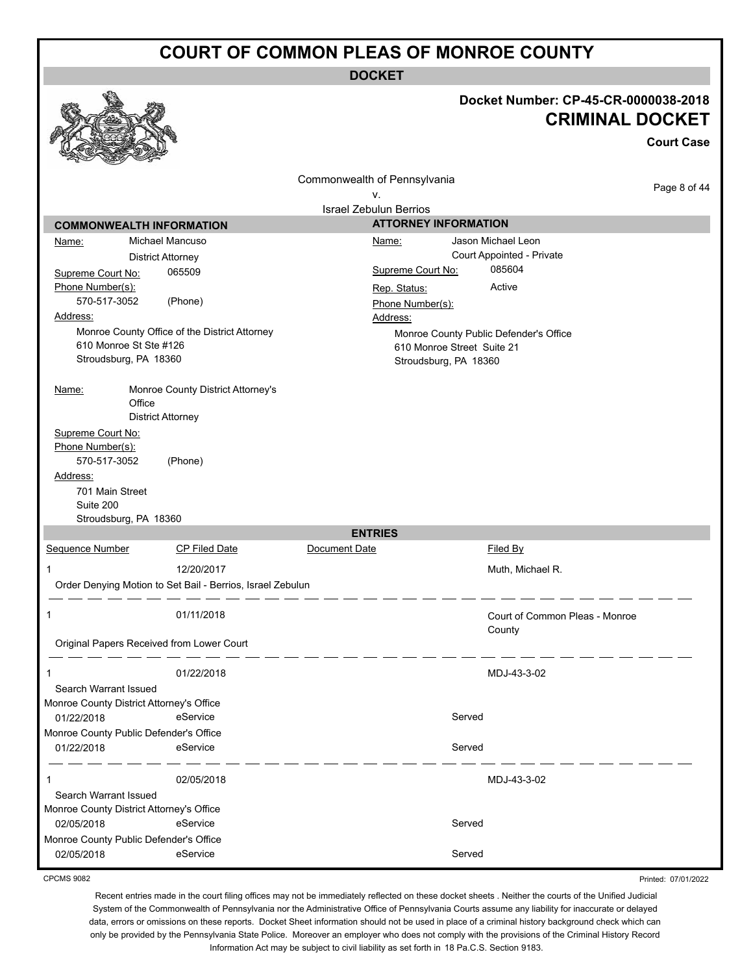**DOCKET**

|                                          |                                                            |                                     |                                        | Docket Number: CP-45-CR-0000038-2018<br><b>CRIMINAL DOCKET</b><br><b>Court Case</b> |
|------------------------------------------|------------------------------------------------------------|-------------------------------------|----------------------------------------|-------------------------------------------------------------------------------------|
|                                          |                                                            | Commonwealth of Pennsylvania        |                                        | Page 8 of 44                                                                        |
|                                          |                                                            | ٧.<br><b>Israel Zebulun Berrios</b> |                                        |                                                                                     |
| <b>COMMONWEALTH INFORMATION</b>          |                                                            |                                     | <b>ATTORNEY INFORMATION</b>            |                                                                                     |
| Name:                                    | Michael Mancuso                                            | Name:                               | Jason Michael Leon                     |                                                                                     |
|                                          | <b>District Attorney</b>                                   |                                     | Court Appointed - Private              |                                                                                     |
| Supreme Court No:                        | 065509                                                     |                                     | 085604<br>Supreme Court No:            |                                                                                     |
| Phone Number(s):                         |                                                            | Rep. Status:                        | Active                                 |                                                                                     |
| 570-517-3052                             | (Phone)                                                    | Phone Number(s):                    |                                        |                                                                                     |
| Address:                                 |                                                            | Address:                            |                                        |                                                                                     |
|                                          | Monroe County Office of the District Attorney              |                                     | Monroe County Public Defender's Office |                                                                                     |
| 610 Monroe St Ste #126                   |                                                            |                                     | 610 Monroe Street Suite 21             |                                                                                     |
| Stroudsburg, PA 18360                    |                                                            |                                     | Stroudsburg, PA 18360                  |                                                                                     |
|                                          | Monroe County District Attorney's                          |                                     |                                        |                                                                                     |
| <u>Name:</u><br>Office                   |                                                            |                                     |                                        |                                                                                     |
|                                          | <b>District Attorney</b>                                   |                                     |                                        |                                                                                     |
| Supreme Court No:                        |                                                            |                                     |                                        |                                                                                     |
| Phone Number(s):                         |                                                            |                                     |                                        |                                                                                     |
| 570-517-3052                             | (Phone)                                                    |                                     |                                        |                                                                                     |
| Address:                                 |                                                            |                                     |                                        |                                                                                     |
| 701 Main Street<br>Suite 200             |                                                            |                                     |                                        |                                                                                     |
| Stroudsburg, PA 18360                    |                                                            |                                     |                                        |                                                                                     |
|                                          |                                                            | <b>ENTRIES</b>                      |                                        |                                                                                     |
| Sequence Number                          | <b>CP Filed Date</b>                                       | Document Date                       | Filed By                               |                                                                                     |
| 1                                        | 12/20/2017                                                 |                                     | Muth, Michael R.                       |                                                                                     |
|                                          | Order Denying Motion to Set Bail - Berrios, Israel Zebulun |                                     |                                        |                                                                                     |
|                                          |                                                            |                                     |                                        |                                                                                     |
| 1                                        | 01/11/2018                                                 |                                     | Court of Common Pleas - Monroe         |                                                                                     |
|                                          |                                                            |                                     | County                                 |                                                                                     |
|                                          | Original Papers Received from Lower Court                  |                                     |                                        |                                                                                     |
| 1                                        | 01/22/2018                                                 |                                     | MDJ-43-3-02                            |                                                                                     |
| Search Warrant Issued                    |                                                            |                                     |                                        |                                                                                     |
| Monroe County District Attorney's Office |                                                            |                                     |                                        |                                                                                     |
| 01/22/2018                               | eService                                                   |                                     | Served                                 |                                                                                     |
| Monroe County Public Defender's Office   |                                                            |                                     |                                        |                                                                                     |
| 01/22/2018                               | eService                                                   |                                     | Served                                 |                                                                                     |
|                                          |                                                            |                                     |                                        |                                                                                     |
|                                          | 02/05/2018                                                 |                                     | MDJ-43-3-02                            |                                                                                     |
| Search Warrant Issued                    |                                                            |                                     |                                        |                                                                                     |
| Monroe County District Attorney's Office |                                                            |                                     |                                        |                                                                                     |
| 02/05/2018                               | eService                                                   |                                     | Served                                 |                                                                                     |
| Monroe County Public Defender's Office   | eService                                                   |                                     | Served                                 |                                                                                     |
| 02/05/2018                               |                                                            |                                     |                                        |                                                                                     |

CPCMS 9082

Printed: 07/01/2022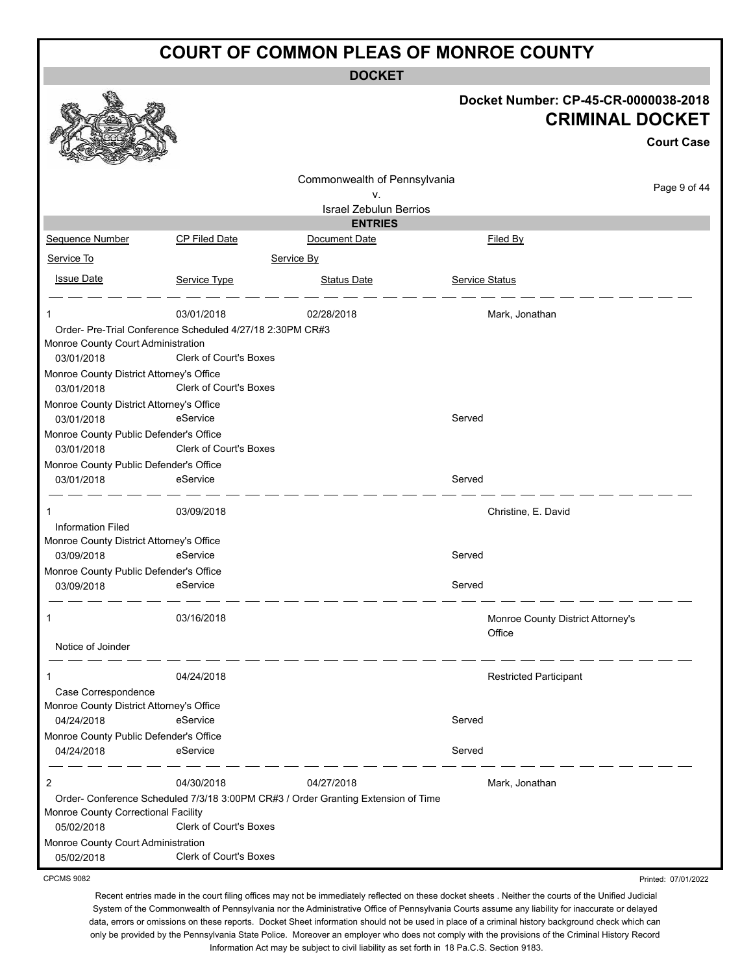**DOCKET**

|                                          |                                                           |                                                                                   |                       | Docket Number: CP-45-CR-0000038-2018<br><b>CRIMINAL DOCKET</b><br><b>Court Case</b> |
|------------------------------------------|-----------------------------------------------------------|-----------------------------------------------------------------------------------|-----------------------|-------------------------------------------------------------------------------------|
|                                          |                                                           | Commonwealth of Pennsylvania                                                      |                       |                                                                                     |
|                                          |                                                           | ν.                                                                                |                       | Page 9 of 44                                                                        |
|                                          |                                                           | <b>Israel Zebulun Berrios</b><br><b>ENTRIES</b>                                   |                       |                                                                                     |
| Sequence Number                          | <b>CP Filed Date</b>                                      | Document Date                                                                     |                       | Filed By                                                                            |
| Service To                               |                                                           | Service By                                                                        |                       |                                                                                     |
|                                          |                                                           |                                                                                   |                       |                                                                                     |
| <b>Issue Date</b>                        | Service Type                                              | <b>Status Date</b>                                                                | <b>Service Status</b> |                                                                                     |
| 1                                        | 03/01/2018                                                | 02/28/2018                                                                        |                       | Mark, Jonathan                                                                      |
|                                          | Order- Pre-Trial Conference Scheduled 4/27/18 2:30PM CR#3 |                                                                                   |                       |                                                                                     |
| Monroe County Court Administration       |                                                           |                                                                                   |                       |                                                                                     |
| 03/01/2018                               | <b>Clerk of Court's Boxes</b>                             |                                                                                   |                       |                                                                                     |
| Monroe County District Attorney's Office |                                                           |                                                                                   |                       |                                                                                     |
| 03/01/2018                               | Clerk of Court's Boxes                                    |                                                                                   |                       |                                                                                     |
| Monroe County District Attorney's Office |                                                           |                                                                                   |                       |                                                                                     |
| 03/01/2018                               | eService                                                  |                                                                                   | Served                |                                                                                     |
| Monroe County Public Defender's Office   |                                                           |                                                                                   |                       |                                                                                     |
| 03/01/2018                               | Clerk of Court's Boxes                                    |                                                                                   |                       |                                                                                     |
| Monroe County Public Defender's Office   |                                                           |                                                                                   |                       |                                                                                     |
| 03/01/2018                               | eService                                                  |                                                                                   | Served                |                                                                                     |
| 1                                        | 03/09/2018                                                |                                                                                   |                       | Christine, E. David                                                                 |
| <b>Information Filed</b>                 |                                                           |                                                                                   |                       |                                                                                     |
| Monroe County District Attorney's Office |                                                           |                                                                                   |                       |                                                                                     |
| 03/09/2018                               | eService                                                  |                                                                                   | Served                |                                                                                     |
| Monroe County Public Defender's Office   |                                                           |                                                                                   |                       |                                                                                     |
| 03/09/2018                               | eService                                                  |                                                                                   | Served                |                                                                                     |
|                                          | 03/16/2018                                                |                                                                                   |                       | Monroe County District Attorney's                                                   |
|                                          |                                                           |                                                                                   |                       | Office                                                                              |
| Notice of Joinder                        |                                                           |                                                                                   |                       |                                                                                     |
| 1                                        | 04/24/2018                                                |                                                                                   |                       | <b>Restricted Participant</b>                                                       |
| Case Correspondence                      |                                                           |                                                                                   |                       |                                                                                     |
| Monroe County District Attorney's Office |                                                           |                                                                                   |                       |                                                                                     |
| 04/24/2018                               | eService                                                  |                                                                                   | Served                |                                                                                     |
| Monroe County Public Defender's Office   |                                                           |                                                                                   |                       |                                                                                     |
| 04/24/2018                               | eService                                                  |                                                                                   | Served                |                                                                                     |
| 2                                        | 04/30/2018                                                | 04/27/2018                                                                        |                       | Mark, Jonathan                                                                      |
|                                          |                                                           | Order- Conference Scheduled 7/3/18 3:00PM CR#3 / Order Granting Extension of Time |                       |                                                                                     |
| Monroe County Correctional Facility      |                                                           |                                                                                   |                       |                                                                                     |
| 05/02/2018                               | Clerk of Court's Boxes                                    |                                                                                   |                       |                                                                                     |
| Monroe County Court Administration       |                                                           |                                                                                   |                       |                                                                                     |
| 05/02/2018                               | Clerk of Court's Boxes                                    |                                                                                   |                       |                                                                                     |

CPCMS 9082

Recent entries made in the court filing offices may not be immediately reflected on these docket sheets . Neither the courts of the Unified Judicial System of the Commonwealth of Pennsylvania nor the Administrative Office of Pennsylvania Courts assume any liability for inaccurate or delayed data, errors or omissions on these reports. Docket Sheet information should not be used in place of a criminal history background check which can only be provided by the Pennsylvania State Police. Moreover an employer who does not comply with the provisions of the Criminal History Record Information Act may be subject to civil liability as set forth in 18 Pa.C.S. Section 9183.

Printed: 07/01/2022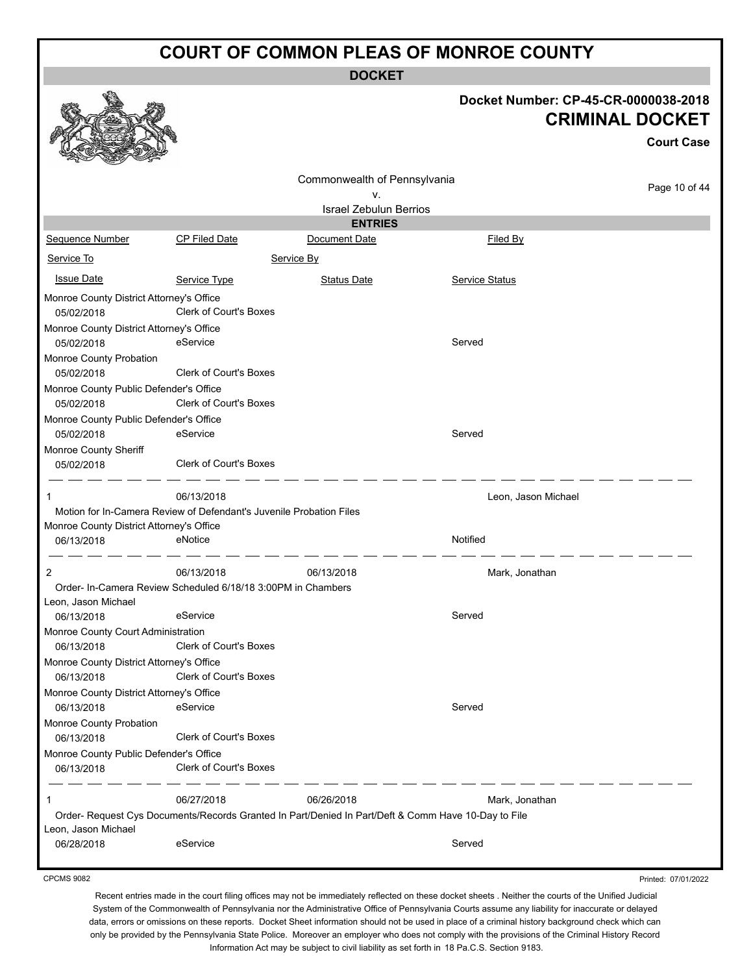**DOCKET**

#### **Docket Number: CP-45-CR-0000038-2018 CRIMINAL DOCKET**

**Court Case**

|                                                        |                                                                     | Commonwealth of Pennsylvania                                                                        |                       |                     |
|--------------------------------------------------------|---------------------------------------------------------------------|-----------------------------------------------------------------------------------------------------|-----------------------|---------------------|
|                                                        |                                                                     | v.                                                                                                  |                       | Page 10 of 44       |
|                                                        |                                                                     | <b>Israel Zebulun Berrios</b>                                                                       |                       |                     |
|                                                        |                                                                     | <b>ENTRIES</b>                                                                                      |                       |                     |
| Sequence Number                                        | <b>CP Filed Date</b>                                                | Document Date                                                                                       | Filed By              |                     |
| Service To                                             |                                                                     | Service By                                                                                          |                       |                     |
| <b>Issue Date</b>                                      | Service Type                                                        | <b>Status Date</b>                                                                                  | <b>Service Status</b> |                     |
| Monroe County District Attorney's Office<br>05/02/2018 | <b>Clerk of Court's Boxes</b>                                       |                                                                                                     |                       |                     |
| Monroe County District Attorney's Office<br>05/02/2018 | eService                                                            |                                                                                                     | Served                |                     |
| Monroe County Probation<br>05/02/2018                  | Clerk of Court's Boxes                                              |                                                                                                     |                       |                     |
| Monroe County Public Defender's Office<br>05/02/2018   | Clerk of Court's Boxes                                              |                                                                                                     |                       |                     |
| Monroe County Public Defender's Office                 |                                                                     |                                                                                                     |                       |                     |
| 05/02/2018                                             | eService                                                            |                                                                                                     | Served                |                     |
| Monroe County Sheriff                                  |                                                                     |                                                                                                     |                       |                     |
| 05/02/2018                                             | <b>Clerk of Court's Boxes</b>                                       |                                                                                                     |                       |                     |
| 1                                                      | 06/13/2018                                                          |                                                                                                     | Leon, Jason Michael   |                     |
|                                                        | Motion for In-Camera Review of Defendant's Juvenile Probation Files |                                                                                                     |                       |                     |
| Monroe County District Attorney's Office<br>06/13/2018 | eNotice                                                             |                                                                                                     | Notified              |                     |
| 2                                                      | 06/13/2018                                                          | 06/13/2018                                                                                          | Mark, Jonathan        |                     |
|                                                        | Order- In-Camera Review Scheduled 6/18/18 3:00PM in Chambers        |                                                                                                     |                       |                     |
| Leon, Jason Michael                                    |                                                                     |                                                                                                     |                       |                     |
| 06/13/2018                                             | eService                                                            |                                                                                                     | Served                |                     |
| Monroe County Court Administration                     |                                                                     |                                                                                                     |                       |                     |
| 06/13/2018                                             | Clerk of Court's Boxes                                              |                                                                                                     |                       |                     |
| Monroe County District Attorney's Office               |                                                                     |                                                                                                     |                       |                     |
| 06/13/2018                                             | <b>Clerk of Court's Boxes</b>                                       |                                                                                                     |                       |                     |
| Monroe County District Attorney's Office               |                                                                     |                                                                                                     |                       |                     |
| 06/13/2018                                             | eService                                                            |                                                                                                     | Served                |                     |
| Monroe County Probation                                |                                                                     |                                                                                                     |                       |                     |
| 06/13/2018                                             | <b>Clerk of Court's Boxes</b>                                       |                                                                                                     |                       |                     |
| Monroe County Public Defender's Office<br>06/13/2018   | Clerk of Court's Boxes                                              |                                                                                                     |                       |                     |
| 1                                                      | 06/27/2018                                                          | 06/26/2018                                                                                          | Mark, Jonathan        |                     |
|                                                        |                                                                     | Order- Request Cys Documents/Records Granted In Part/Denied In Part/Deft & Comm Have 10-Day to File |                       |                     |
| Leon, Jason Michael                                    |                                                                     |                                                                                                     |                       |                     |
| 06/28/2018                                             | eService                                                            |                                                                                                     | Served                |                     |
| <b>CPCMS 9082</b>                                      |                                                                     |                                                                                                     |                       | Printed: 07/01/2022 |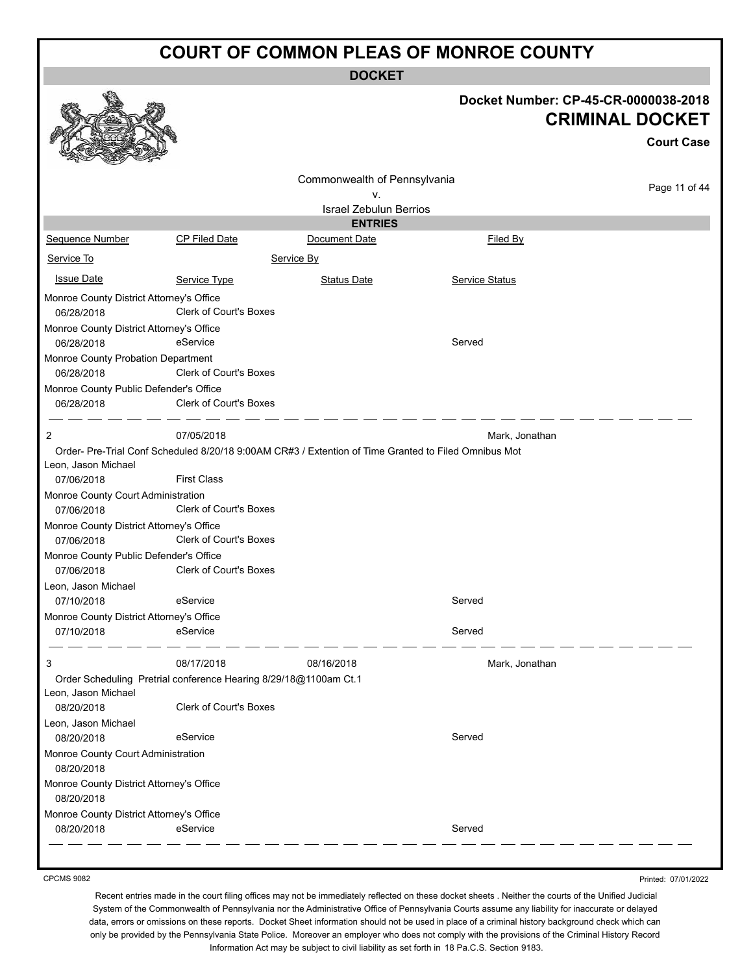**DOCKET**

|                                                        |                                                                  | <b>DUUNEI</b>                                                                                        |                       |                                                                |
|--------------------------------------------------------|------------------------------------------------------------------|------------------------------------------------------------------------------------------------------|-----------------------|----------------------------------------------------------------|
|                                                        |                                                                  |                                                                                                      |                       | Docket Number: CP-45-CR-0000038-2018<br><b>CRIMINAL DOCKET</b> |
|                                                        |                                                                  |                                                                                                      |                       | <b>Court Case</b>                                              |
|                                                        |                                                                  |                                                                                                      |                       |                                                                |
|                                                        |                                                                  | Commonwealth of Pennsylvania                                                                         |                       | Page 11 of 44                                                  |
|                                                        |                                                                  | v.<br><b>Israel Zebulun Berrios</b>                                                                  |                       |                                                                |
|                                                        |                                                                  | <b>ENTRIES</b>                                                                                       |                       |                                                                |
| Sequence Number                                        | <b>CP Filed Date</b>                                             | Document Date                                                                                        | Filed By              |                                                                |
| Service To                                             |                                                                  | Service By                                                                                           |                       |                                                                |
| <b>Issue Date</b>                                      | Service Type                                                     | <b>Status Date</b>                                                                                   | <b>Service Status</b> |                                                                |
| Monroe County District Attorney's Office<br>06/28/2018 | <b>Clerk of Court's Boxes</b>                                    |                                                                                                      |                       |                                                                |
| Monroe County District Attorney's Office               |                                                                  |                                                                                                      |                       |                                                                |
| 06/28/2018                                             | eService                                                         |                                                                                                      | Served                |                                                                |
| Monroe County Probation Department                     |                                                                  |                                                                                                      |                       |                                                                |
| 06/28/2018                                             | <b>Clerk of Court's Boxes</b>                                    |                                                                                                      |                       |                                                                |
| Monroe County Public Defender's Office<br>06/28/2018   | Clerk of Court's Boxes                                           |                                                                                                      |                       |                                                                |
| $\overline{2}$                                         | 07/05/2018                                                       |                                                                                                      | Mark, Jonathan        |                                                                |
|                                                        |                                                                  | Order- Pre-Trial Conf Scheduled 8/20/18 9:00AM CR#3 / Extention of Time Granted to Filed Omnibus Mot |                       |                                                                |
| Leon, Jason Michael                                    |                                                                  |                                                                                                      |                       |                                                                |
| 07/06/2018                                             | <b>First Class</b>                                               |                                                                                                      |                       |                                                                |
| Monroe County Court Administration                     |                                                                  |                                                                                                      |                       |                                                                |
| 07/06/2018                                             | <b>Clerk of Court's Boxes</b>                                    |                                                                                                      |                       |                                                                |
| Monroe County District Attorney's Office               |                                                                  |                                                                                                      |                       |                                                                |
| 07/06/2018                                             | Clerk of Court's Boxes                                           |                                                                                                      |                       |                                                                |
| Monroe County Public Defender's Office<br>07/06/2018   | <b>Clerk of Court's Boxes</b>                                    |                                                                                                      |                       |                                                                |
| Leon, Jason Michael                                    |                                                                  |                                                                                                      |                       |                                                                |
| 07/10/2018                                             | eService                                                         |                                                                                                      | Served                |                                                                |
| Monroe County District Attorney's Office               |                                                                  |                                                                                                      |                       |                                                                |
| 07/10/2018                                             | eService                                                         |                                                                                                      | Served                |                                                                |
| 3                                                      | 08/17/2018                                                       | 08/16/2018                                                                                           | Mark, Jonathan        |                                                                |
| Leon, Jason Michael                                    | Order Scheduling Pretrial conference Hearing 8/29/18@1100am Ct.1 |                                                                                                      |                       |                                                                |
| 08/20/2018                                             | Clerk of Court's Boxes                                           |                                                                                                      |                       |                                                                |
| Leon, Jason Michael                                    |                                                                  |                                                                                                      |                       |                                                                |
| 08/20/2018                                             | eService                                                         |                                                                                                      | Served                |                                                                |
| Monroe County Court Administration<br>08/20/2018       |                                                                  |                                                                                                      |                       |                                                                |
| Monroe County District Attorney's Office<br>08/20/2018 |                                                                  |                                                                                                      |                       |                                                                |
| Monroe County District Attorney's Office               |                                                                  |                                                                                                      |                       |                                                                |
| 08/20/2018                                             | eService                                                         |                                                                                                      | Served                |                                                                |
|                                                        |                                                                  |                                                                                                      |                       |                                                                |

CPCMS 9082

Printed: 07/01/2022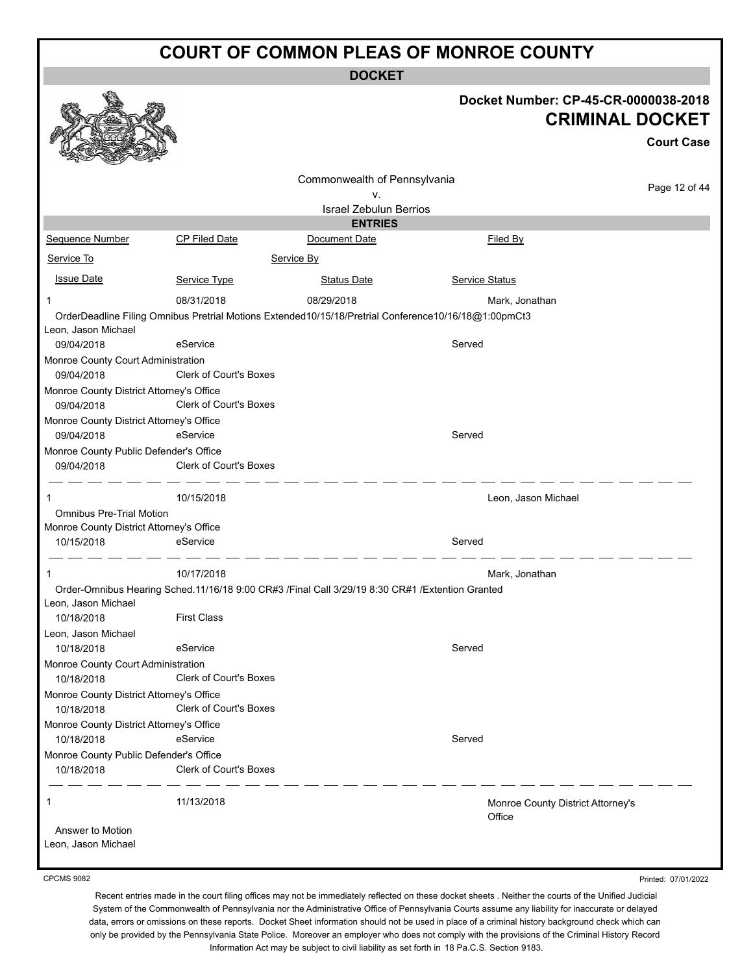**DOCKET**

|                                                        |                               |                                                                                                      | Docket Number: CP-45-CR-0000038-2018        | <b>CRIMINAL DOCKET</b><br><b>Court Case</b> |
|--------------------------------------------------------|-------------------------------|------------------------------------------------------------------------------------------------------|---------------------------------------------|---------------------------------------------|
|                                                        |                               |                                                                                                      |                                             |                                             |
|                                                        |                               | Commonwealth of Pennsylvania<br>ν.                                                                   |                                             | Page 12 of 44                               |
|                                                        |                               | <b>Israel Zebulun Berrios</b>                                                                        |                                             |                                             |
|                                                        |                               | <b>ENTRIES</b>                                                                                       |                                             |                                             |
| Sequence Number                                        | <b>CP Filed Date</b>          | Document Date                                                                                        | Filed By                                    |                                             |
| Service To                                             |                               | Service By                                                                                           |                                             |                                             |
| <b>Issue Date</b>                                      | Service Type                  | <b>Status Date</b>                                                                                   | <b>Service Status</b>                       |                                             |
| $\mathbf 1$                                            | 08/31/2018                    | 08/29/2018                                                                                           | Mark, Jonathan                              |                                             |
|                                                        |                               | OrderDeadline Filing Omnibus Pretrial Motions Extended10/15/18/Pretrial Conference10/16/18@1:00pmCt3 |                                             |                                             |
| Leon, Jason Michael<br>09/04/2018                      | eService                      |                                                                                                      | Served                                      |                                             |
| Monroe County Court Administration                     |                               |                                                                                                      |                                             |                                             |
| 09/04/2018                                             | <b>Clerk of Court's Boxes</b> |                                                                                                      |                                             |                                             |
| Monroe County District Attorney's Office               |                               |                                                                                                      |                                             |                                             |
| 09/04/2018                                             | Clerk of Court's Boxes        |                                                                                                      |                                             |                                             |
| Monroe County District Attorney's Office<br>09/04/2018 | eService                      |                                                                                                      | Served                                      |                                             |
| Monroe County Public Defender's Office                 |                               |                                                                                                      |                                             |                                             |
| 09/04/2018                                             | Clerk of Court's Boxes        |                                                                                                      |                                             |                                             |
| 1                                                      | 10/15/2018                    |                                                                                                      | Leon, Jason Michael                         |                                             |
| <b>Omnibus Pre-Trial Motion</b>                        |                               |                                                                                                      |                                             |                                             |
| Monroe County District Attorney's Office               |                               |                                                                                                      |                                             |                                             |
| 10/15/2018                                             | eService                      |                                                                                                      | Served                                      |                                             |
| -1                                                     | 10/17/2018                    |                                                                                                      | Mark, Jonathan                              |                                             |
|                                                        |                               | Order-Omnibus Hearing Sched.11/16/18 9:00 CR#3 /Final Call 3/29/19 8:30 CR#1 /Extention Granted      |                                             |                                             |
| Leon, Jason Michael                                    | <b>First Class</b>            |                                                                                                      |                                             |                                             |
| 10/18/2018                                             |                               |                                                                                                      |                                             |                                             |
| Leon, Jason Michael<br>10/18/2018                      | eService                      |                                                                                                      | Served                                      |                                             |
| Monroe County Court Administration                     |                               |                                                                                                      |                                             |                                             |
| 10/18/2018                                             | <b>Clerk of Court's Boxes</b> |                                                                                                      |                                             |                                             |
| Monroe County District Attorney's Office               |                               |                                                                                                      |                                             |                                             |
| 10/18/2018                                             | <b>Clerk of Court's Boxes</b> |                                                                                                      |                                             |                                             |
| Monroe County District Attorney's Office               |                               |                                                                                                      | Served                                      |                                             |
| 10/18/2018<br>Monroe County Public Defender's Office   | eService                      |                                                                                                      |                                             |                                             |
| 10/18/2018                                             | Clerk of Court's Boxes        |                                                                                                      |                                             |                                             |
| 1                                                      | 11/13/2018                    |                                                                                                      | Monroe County District Attorney's<br>Office |                                             |
| Answer to Motion<br>Leon, Jason Michael                |                               |                                                                                                      |                                             |                                             |
| <b>CPCMS 9082</b>                                      |                               |                                                                                                      |                                             | Printed: 07/01/2022                         |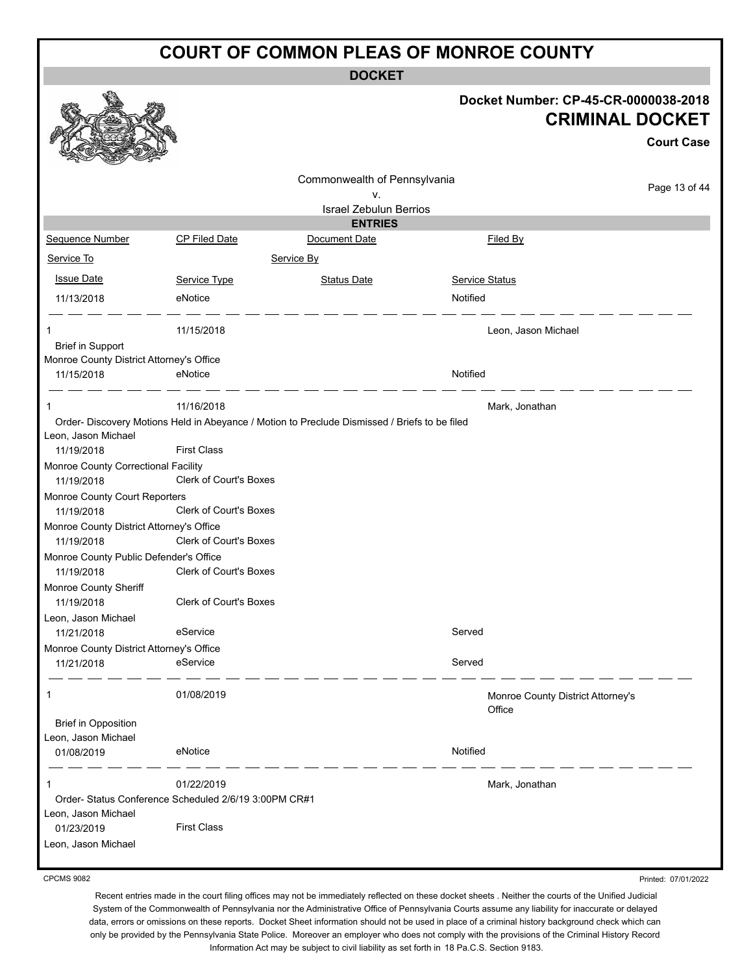**DOCKET**

|                                                        |                               | <b>DOCKEI</b>                                                                                 |                                                                |                     |
|--------------------------------------------------------|-------------------------------|-----------------------------------------------------------------------------------------------|----------------------------------------------------------------|---------------------|
|                                                        |                               |                                                                                               | Docket Number: CP-45-CR-0000038-2018<br><b>CRIMINAL DOCKET</b> | <b>Court Case</b>   |
|                                                        |                               | Commonwealth of Pennsylvania                                                                  |                                                                |                     |
|                                                        |                               | ٧.                                                                                            |                                                                | Page 13 of 44       |
|                                                        |                               | <b>Israel Zebulun Berrios</b>                                                                 |                                                                |                     |
| Sequence Number                                        | CP Filed Date                 | <b>ENTRIES</b><br>Document Date                                                               | Filed By                                                       |                     |
| Service To                                             |                               | Service By                                                                                    |                                                                |                     |
|                                                        |                               |                                                                                               |                                                                |                     |
| <b>Issue Date</b>                                      | Service Type                  | <b>Status Date</b>                                                                            | <b>Service Status</b>                                          |                     |
| 11/13/2018                                             | eNotice                       |                                                                                               | Notified                                                       |                     |
| -1<br><b>Brief in Support</b>                          | 11/15/2018                    |                                                                                               | Leon, Jason Michael                                            |                     |
| Monroe County District Attorney's Office               |                               |                                                                                               |                                                                |                     |
| 11/15/2018                                             | eNotice                       |                                                                                               | Notified                                                       |                     |
| -1                                                     | 11/16/2018                    |                                                                                               | Mark, Jonathan                                                 |                     |
| Leon, Jason Michael                                    |                               | Order- Discovery Motions Held in Abeyance / Motion to Preclude Dismissed / Briefs to be filed |                                                                |                     |
| 11/19/2018                                             | <b>First Class</b>            |                                                                                               |                                                                |                     |
| Monroe County Correctional Facility<br>11/19/2018      | Clerk of Court's Boxes        |                                                                                               |                                                                |                     |
| Monroe County Court Reporters<br>11/19/2018            | <b>Clerk of Court's Boxes</b> |                                                                                               |                                                                |                     |
| Monroe County District Attorney's Office<br>11/19/2018 | Clerk of Court's Boxes        |                                                                                               |                                                                |                     |
| Monroe County Public Defender's Office                 |                               |                                                                                               |                                                                |                     |
| 11/19/2018                                             | <b>Clerk of Court's Boxes</b> |                                                                                               |                                                                |                     |
| Monroe County Sheriff<br>11/19/2018                    | Clerk of Court's Boxes        |                                                                                               |                                                                |                     |
| Leon, Jason Michael<br>11/21/2018                      | eService                      |                                                                                               | Served                                                         |                     |
| Monroe County District Attorney's Office<br>11/21/2018 | eService                      |                                                                                               | Served                                                         |                     |
| -1                                                     | 01/08/2019                    |                                                                                               | Monroe County District Attorney's<br>Office                    |                     |
| <b>Brief in Opposition</b><br>Leon, Jason Michael      |                               |                                                                                               |                                                                |                     |
| 01/08/2019                                             | eNotice                       |                                                                                               | Notified                                                       |                     |
| 1                                                      | 01/22/2019                    |                                                                                               | Mark, Jonathan                                                 |                     |
| Order- Status Conference Scheduled 2/6/19 3:00PM CR#1  |                               |                                                                                               |                                                                |                     |
| Leon, Jason Michael<br>01/23/2019                      | <b>First Class</b>            |                                                                                               |                                                                |                     |
| Leon, Jason Michael                                    |                               |                                                                                               |                                                                |                     |
| <b>CPCMS 9082</b>                                      |                               |                                                                                               |                                                                | Printed: 07/01/2022 |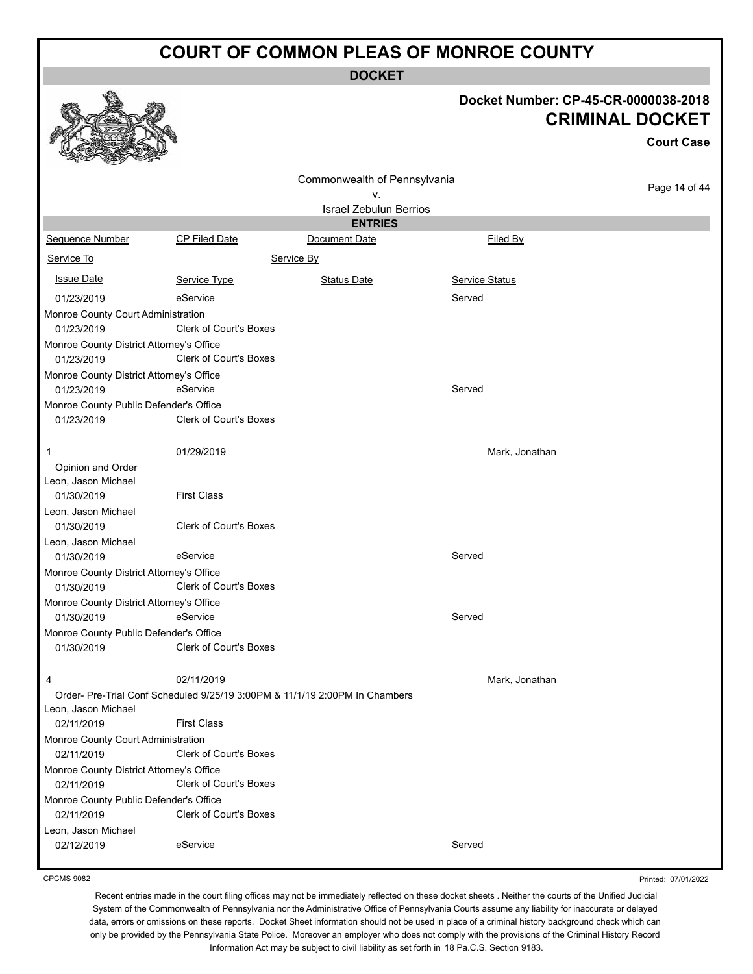**DOCKET**

|                                                        |                               | <b>DOCKET</b>                                                               |                 |                                                                                     |
|--------------------------------------------------------|-------------------------------|-----------------------------------------------------------------------------|-----------------|-------------------------------------------------------------------------------------|
|                                                        |                               |                                                                             |                 | Docket Number: CP-45-CR-0000038-2018<br><b>CRIMINAL DOCKET</b><br><b>Court Case</b> |
|                                                        |                               | Commonwealth of Pennsylvania                                                |                 |                                                                                     |
|                                                        |                               | ٧.                                                                          |                 | Page 14 of 44                                                                       |
|                                                        |                               | <b>Israel Zebulun Berrios</b>                                               |                 |                                                                                     |
|                                                        |                               | <b>ENTRIES</b>                                                              |                 |                                                                                     |
| Sequence Number                                        | <b>CP Filed Date</b>          | Document Date                                                               | <b>Filed By</b> |                                                                                     |
| Service To                                             |                               | Service By                                                                  |                 |                                                                                     |
| <b>Issue Date</b>                                      | Service Type                  | <b>Status Date</b>                                                          | Service Status  |                                                                                     |
| 01/23/2019                                             | eService                      |                                                                             | Served          |                                                                                     |
| Monroe County Court Administration                     |                               |                                                                             |                 |                                                                                     |
| 01/23/2019                                             | Clerk of Court's Boxes        |                                                                             |                 |                                                                                     |
| Monroe County District Attorney's Office<br>01/23/2019 | Clerk of Court's Boxes        |                                                                             |                 |                                                                                     |
| Monroe County District Attorney's Office               |                               |                                                                             |                 |                                                                                     |
| 01/23/2019                                             | eService                      |                                                                             | Served          |                                                                                     |
| Monroe County Public Defender's Office<br>01/23/2019   | Clerk of Court's Boxes        |                                                                             |                 |                                                                                     |
|                                                        | 01/29/2019                    |                                                                             | Mark, Jonathan  |                                                                                     |
| Opinion and Order<br>Leon, Jason Michael               |                               |                                                                             |                 |                                                                                     |
| 01/30/2019                                             | <b>First Class</b>            |                                                                             |                 |                                                                                     |
| Leon, Jason Michael                                    |                               |                                                                             |                 |                                                                                     |
| 01/30/2019                                             | <b>Clerk of Court's Boxes</b> |                                                                             |                 |                                                                                     |
| Leon, Jason Michael                                    |                               |                                                                             |                 |                                                                                     |
| 01/30/2019                                             | eService                      |                                                                             | Served          |                                                                                     |
| Monroe County District Attorney's Office<br>01/30/2019 | Clerk of Court's Boxes        |                                                                             |                 |                                                                                     |
| Monroe County District Attorney's Office<br>01/30/2019 | eService                      |                                                                             | Served          |                                                                                     |
| Monroe County Public Defender's Office<br>01/30/2019   | Clerk of Court's Boxes        |                                                                             |                 |                                                                                     |
| 4                                                      | 02/11/2019                    |                                                                             | Mark, Jonathan  |                                                                                     |
|                                                        |                               | Order- Pre-Trial Conf Scheduled 9/25/19 3:00PM & 11/1/19 2:00PM In Chambers |                 |                                                                                     |
| Leon, Jason Michael<br>02/11/2019                      | <b>First Class</b>            |                                                                             |                 |                                                                                     |
| Monroe County Court Administration                     |                               |                                                                             |                 |                                                                                     |
| 02/11/2019                                             | Clerk of Court's Boxes        |                                                                             |                 |                                                                                     |
| Monroe County District Attorney's Office               |                               |                                                                             |                 |                                                                                     |
| 02/11/2019                                             | Clerk of Court's Boxes        |                                                                             |                 |                                                                                     |
| Monroe County Public Defender's Office<br>02/11/2019   | Clerk of Court's Boxes        |                                                                             |                 |                                                                                     |
| Leon, Jason Michael<br>02/12/2019                      | eService                      |                                                                             | Served          |                                                                                     |
|                                                        |                               |                                                                             |                 |                                                                                     |

CPCMS 9082

Printed: 07/01/2022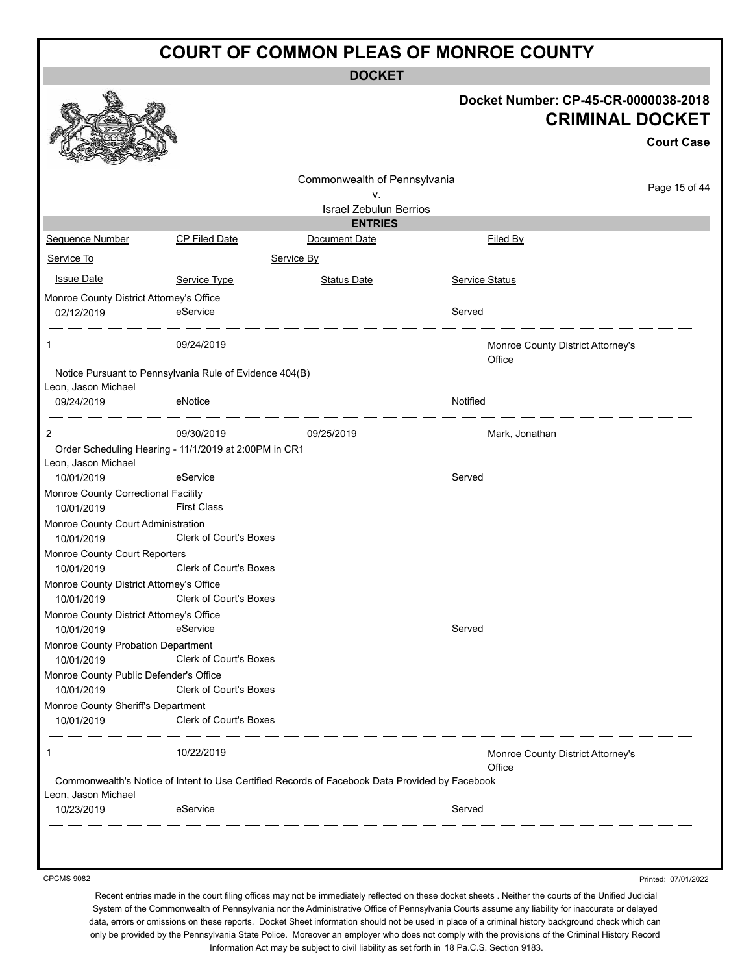**DOCKET**

|                                                      |                                                                                                | <b>DOGKEI</b>                       |                                                                |
|------------------------------------------------------|------------------------------------------------------------------------------------------------|-------------------------------------|----------------------------------------------------------------|
|                                                      |                                                                                                |                                     | Docket Number: CP-45-CR-0000038-2018<br><b>CRIMINAL DOCKET</b> |
|                                                      |                                                                                                |                                     | <b>Court Case</b>                                              |
|                                                      |                                                                                                |                                     |                                                                |
|                                                      |                                                                                                | Commonwealth of Pennsylvania        | Page 15 of 44                                                  |
|                                                      |                                                                                                | ۷.<br><b>Israel Zebulun Berrios</b> |                                                                |
|                                                      |                                                                                                | <b>ENTRIES</b>                      |                                                                |
| <b>Sequence Number</b>                               | CP Filed Date                                                                                  | Document Date                       | <b>Filed By</b>                                                |
| Service To                                           |                                                                                                | Service By                          |                                                                |
|                                                      |                                                                                                |                                     |                                                                |
| <b>Issue Date</b>                                    | Service Type                                                                                   | <b>Status Date</b>                  | <b>Service Status</b>                                          |
| Monroe County District Attorney's Office             |                                                                                                |                                     |                                                                |
| 02/12/2019                                           | eService                                                                                       |                                     | Served                                                         |
| 1                                                    | 09/24/2019                                                                                     |                                     | Monroe County District Attorney's                              |
|                                                      |                                                                                                |                                     | Office                                                         |
|                                                      | Notice Pursuant to Pennsylvania Rule of Evidence 404(B)                                        |                                     |                                                                |
| Leon, Jason Michael                                  |                                                                                                |                                     |                                                                |
| 09/24/2019                                           | eNotice                                                                                        |                                     | Notified                                                       |
| 2                                                    | 09/30/2019                                                                                     | 09/25/2019                          | Mark, Jonathan                                                 |
|                                                      | Order Scheduling Hearing - 11/1/2019 at 2:00PM in CR1                                          |                                     |                                                                |
| Leon, Jason Michael                                  |                                                                                                |                                     |                                                                |
| 10/01/2019                                           | eService                                                                                       |                                     | Served                                                         |
| Monroe County Correctional Facility                  |                                                                                                |                                     |                                                                |
| 10/01/2019                                           | <b>First Class</b>                                                                             |                                     |                                                                |
| Monroe County Court Administration                   |                                                                                                |                                     |                                                                |
| 10/01/2019                                           | Clerk of Court's Boxes                                                                         |                                     |                                                                |
| Monroe County Court Reporters                        |                                                                                                |                                     |                                                                |
| 10/01/2019                                           | Clerk of Court's Boxes                                                                         |                                     |                                                                |
| Monroe County District Attorney's Office             |                                                                                                |                                     |                                                                |
| 10/01/2019                                           | <b>Clerk of Court's Boxes</b>                                                                  |                                     |                                                                |
| Monroe County District Attorney's Office             |                                                                                                |                                     |                                                                |
| 10/01/2019                                           | eService                                                                                       |                                     | Served                                                         |
| Monroe County Probation Department                   | <b>Clerk of Court's Boxes</b>                                                                  |                                     |                                                                |
| 10/01/2019                                           |                                                                                                |                                     |                                                                |
| Monroe County Public Defender's Office<br>10/01/2019 | Clerk of Court's Boxes                                                                         |                                     |                                                                |
| Monroe County Sheriff's Department                   |                                                                                                |                                     |                                                                |
| 10/01/2019                                           | Clerk of Court's Boxes                                                                         |                                     |                                                                |
| 1                                                    | 10/22/2019                                                                                     |                                     | Monroe County District Attorney's<br>Office                    |
| Leon, Jason Michael                                  | Commonwealth's Notice of Intent to Use Certified Records of Facebook Data Provided by Facebook |                                     |                                                                |
| 10/23/2019                                           | eService                                                                                       |                                     | Served                                                         |
|                                                      |                                                                                                |                                     |                                                                |
|                                                      |                                                                                                |                                     |                                                                |

CPCMS 9082

Printed: 07/01/2022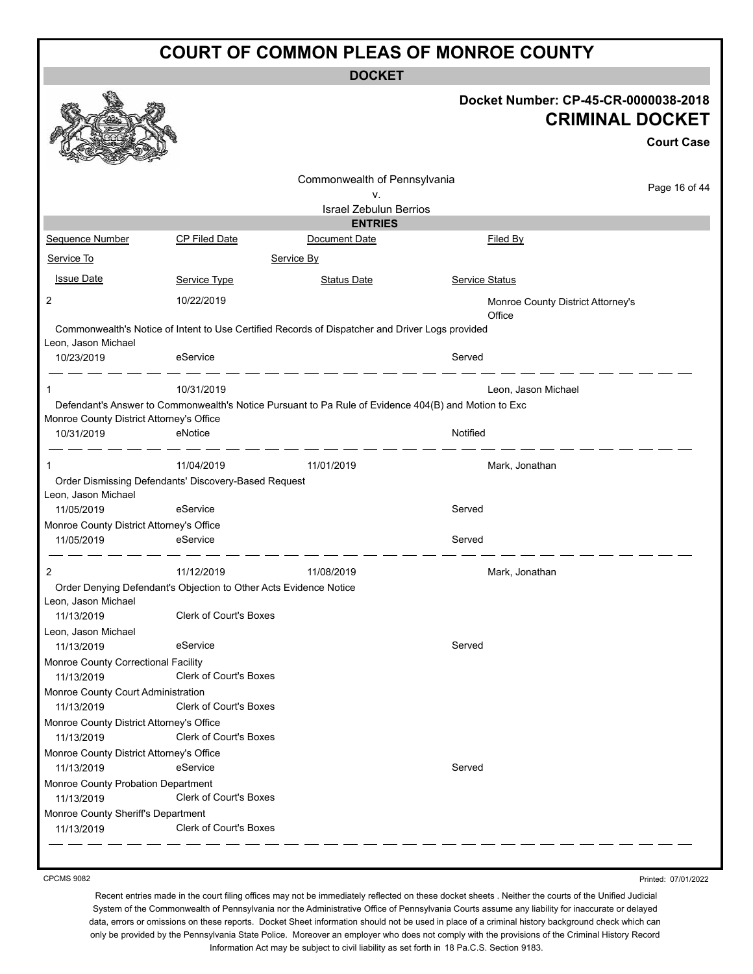|                                          |                                                                   | <b>DOCKET</b>                                                                                        |                                             |                                             |
|------------------------------------------|-------------------------------------------------------------------|------------------------------------------------------------------------------------------------------|---------------------------------------------|---------------------------------------------|
|                                          |                                                                   |                                                                                                      | Docket Number: CP-45-CR-0000038-2018        | <b>CRIMINAL DOCKET</b><br><b>Court Case</b> |
|                                          |                                                                   | Commonwealth of Pennsylvania                                                                         |                                             | Page 16 of 44                               |
|                                          |                                                                   | ۷.                                                                                                   |                                             |                                             |
|                                          |                                                                   | <b>Israel Zebulun Berrios</b><br><b>ENTRIES</b>                                                      |                                             |                                             |
| <b>Sequence Number</b>                   | <b>CP Filed Date</b>                                              | Document Date                                                                                        | <b>Filed By</b>                             |                                             |
| Service To                               |                                                                   | Service By                                                                                           |                                             |                                             |
|                                          |                                                                   |                                                                                                      |                                             |                                             |
| <b>Issue Date</b>                        | Service Type                                                      | <b>Status Date</b>                                                                                   | Service Status                              |                                             |
| 2                                        | 10/22/2019                                                        |                                                                                                      | Monroe County District Attorney's<br>Office |                                             |
|                                          |                                                                   | Commonwealth's Notice of Intent to Use Certified Records of Dispatcher and Driver Logs provided      |                                             |                                             |
| Leon, Jason Michael                      |                                                                   |                                                                                                      |                                             |                                             |
| 10/23/2019                               | eService                                                          |                                                                                                      | Served                                      |                                             |
| 1                                        | 10/31/2019                                                        |                                                                                                      | Leon, Jason Michael                         |                                             |
|                                          |                                                                   | Defendant's Answer to Commonwealth's Notice Pursuant to Pa Rule of Evidence 404(B) and Motion to Exc |                                             |                                             |
| Monroe County District Attorney's Office |                                                                   |                                                                                                      |                                             |                                             |
| 10/31/2019                               | eNotice                                                           |                                                                                                      | Notified                                    |                                             |
|                                          |                                                                   |                                                                                                      |                                             |                                             |
|                                          | 11/04/2019                                                        | 11/01/2019                                                                                           | Mark, Jonathan                              |                                             |
| Leon, Jason Michael                      | Order Dismissing Defendants' Discovery-Based Request              |                                                                                                      |                                             |                                             |
| 11/05/2019                               | eService                                                          |                                                                                                      | Served                                      |                                             |
| Monroe County District Attorney's Office |                                                                   |                                                                                                      |                                             |                                             |
| 11/05/2019                               | eService                                                          |                                                                                                      | Served                                      |                                             |
| 2                                        | 11/12/2019                                                        | 11/08/2019                                                                                           | Mark, Jonathan                              |                                             |
|                                          | Order Denying Defendant's Objection to Other Acts Evidence Notice |                                                                                                      |                                             |                                             |
| Leon, Jason Michael<br>11/13/2019        | <b>Clerk of Court's Boxes</b>                                     |                                                                                                      |                                             |                                             |
| Leon, Jason Michael                      |                                                                   |                                                                                                      |                                             |                                             |
| 11/13/2019                               | eService                                                          |                                                                                                      | Served                                      |                                             |
| Monroe County Correctional Facility      |                                                                   |                                                                                                      |                                             |                                             |
| 11/13/2019                               | Clerk of Court's Boxes                                            |                                                                                                      |                                             |                                             |
| Monroe County Court Administration       |                                                                   |                                                                                                      |                                             |                                             |
| 11/13/2019                               | Clerk of Court's Boxes                                            |                                                                                                      |                                             |                                             |
| Monroe County District Attorney's Office |                                                                   |                                                                                                      |                                             |                                             |
| 11/13/2019                               | <b>Clerk of Court's Boxes</b>                                     |                                                                                                      |                                             |                                             |
| Monroe County District Attorney's Office |                                                                   |                                                                                                      |                                             |                                             |
| 11/13/2019                               | eService                                                          |                                                                                                      | Served                                      |                                             |
| Monroe County Probation Department       |                                                                   |                                                                                                      |                                             |                                             |
| 11/13/2019                               | Clerk of Court's Boxes                                            |                                                                                                      |                                             |                                             |
| Monroe County Sheriff's Department       |                                                                   |                                                                                                      |                                             |                                             |
| 11/13/2019                               | <b>Clerk of Court's Boxes</b>                                     |                                                                                                      |                                             |                                             |

CPCMS 9082

Printed: 07/01/2022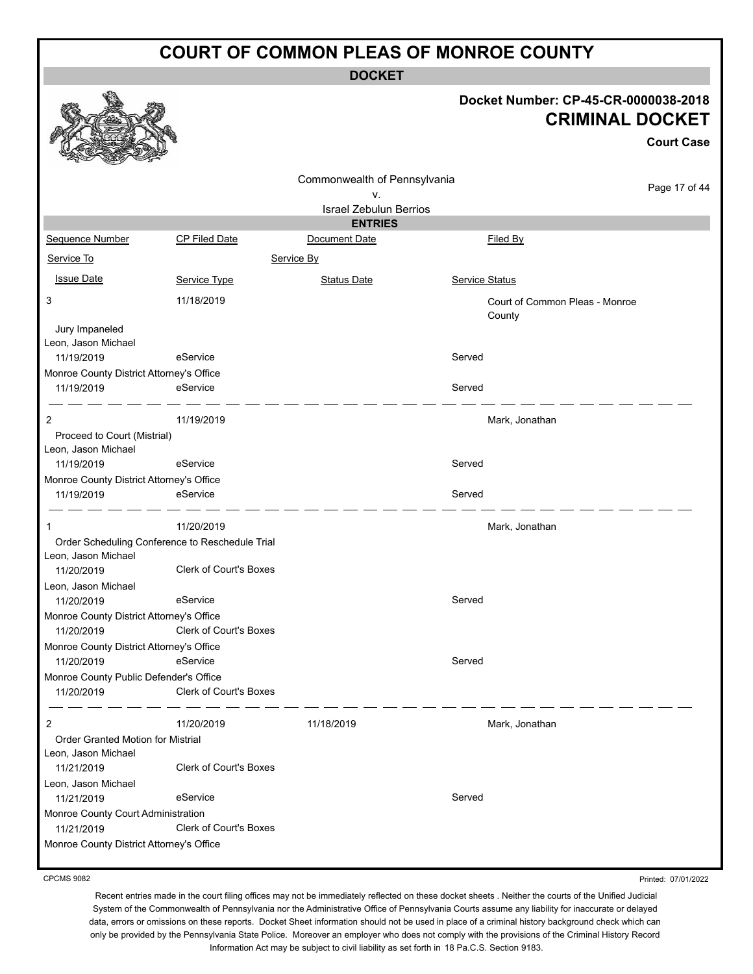**DOCKET**

#### **Docket Number: CP-45-CR-0000038-2018 CRIMINAL DOCKET**

**Court Case**

|                                                    |                                                 |                               |                | GUULL GASA                     |
|----------------------------------------------------|-------------------------------------------------|-------------------------------|----------------|--------------------------------|
|                                                    |                                                 | Commonwealth of Pennsylvania  |                |                                |
|                                                    |                                                 | ۷.                            |                | Page 17 of 44                  |
|                                                    |                                                 | <b>Israel Zebulun Berrios</b> |                |                                |
|                                                    |                                                 | <b>ENTRIES</b>                |                |                                |
| Sequence Number                                    | CP Filed Date                                   | Document Date                 | Filed By       |                                |
| Service To                                         |                                                 | Service By                    |                |                                |
| <b>Issue Date</b>                                  | Service Type                                    | <b>Status Date</b>            | Service Status |                                |
| 3                                                  | 11/18/2019                                      |                               | County         | Court of Common Pleas - Monroe |
| Jury Impaneled<br>Leon, Jason Michael              |                                                 |                               |                |                                |
| 11/19/2019                                         | eService                                        |                               | Served         |                                |
| Monroe County District Attorney's Office           |                                                 |                               |                |                                |
| 11/19/2019                                         | eService                                        |                               | Served         |                                |
| 2                                                  | 11/19/2019                                      |                               | Mark, Jonathan |                                |
| Proceed to Court (Mistrial)<br>Leon, Jason Michael |                                                 |                               |                |                                |
| 11/19/2019                                         | eService                                        |                               | Served         |                                |
| Monroe County District Attorney's Office           |                                                 |                               |                |                                |
| 11/19/2019                                         | eService                                        |                               | Served         |                                |
| 1                                                  | 11/20/2019                                      |                               | Mark, Jonathan |                                |
|                                                    | Order Scheduling Conference to Reschedule Trial |                               |                |                                |
| Leon, Jason Michael                                |                                                 |                               |                |                                |
| 11/20/2019                                         | Clerk of Court's Boxes                          |                               |                |                                |
| Leon, Jason Michael                                |                                                 |                               |                |                                |
| 11/20/2019                                         | eService                                        |                               | Served         |                                |
| Monroe County District Attorney's Office           |                                                 |                               |                |                                |
| 11/20/2019                                         | Clerk of Court's Boxes                          |                               |                |                                |
| Monroe County District Attorney's Office           |                                                 |                               |                |                                |
| 11/20/2019                                         | eService                                        |                               | Served         |                                |
| Monroe County Public Defender's Office             |                                                 |                               |                |                                |
| 11/20/2019                                         | Clerk of Court's Boxes                          |                               |                |                                |
| 2                                                  | 11/20/2019                                      | 11/18/2019                    | Mark, Jonathan |                                |
| Order Granted Motion for Mistrial                  |                                                 |                               |                |                                |
| Leon, Jason Michael                                |                                                 |                               |                |                                |
| 11/21/2019                                         | Clerk of Court's Boxes                          |                               |                |                                |
| Leon, Jason Michael                                |                                                 |                               |                |                                |
| 11/21/2019                                         | eService                                        |                               | Served         |                                |
| Monroe County Court Administration                 |                                                 |                               |                |                                |
| 11/21/2019                                         | Clerk of Court's Boxes                          |                               |                |                                |
| Monroe County District Attorney's Office           |                                                 |                               |                |                                |

CPCMS 9082

Printed: 07/01/2022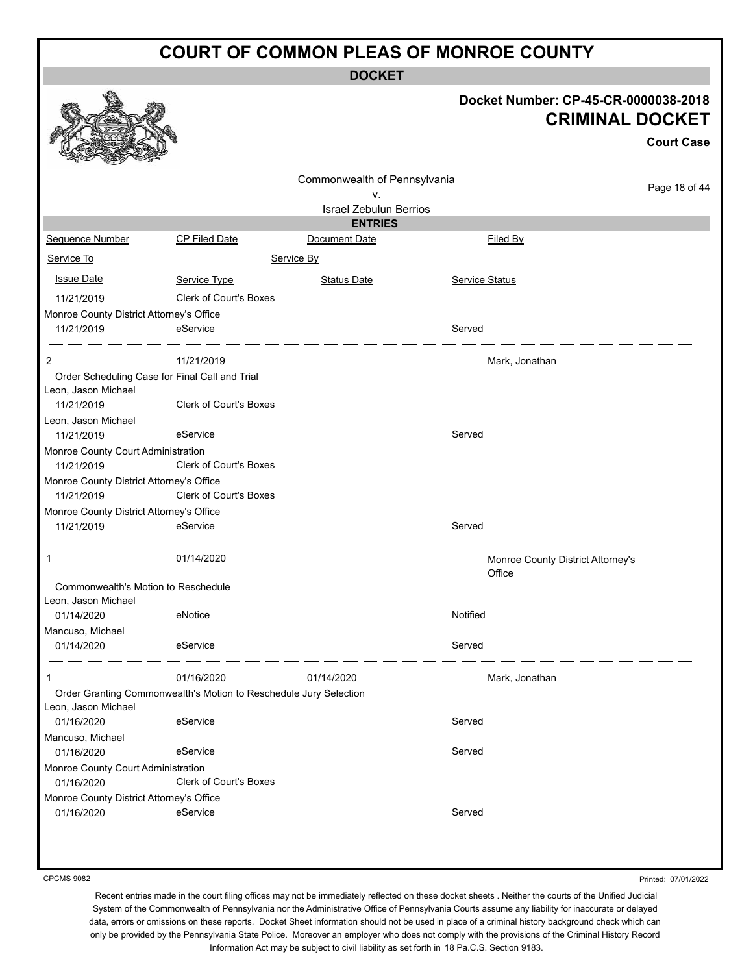**DOCKET**

|                                          |                                                                   |                               | Docket Number: CP-45-CR-0000038-2018        | <b>CRIMINAL DOCKET</b><br><b>Court Case</b> |
|------------------------------------------|-------------------------------------------------------------------|-------------------------------|---------------------------------------------|---------------------------------------------|
|                                          |                                                                   |                               |                                             |                                             |
|                                          |                                                                   | Commonwealth of Pennsylvania  |                                             |                                             |
|                                          |                                                                   | ٧.                            |                                             | Page 18 of 44                               |
|                                          |                                                                   | <b>Israel Zebulun Berrios</b> |                                             |                                             |
|                                          |                                                                   | <b>ENTRIES</b>                |                                             |                                             |
| Sequence Number                          | <b>CP Filed Date</b>                                              | Document Date                 | Filed By                                    |                                             |
| Service To                               |                                                                   | Service By                    |                                             |                                             |
| <b>Issue Date</b>                        | Service Type                                                      | <b>Status Date</b>            | <b>Service Status</b>                       |                                             |
| 11/21/2019                               | Clerk of Court's Boxes                                            |                               |                                             |                                             |
| Monroe County District Attorney's Office |                                                                   |                               |                                             |                                             |
| 11/21/2019                               | eService                                                          |                               | Served                                      |                                             |
|                                          |                                                                   |                               |                                             |                                             |
| 2                                        | 11/21/2019                                                        |                               | Mark, Jonathan                              |                                             |
|                                          | Order Scheduling Case for Final Call and Trial                    |                               |                                             |                                             |
| Leon, Jason Michael                      |                                                                   |                               |                                             |                                             |
| 11/21/2019                               | Clerk of Court's Boxes                                            |                               |                                             |                                             |
| Leon, Jason Michael<br>11/21/2019        | eService                                                          |                               | Served                                      |                                             |
| Monroe County Court Administration       |                                                                   |                               |                                             |                                             |
| 11/21/2019                               | <b>Clerk of Court's Boxes</b>                                     |                               |                                             |                                             |
| Monroe County District Attorney's Office |                                                                   |                               |                                             |                                             |
| 11/21/2019                               | Clerk of Court's Boxes                                            |                               |                                             |                                             |
| Monroe County District Attorney's Office |                                                                   |                               |                                             |                                             |
| 11/21/2019                               | eService                                                          |                               | Served                                      |                                             |
| 1                                        | 01/14/2020                                                        |                               | Monroe County District Attorney's<br>Office |                                             |
| Commonwealth's Motion to Reschedule      |                                                                   |                               |                                             |                                             |
| Leon, Jason Michael                      |                                                                   |                               |                                             |                                             |
| 01/14/2020                               | eNotice                                                           |                               | Notified                                    |                                             |
| Mancuso, Michael                         |                                                                   |                               |                                             |                                             |
| 01/14/2020                               | eService                                                          |                               | Served                                      |                                             |
| 1                                        | 01/16/2020                                                        | 01/14/2020                    | Mark, Jonathan                              |                                             |
|                                          | Order Granting Commonwealth's Motion to Reschedule Jury Selection |                               |                                             |                                             |
| Leon, Jason Michael                      |                                                                   |                               |                                             |                                             |
| 01/16/2020                               | eService                                                          |                               | Served                                      |                                             |
| Mancuso, Michael                         |                                                                   |                               |                                             |                                             |
| 01/16/2020                               | eService                                                          |                               | Served                                      |                                             |
| Monroe County Court Administration       |                                                                   |                               |                                             |                                             |
| 01/16/2020                               | Clerk of Court's Boxes                                            |                               |                                             |                                             |
| Monroe County District Attorney's Office |                                                                   |                               |                                             |                                             |
| 01/16/2020                               | eService                                                          |                               | Served                                      |                                             |

CPCMS 9082

Printed: 07/01/2022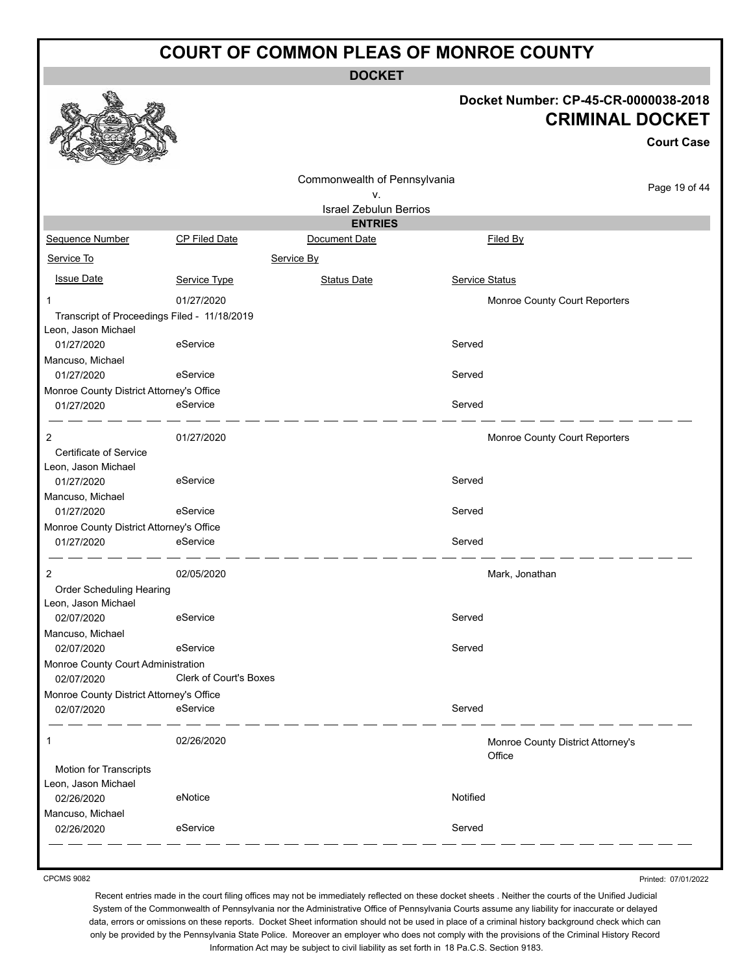**DOCKET**

#### **Docket Number: CP-45-CR-0000038-2018 CRIMINAL DOCKET**

**Court Case**

|                                                                     |                               | Commonwealth of Pennsylvania                    |                |                                             | Page 19 of 44 |
|---------------------------------------------------------------------|-------------------------------|-------------------------------------------------|----------------|---------------------------------------------|---------------|
|                                                                     |                               | ٧.                                              |                |                                             |               |
|                                                                     |                               | <b>Israel Zebulun Berrios</b><br><b>ENTRIES</b> |                |                                             |               |
| Sequence Number                                                     | CP Filed Date                 | Document Date                                   |                | Filed By                                    |               |
| Service To                                                          |                               | Service By                                      |                |                                             |               |
|                                                                     |                               |                                                 |                |                                             |               |
| <b>Issue Date</b>                                                   | Service Type                  | <b>Status Date</b>                              | Service Status |                                             |               |
| 1                                                                   | 01/27/2020                    |                                                 |                | Monroe County Court Reporters               |               |
| Transcript of Proceedings Filed - 11/18/2019<br>Leon, Jason Michael |                               |                                                 |                |                                             |               |
| 01/27/2020                                                          | eService                      |                                                 | Served         |                                             |               |
| Mancuso, Michael                                                    |                               |                                                 |                |                                             |               |
| 01/27/2020                                                          | eService                      |                                                 | Served         |                                             |               |
| Monroe County District Attorney's Office                            |                               |                                                 |                |                                             |               |
| 01/27/2020                                                          | eService                      |                                                 | Served         |                                             |               |
| $\overline{c}$                                                      | 01/27/2020                    |                                                 |                | Monroe County Court Reporters               |               |
| Certificate of Service                                              |                               |                                                 |                |                                             |               |
| Leon, Jason Michael                                                 |                               |                                                 |                |                                             |               |
| 01/27/2020                                                          | eService                      |                                                 | Served         |                                             |               |
| Mancuso, Michael                                                    |                               |                                                 | Served         |                                             |               |
| 01/27/2020<br>Monroe County District Attorney's Office              | eService                      |                                                 |                |                                             |               |
| 01/27/2020                                                          | eService                      |                                                 | Served         |                                             |               |
|                                                                     |                               |                                                 |                |                                             |               |
| $\overline{c}$                                                      | 02/05/2020                    |                                                 |                | Mark, Jonathan                              |               |
| Order Scheduling Hearing                                            |                               |                                                 |                |                                             |               |
| Leon, Jason Michael                                                 |                               |                                                 |                |                                             |               |
| 02/07/2020                                                          | eService                      |                                                 | Served         |                                             |               |
| Mancuso, Michael                                                    | eService                      |                                                 |                |                                             |               |
| 02/07/2020                                                          |                               |                                                 | Served         |                                             |               |
| Monroe County Court Administration<br>02/07/2020                    | <b>Clerk of Court's Boxes</b> |                                                 |                |                                             |               |
| Monroe County District Attorney's Office                            |                               |                                                 |                |                                             |               |
| 02/07/2020                                                          | eService                      |                                                 | Served         |                                             |               |
| 1                                                                   | 02/26/2020                    |                                                 |                | Monroe County District Attorney's<br>Office |               |
| Motion for Transcripts                                              |                               |                                                 |                |                                             |               |
| Leon, Jason Michael                                                 |                               |                                                 |                |                                             |               |
| 02/26/2020                                                          | eNotice                       |                                                 | Notified       |                                             |               |
| Mancuso, Michael                                                    |                               |                                                 |                |                                             |               |
| 02/26/2020                                                          | eService                      |                                                 | Served         |                                             |               |
|                                                                     |                               |                                                 |                |                                             |               |

CPCMS 9082

Printed: 07/01/2022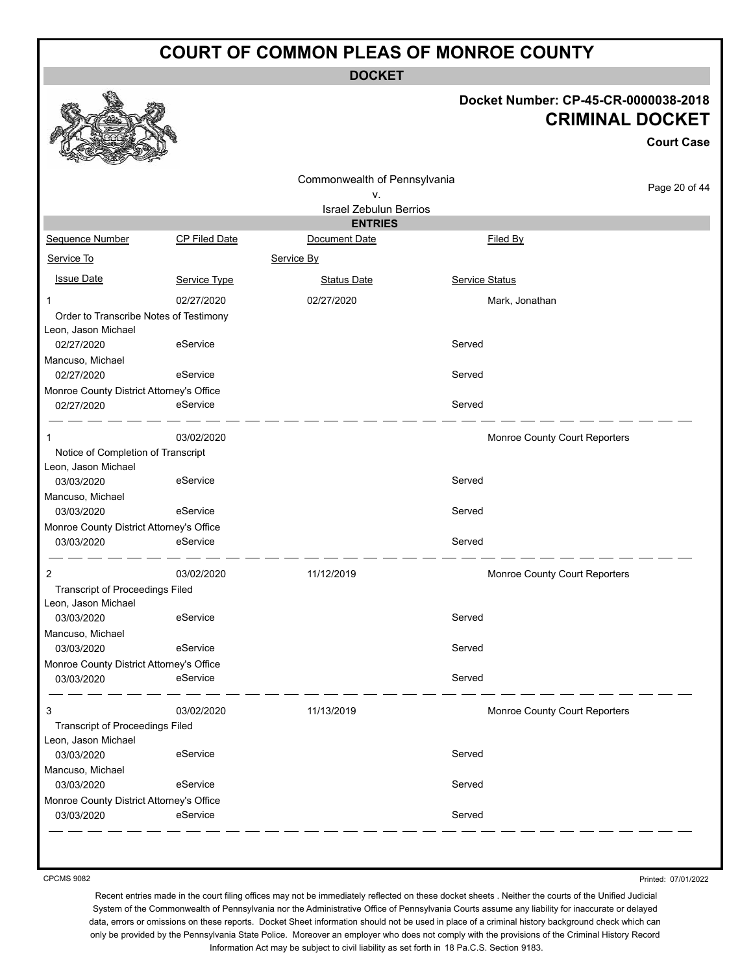**DOCKET**

#### **Docket Number: CP-45-CR-0000038-2018 CRIMINAL DOCKET**

**Court Case**

|                                                               |                      | Commonwealth of Pennsylvania                    |                               | Page 20 of 44 |
|---------------------------------------------------------------|----------------------|-------------------------------------------------|-------------------------------|---------------|
|                                                               |                      | ٧.                                              |                               |               |
|                                                               |                      | <b>Israel Zebulun Berrios</b><br><b>ENTRIES</b> |                               |               |
| Sequence Number                                               | <b>CP Filed Date</b> | Document Date                                   | Filed By                      |               |
| Service To                                                    |                      | Service By                                      |                               |               |
|                                                               |                      |                                                 |                               |               |
| <b>Issue Date</b>                                             | Service Type         | <b>Status Date</b>                              | Service Status                |               |
| 1                                                             | 02/27/2020           | 02/27/2020                                      | Mark, Jonathan                |               |
| Order to Transcribe Notes of Testimony<br>Leon, Jason Michael |                      |                                                 |                               |               |
| 02/27/2020                                                    | eService             |                                                 | Served                        |               |
| Mancuso, Michael                                              |                      |                                                 |                               |               |
| 02/27/2020                                                    | eService             |                                                 | Served                        |               |
| Monroe County District Attorney's Office                      |                      |                                                 |                               |               |
| 02/27/2020                                                    | eService             |                                                 | Served                        |               |
| 1                                                             | 03/02/2020           |                                                 | Monroe County Court Reporters |               |
| Notice of Completion of Transcript                            |                      |                                                 |                               |               |
| Leon, Jason Michael                                           |                      |                                                 |                               |               |
| 03/03/2020                                                    | eService             |                                                 | Served                        |               |
| Mancuso, Michael                                              | eService             |                                                 | Served                        |               |
| 03/03/2020                                                    |                      |                                                 |                               |               |
| Monroe County District Attorney's Office<br>03/03/2020        | eService             |                                                 | Served                        |               |
|                                                               |                      |                                                 |                               |               |
| 2                                                             | 03/02/2020           | 11/12/2019                                      | Monroe County Court Reporters |               |
| <b>Transcript of Proceedings Filed</b>                        |                      |                                                 |                               |               |
| Leon, Jason Michael                                           |                      |                                                 |                               |               |
| 03/03/2020                                                    | eService             |                                                 | Served                        |               |
| Mancuso, Michael                                              | eService             |                                                 |                               |               |
| 03/03/2020                                                    |                      |                                                 | Served                        |               |
| Monroe County District Attorney's Office<br>03/03/2020        | eService             |                                                 | Served                        |               |
|                                                               |                      |                                                 |                               |               |
| 3                                                             | 03/02/2020           | 11/13/2019                                      | Monroe County Court Reporters |               |
| <b>Transcript of Proceedings Filed</b>                        |                      |                                                 |                               |               |
| Leon, Jason Michael                                           |                      |                                                 |                               |               |
| 03/03/2020                                                    | eService             |                                                 | Served                        |               |
| Mancuso, Michael                                              |                      |                                                 |                               |               |
| 03/03/2020                                                    | eService             |                                                 | Served                        |               |
| Monroe County District Attorney's Office                      |                      |                                                 |                               |               |
| 03/03/2020                                                    | eService             |                                                 | Served                        |               |

CPCMS 9082

Printed: 07/01/2022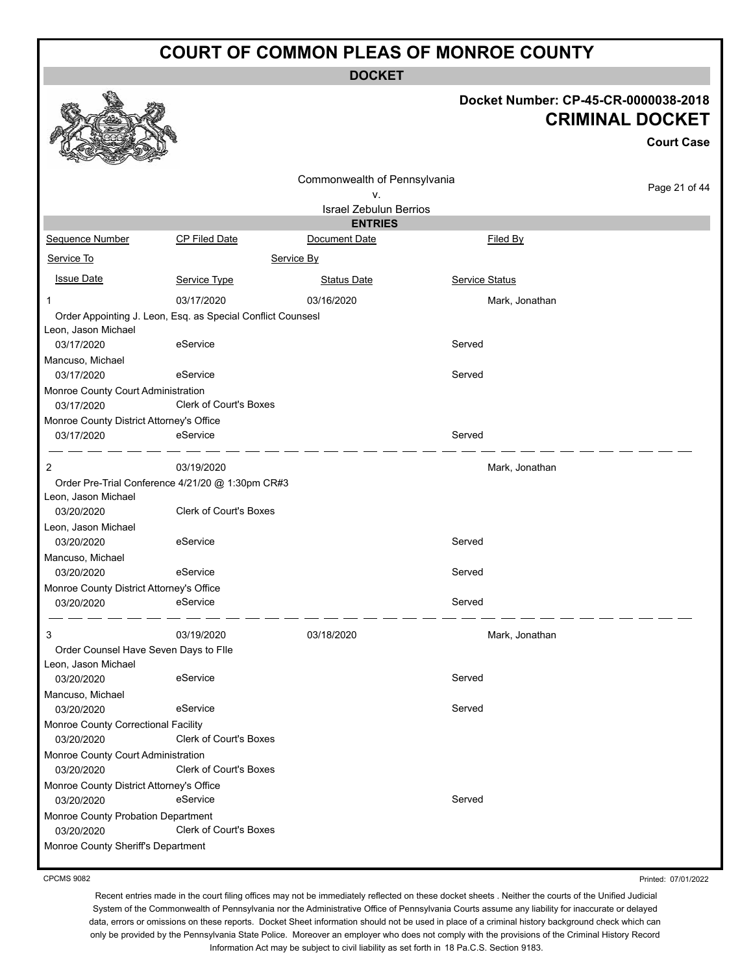**DOCKET**

#### **Docket Number: CP-45-CR-0000038-2018 CRIMINAL DOCKET**

**Court Case**

| Commonwealth of Pennsylvania<br>v.               |                                                             |                               |                       | Page 21 of 44  |
|--------------------------------------------------|-------------------------------------------------------------|-------------------------------|-----------------------|----------------|
|                                                  |                                                             | <b>Israel Zebulun Berrios</b> |                       |                |
|                                                  |                                                             | <b>ENTRIES</b>                |                       |                |
| Sequence Number                                  | <b>CP Filed Date</b>                                        | Document Date                 | Filed By              |                |
| Service To                                       | Service By                                                  |                               |                       |                |
| <b>Issue Date</b>                                | Service Type                                                | <b>Status Date</b>            | <b>Service Status</b> |                |
| 1                                                | 03/17/2020                                                  | 03/16/2020                    |                       | Mark, Jonathan |
|                                                  | Order Appointing J. Leon, Esq. as Special Conflict Counsesl |                               |                       |                |
| Leon, Jason Michael                              |                                                             |                               |                       |                |
| 03/17/2020                                       | eService                                                    |                               | Served                |                |
| Mancuso, Michael                                 |                                                             |                               |                       |                |
| 03/17/2020                                       | eService                                                    |                               | Served                |                |
| Monroe County Court Administration               |                                                             |                               |                       |                |
| 03/17/2020                                       | <b>Clerk of Court's Boxes</b>                               |                               |                       |                |
| Monroe County District Attorney's Office         |                                                             |                               |                       |                |
| 03/17/2020                                       | eService                                                    |                               | Served                |                |
| 2                                                | 03/19/2020                                                  |                               |                       | Mark, Jonathan |
|                                                  | Order Pre-Trial Conference 4/21/20 @ 1:30pm CR#3            |                               |                       |                |
| Leon, Jason Michael                              |                                                             |                               |                       |                |
| 03/20/2020                                       | <b>Clerk of Court's Boxes</b>                               |                               |                       |                |
| Leon, Jason Michael                              |                                                             |                               |                       |                |
| 03/20/2020                                       | eService                                                    |                               | Served                |                |
| Mancuso, Michael                                 |                                                             |                               |                       |                |
| 03/20/2020                                       | eService                                                    |                               | Served                |                |
| Monroe County District Attorney's Office         |                                                             |                               |                       |                |
| 03/20/2020                                       | eService                                                    |                               | Served                |                |
| 3                                                | 03/19/2020                                                  | 03/18/2020                    |                       | Mark, Jonathan |
| Order Counsel Have Seven Days to Flle            |                                                             |                               |                       |                |
| Leon, Jason Michael                              |                                                             |                               |                       |                |
| 03/20/2020                                       | eService                                                    |                               | Served                |                |
| Mancuso, Michael                                 |                                                             |                               |                       |                |
| 03/20/2020                                       | eService                                                    |                               | Served                |                |
| Monroe County Correctional Facility              |                                                             |                               |                       |                |
| 03/20/2020                                       | Clerk of Court's Boxes                                      |                               |                       |                |
| Monroe County Court Administration               |                                                             |                               |                       |                |
| 03/20/2020                                       | Clerk of Court's Boxes                                      |                               |                       |                |
| Monroe County District Attorney's Office         |                                                             |                               |                       |                |
| 03/20/2020                                       | eService                                                    |                               | Served                |                |
| Monroe County Probation Department<br>03/20/2020 | Clerk of Court's Boxes                                      |                               |                       |                |
| Monroe County Sheriff's Department               |                                                             |                               |                       |                |

CPCMS 9082

Printed: 07/01/2022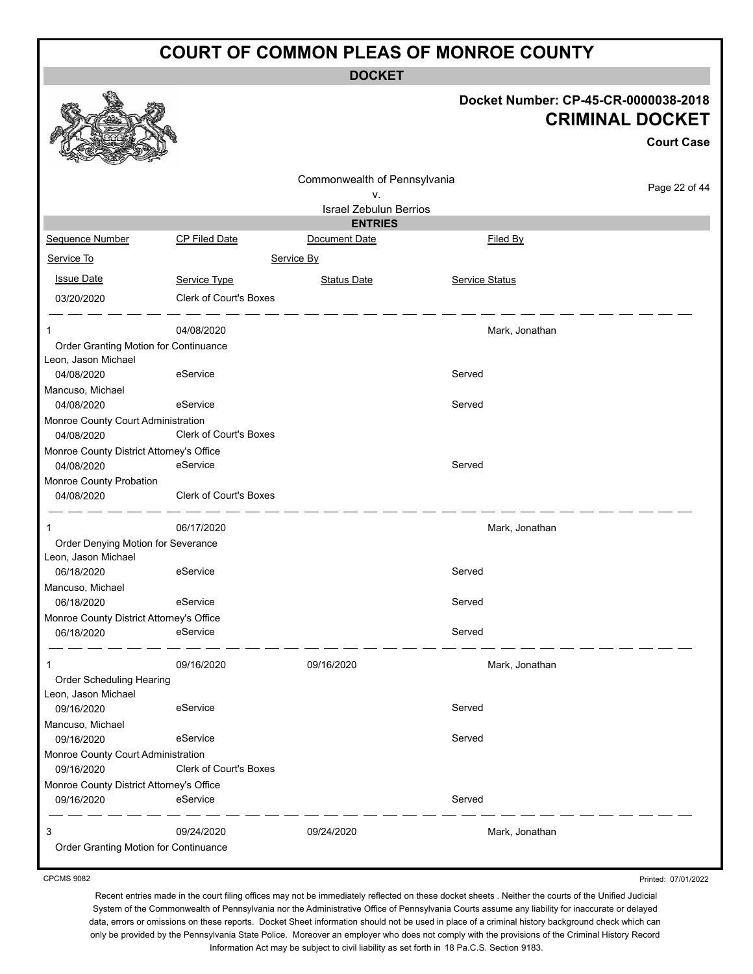**DOCKET**

|               |                                                                                       | Docket Number: CP-45-CR-0000038-2018<br><b>CRIMINAL DOCKET</b> | <b>Court Case</b> |
|---------------|---------------------------------------------------------------------------------------|----------------------------------------------------------------|-------------------|
|               | Commonwealth of Pennsylvania<br>٧.<br><b>Israel Zebulun Berrios</b><br><b>ENTRIES</b> |                                                                | Page 22 of 44     |
| Date          | Document Date                                                                         | Filed By                                                       |                   |
|               | Service By                                                                            |                                                                |                   |
| <u>Type</u>   | <b>Status Date</b>                                                                    | Service Status                                                 |                   |
| Court's Boxes |                                                                                       |                                                                |                   |
| 20<br>псе     |                                                                                       | Mark, Jonathan                                                 |                   |
|               |                                                                                       | Served                                                         |                   |
|               |                                                                                       | Served                                                         |                   |
| Court's Boxes |                                                                                       |                                                                |                   |



#### Sequence Number CP Filed Service To **Issue Date Service Type** Service Status Date Service Status Date Service Status 03/20/2020 Clerk of 1 04/08/2020 Mark, Jonathan Order Granting Motion for Continuar Leon, Jason Michael 04/08/2020 eService Served Mancuso, Michael 04/08/2020 eService Monroe County Court Administration 04/08/2020 Clerk of Monroe County District Attorney's Office 04/08/2020 eService entertainment of the Served Monroe County Probation 04/08/2020 Clerk of Court's Boxes للدا المستدار 1 06/17/2020 Mark, Jonathan Order Denying Motion for Severance Leon, Jason Michael 06/18/2020 eService Served Mancuso, Michael 06/18/2020 eService Served Monroe County District Attorney's Office 06/18/2020 eService Served - - - - - - - - - -1 09/16/2020 09/16/2020 Mark, Jonathan Order Scheduling Hearing Leon, Jason Michael 09/16/2020 eService Served Mancuso, Michael 09/16/2020 eService exercises and the Served Monroe County Court Administration 09/16/2020 Clerk of Court's Boxes Monroe County District Attorney's Office 09/16/2020 eService Served - - - - - - -3 09/24/2020 09/24/2020 Mark, Jonathan Order Granting Motion for Continuance

CPCMS 9082

Recent entries made in the court filing offices may not be immediately reflected on these docket sheets . Neither the courts of the Unified Judicial System of the Commonwealth of Pennsylvania nor the Administrative Office of Pennsylvania Courts assume any liability for inaccurate or delayed data, errors or omissions on these reports. Docket Sheet information should not be used in place of a criminal history background check which can only be provided by the Pennsylvania State Police. Moreover an employer who does not comply with the provisions of the Criminal History Record Information Act may be subject to civil liability as set forth in 18 Pa.C.S. Section 9183.

Printed: 07/01/2022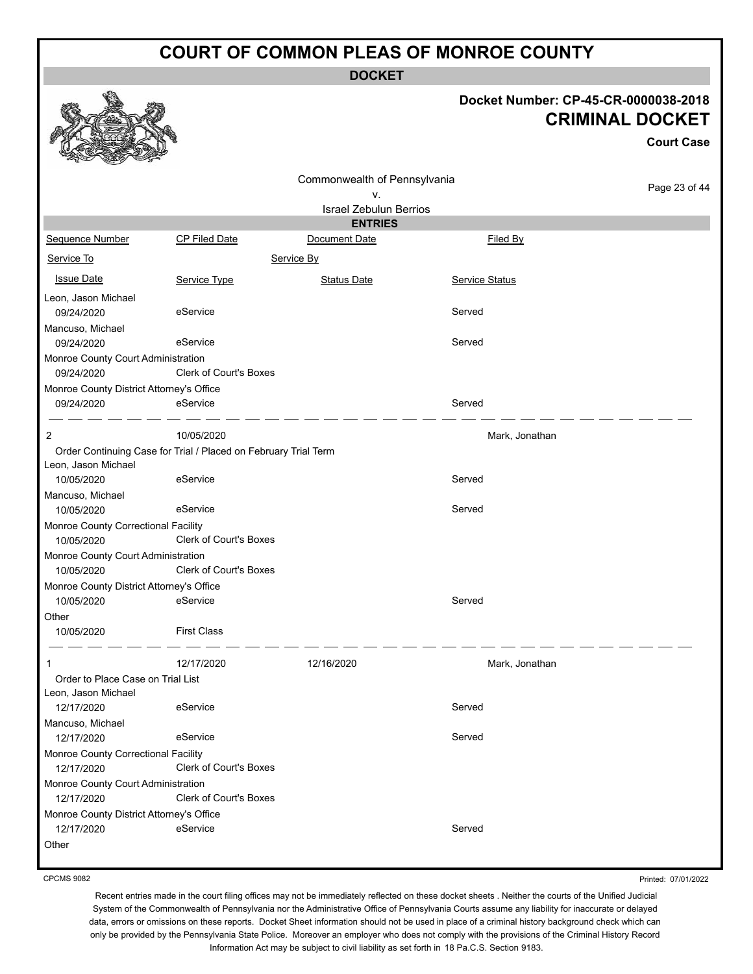**DOCKET**

#### **Docket Number: CP-45-CR-0000038-2018 CRIMINAL DOCKET**

**Court Case**

|                                                   |                                                                 |                               |                | GUULL GASA    |
|---------------------------------------------------|-----------------------------------------------------------------|-------------------------------|----------------|---------------|
|                                                   |                                                                 | Commonwealth of Pennsylvania  |                |               |
|                                                   |                                                                 | ٧.                            |                | Page 23 of 44 |
|                                                   |                                                                 | <b>Israel Zebulun Berrios</b> |                |               |
|                                                   |                                                                 | <b>ENTRIES</b>                |                |               |
| Sequence Number                                   | <b>CP Filed Date</b>                                            | Document Date                 | Filed By       |               |
| Service To                                        |                                                                 | Service By                    |                |               |
| <b>Issue Date</b>                                 | Service Type                                                    | <b>Status Date</b>            | Service Status |               |
| Leon, Jason Michael                               |                                                                 |                               |                |               |
| 09/24/2020                                        | eService                                                        |                               | Served         |               |
| Mancuso, Michael                                  |                                                                 |                               |                |               |
| 09/24/2020                                        | eService                                                        |                               | Served         |               |
| Monroe County Court Administration                |                                                                 |                               |                |               |
| 09/24/2020                                        | Clerk of Court's Boxes                                          |                               |                |               |
| Monroe County District Attorney's Office          |                                                                 |                               |                |               |
| 09/24/2020                                        | eService                                                        |                               | Served         |               |
| 2                                                 | 10/05/2020                                                      |                               | Mark, Jonathan |               |
|                                                   | Order Continuing Case for Trial / Placed on February Trial Term |                               |                |               |
| Leon, Jason Michael                               |                                                                 |                               |                |               |
| 10/05/2020                                        | eService                                                        |                               | Served         |               |
| Mancuso, Michael                                  |                                                                 |                               |                |               |
| 10/05/2020                                        | eService                                                        |                               | Served         |               |
| Monroe County Correctional Facility               |                                                                 |                               |                |               |
| 10/05/2020                                        | <b>Clerk of Court's Boxes</b>                                   |                               |                |               |
| Monroe County Court Administration                |                                                                 |                               |                |               |
| 10/05/2020                                        | <b>Clerk of Court's Boxes</b>                                   |                               |                |               |
| Monroe County District Attorney's Office          |                                                                 |                               |                |               |
| 10/05/2020                                        | eService                                                        |                               | Served         |               |
| Other                                             |                                                                 |                               |                |               |
| 10/05/2020                                        | <b>First Class</b>                                              |                               |                |               |
| 1                                                 | 12/17/2020                                                      | 12/16/2020                    | Mark, Jonathan |               |
| Order to Place Case on Trial List                 |                                                                 |                               |                |               |
| Leon, Jason Michael                               |                                                                 |                               |                |               |
| 12/17/2020                                        | eService                                                        |                               | Served         |               |
| Mancuso, Michael                                  |                                                                 |                               |                |               |
| 12/17/2020                                        | eService                                                        |                               | Served         |               |
| Monroe County Correctional Facility<br>12/17/2020 | Clerk of Court's Boxes                                          |                               |                |               |
| Monroe County Court Administration<br>12/17/2020  | Clerk of Court's Boxes                                          |                               |                |               |
| Monroe County District Attorney's Office          |                                                                 |                               |                |               |
| 12/17/2020                                        | eService                                                        |                               | Served         |               |
| Other                                             |                                                                 |                               |                |               |

CPCMS 9082

Printed: 07/01/2022

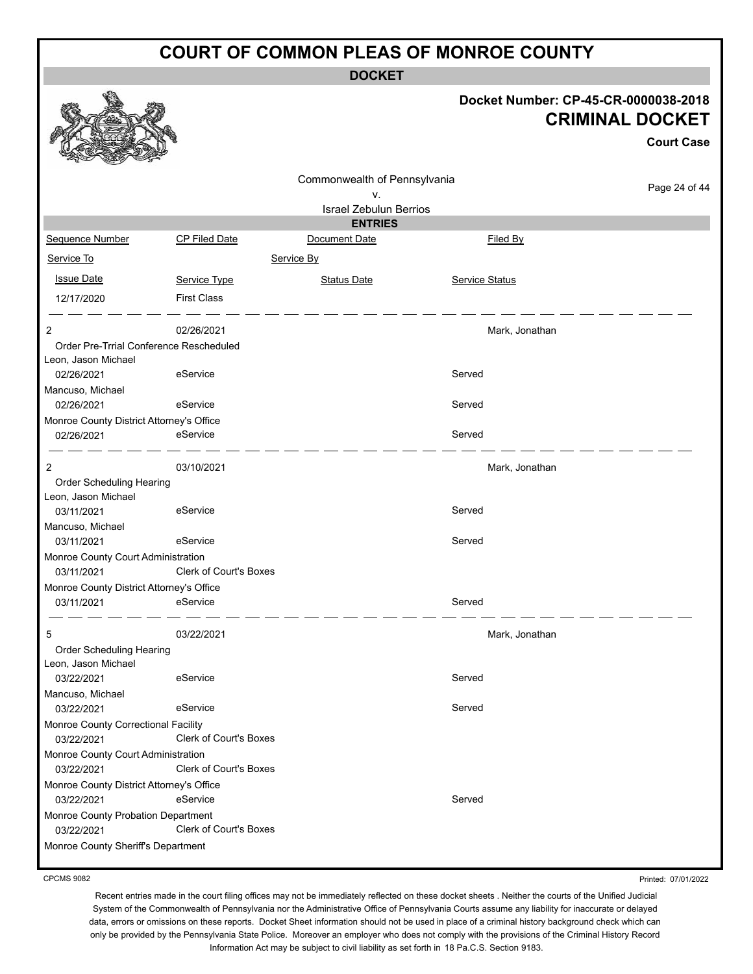**DOCKET**

# **Docket Number: CP-45-CR-0000038-2018 CRIMINAL DOCKET**

**Court Case**

|                                                                |                               | Commonwealth of Pennsylvania  |                |               |
|----------------------------------------------------------------|-------------------------------|-------------------------------|----------------|---------------|
|                                                                |                               | ٧.                            |                | Page 24 of 44 |
|                                                                |                               | <b>Israel Zebulun Berrios</b> |                |               |
|                                                                |                               | <b>ENTRIES</b>                |                |               |
| Sequence Number                                                | CP Filed Date                 | Document Date                 | Filed By       |               |
| Service To                                                     |                               | Service By                    |                |               |
| <b>Issue Date</b>                                              | Service Type                  | <b>Status Date</b>            | Service Status |               |
| 12/17/2020                                                     | <b>First Class</b>            |                               |                |               |
|                                                                |                               |                               |                |               |
| $\overline{c}$                                                 | 02/26/2021                    |                               | Mark, Jonathan |               |
| Order Pre-Trrial Conference Rescheduled<br>Leon, Jason Michael |                               |                               |                |               |
| 02/26/2021                                                     | eService                      |                               | Served         |               |
| Mancuso, Michael                                               |                               |                               |                |               |
| 02/26/2021                                                     | eService                      |                               | Served         |               |
| Monroe County District Attorney's Office                       |                               |                               |                |               |
| 02/26/2021                                                     | eService                      |                               | Served         |               |
|                                                                |                               |                               |                |               |
| $\overline{c}$                                                 | 03/10/2021                    |                               | Mark, Jonathan |               |
| Order Scheduling Hearing                                       |                               |                               |                |               |
| Leon, Jason Michael                                            |                               |                               |                |               |
| 03/11/2021                                                     | eService                      |                               | Served         |               |
| Mancuso, Michael                                               |                               |                               |                |               |
| 03/11/2021                                                     | eService                      |                               | Served         |               |
| Monroe County Court Administration                             |                               |                               |                |               |
| 03/11/2021                                                     | <b>Clerk of Court's Boxes</b> |                               |                |               |
| Monroe County District Attorney's Office                       |                               |                               |                |               |
| 03/11/2021                                                     | eService                      |                               | Served         |               |
| 5                                                              | 03/22/2021                    |                               | Mark, Jonathan |               |
| Order Scheduling Hearing                                       |                               |                               |                |               |
| Leon, Jason Michael                                            |                               |                               |                |               |
| 03/22/2021                                                     | eService                      |                               | Served         |               |
| Mancuso, Michael                                               |                               |                               |                |               |
| 03/22/2021                                                     | eService                      |                               | Served         |               |
| Monroe County Correctional Facility                            |                               |                               |                |               |
| 03/22/2021                                                     | Clerk of Court's Boxes        |                               |                |               |
| Monroe County Court Administration                             |                               |                               |                |               |
| 03/22/2021                                                     | Clerk of Court's Boxes        |                               |                |               |
| Monroe County District Attorney's Office                       |                               |                               |                |               |
| 03/22/2021                                                     | eService                      |                               | Served         |               |
| Monroe County Probation Department                             |                               |                               |                |               |
| 03/22/2021                                                     | Clerk of Court's Boxes        |                               |                |               |
| Monroe County Sheriff's Department                             |                               |                               |                |               |
|                                                                |                               |                               |                |               |

CPCMS 9082

Printed: 07/01/2022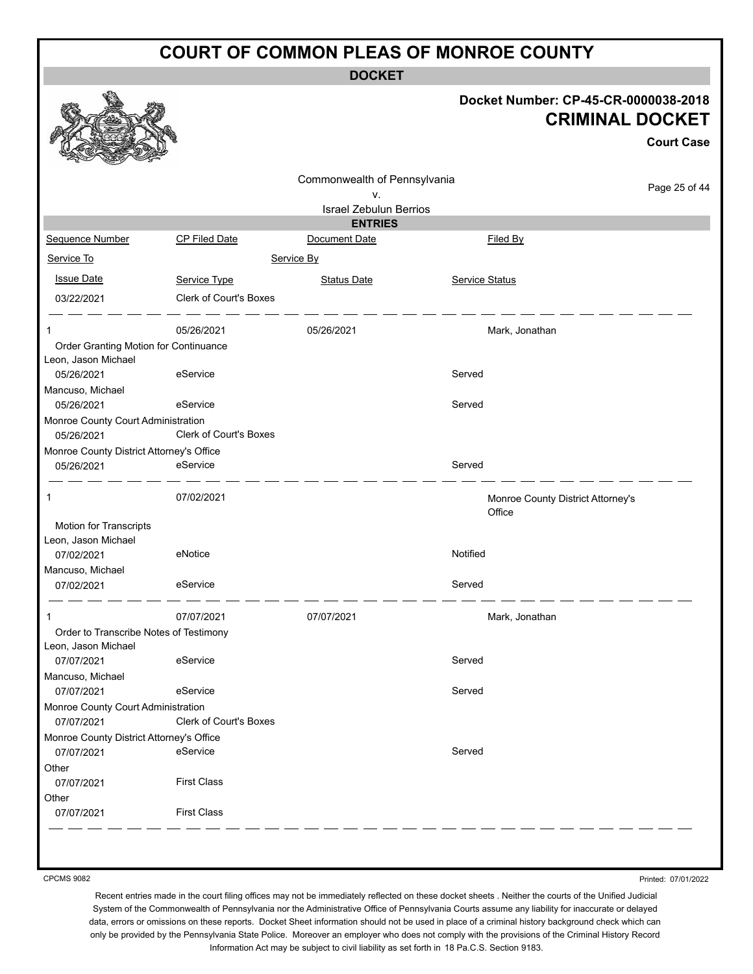**DOCKET**

|                                                              |                               | <b>DOCKEI</b>                 |                |                                                                |                   |
|--------------------------------------------------------------|-------------------------------|-------------------------------|----------------|----------------------------------------------------------------|-------------------|
|                                                              |                               |                               |                | Docket Number: CP-45-CR-0000038-2018<br><b>CRIMINAL DOCKET</b> | <b>Court Case</b> |
|                                                              |                               | Commonwealth of Pennsylvania  |                |                                                                |                   |
|                                                              |                               | ۷.                            |                |                                                                | Page 25 of 44     |
|                                                              |                               | <b>Israel Zebulun Berrios</b> |                |                                                                |                   |
|                                                              |                               | <b>ENTRIES</b>                |                |                                                                |                   |
| Sequence Number                                              | CP Filed Date                 | Document Date                 |                | Filed By                                                       |                   |
| Service To                                                   |                               | Service By                    |                |                                                                |                   |
| <b>Issue Date</b>                                            | Service Type                  | <b>Status Date</b>            | Service Status |                                                                |                   |
| 03/22/2021                                                   | Clerk of Court's Boxes        |                               |                |                                                                |                   |
| 1                                                            | 05/26/2021                    | 05/26/2021                    |                | Mark, Jonathan                                                 |                   |
| Order Granting Motion for Continuance<br>Leon, Jason Michael |                               |                               |                |                                                                |                   |
| 05/26/2021                                                   | eService                      |                               | Served         |                                                                |                   |
| Mancuso, Michael                                             |                               |                               |                |                                                                |                   |
| 05/26/2021                                                   | eService                      |                               | Served         |                                                                |                   |
| Monroe County Court Administration<br>05/26/2021             | Clerk of Court's Boxes        |                               |                |                                                                |                   |
| Monroe County District Attorney's Office<br>05/26/2021       | eService                      |                               | Served         |                                                                |                   |
| 1                                                            | 07/02/2021                    |                               |                | Monroe County District Attorney's<br>Office                    |                   |
| Motion for Transcripts                                       |                               |                               |                |                                                                |                   |
| Leon, Jason Michael                                          |                               |                               |                |                                                                |                   |
| 07/02/2021                                                   | eNotice                       |                               | Notified       |                                                                |                   |
| Mancuso, Michael                                             |                               |                               |                |                                                                |                   |
| 07/02/2021                                                   | eService                      |                               | Served         |                                                                |                   |
|                                                              | 07/07/2021                    | 07/07/2021                    |                | Mark, Jonathan                                                 |                   |
| Order to Transcribe Notes of Testimony                       |                               |                               |                |                                                                |                   |
| Leon, Jason Michael                                          |                               |                               |                |                                                                |                   |
| 07/07/2021                                                   | eService                      |                               | Served         |                                                                |                   |
| Mancuso, Michael                                             |                               |                               |                |                                                                |                   |
| 07/07/2021                                                   | eService                      |                               | Served         |                                                                |                   |
| Monroe County Court Administration                           |                               |                               |                |                                                                |                   |
| 07/07/2021                                                   | <b>Clerk of Court's Boxes</b> |                               |                |                                                                |                   |
| Monroe County District Attorney's Office<br>07/07/2021       | eService                      |                               | Served         |                                                                |                   |
| Other                                                        |                               |                               |                |                                                                |                   |
| 07/07/2021                                                   | <b>First Class</b>            |                               |                |                                                                |                   |
| Other                                                        |                               |                               |                |                                                                |                   |
| 07/07/2021                                                   | <b>First Class</b>            |                               |                |                                                                |                   |
|                                                              |                               |                               |                |                                                                |                   |
|                                                              |                               |                               |                |                                                                |                   |

CPCMS 9082

Printed: 07/01/2022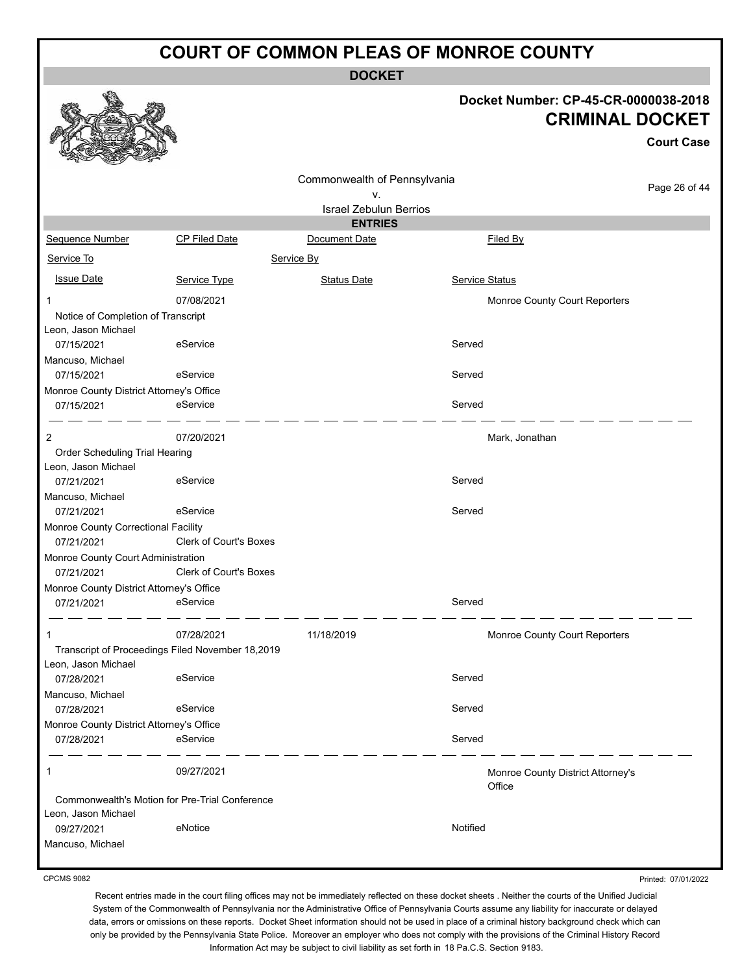**DOCKET**

#### **Docket Number: CP-45-CR-0000038-2018 CRIMINAL DOCKET**

**Court Case**

|                                                        |                                                  | Commonwealth of Pennsylvania                    |                                   | Page 26 of 44 |
|--------------------------------------------------------|--------------------------------------------------|-------------------------------------------------|-----------------------------------|---------------|
|                                                        |                                                  | ٧.                                              |                                   |               |
|                                                        |                                                  | <b>Israel Zebulun Berrios</b><br><b>ENTRIES</b> |                                   |               |
| Sequence Number                                        | CP Filed Date                                    | Document Date                                   | Filed By                          |               |
|                                                        |                                                  |                                                 |                                   |               |
| Service To                                             |                                                  | Service By                                      |                                   |               |
| <b>Issue Date</b>                                      | Service Type                                     | <b>Status Date</b>                              | Service Status                    |               |
| -1                                                     | 07/08/2021                                       |                                                 | Monroe County Court Reporters     |               |
| Notice of Completion of Transcript                     |                                                  |                                                 |                                   |               |
| Leon, Jason Michael                                    |                                                  |                                                 |                                   |               |
| 07/15/2021                                             | eService                                         |                                                 | Served                            |               |
| Mancuso, Michael                                       | eService                                         |                                                 | Served                            |               |
| 07/15/2021<br>Monroe County District Attorney's Office |                                                  |                                                 |                                   |               |
| 07/15/2021                                             | eService                                         |                                                 | Served                            |               |
|                                                        |                                                  |                                                 |                                   |               |
| 2                                                      | 07/20/2021                                       |                                                 | Mark, Jonathan                    |               |
| Order Scheduling Trial Hearing                         |                                                  |                                                 |                                   |               |
| Leon, Jason Michael                                    |                                                  |                                                 |                                   |               |
| 07/21/2021                                             | eService                                         |                                                 | Served                            |               |
| Mancuso, Michael                                       |                                                  |                                                 |                                   |               |
| 07/21/2021                                             | eService                                         |                                                 | Served                            |               |
| Monroe County Correctional Facility                    |                                                  |                                                 |                                   |               |
| 07/21/2021                                             | Clerk of Court's Boxes                           |                                                 |                                   |               |
| Monroe County Court Administration                     |                                                  |                                                 |                                   |               |
| 07/21/2021                                             | <b>Clerk of Court's Boxes</b>                    |                                                 |                                   |               |
| Monroe County District Attorney's Office               | eService                                         |                                                 | Served                            |               |
| 07/21/2021                                             |                                                  |                                                 |                                   |               |
| 1                                                      | 07/28/2021                                       | 11/18/2019                                      | Monroe County Court Reporters     |               |
|                                                        | Transcript of Proceedings Filed November 18,2019 |                                                 |                                   |               |
| Leon, Jason Michael                                    |                                                  |                                                 |                                   |               |
| 07/28/2021                                             | eService                                         |                                                 | Served                            |               |
| Mancuso, Michael                                       |                                                  |                                                 |                                   |               |
| 07/28/2021                                             | eService                                         |                                                 | Served                            |               |
| Monroe County District Attorney's Office               |                                                  |                                                 |                                   |               |
| 07/28/2021                                             | eService                                         |                                                 | Served                            |               |
| 1                                                      | 09/27/2021                                       |                                                 | Monroe County District Attorney's |               |
|                                                        |                                                  |                                                 | Office                            |               |
|                                                        | Commonwealth's Motion for Pre-Trial Conference   |                                                 |                                   |               |
| Leon, Jason Michael<br>09/27/2021                      | eNotice                                          |                                                 | Notified                          |               |
|                                                        |                                                  |                                                 |                                   |               |
| Mancuso, Michael                                       |                                                  |                                                 |                                   |               |

CPCMS 9082

Printed: 07/01/2022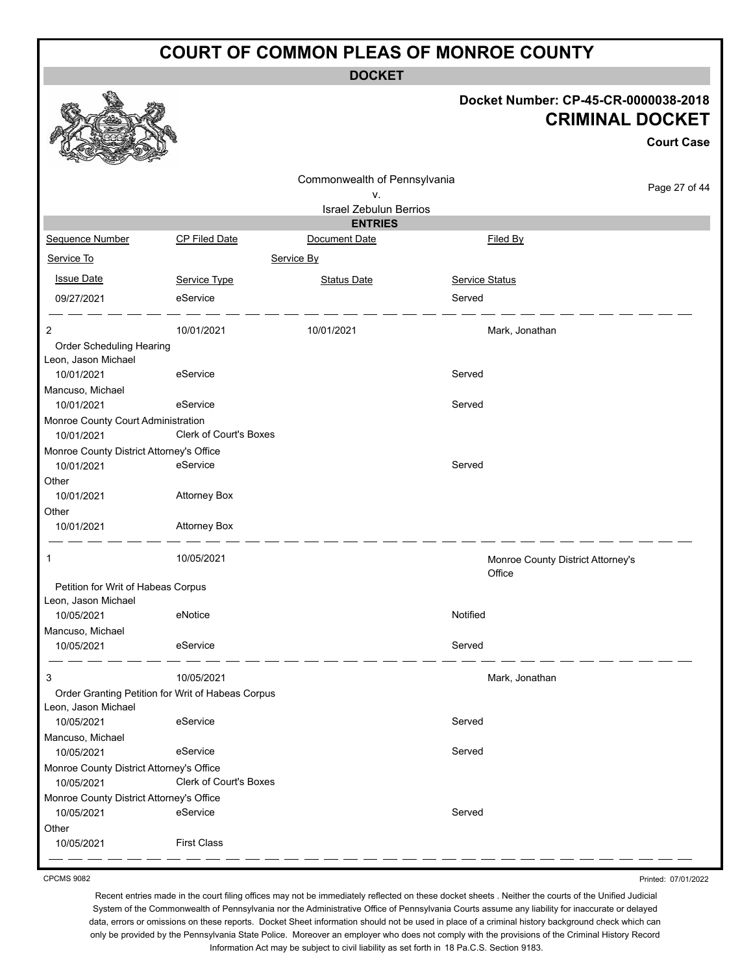**DOCKET**

#### **Docket Number: CP-45-CR-0000038-2018 CRIMINAL DOCKET**

**Court Case**

|                                          |                                                   | Commonwealth of Pennsylvania  |                                   |               |
|------------------------------------------|---------------------------------------------------|-------------------------------|-----------------------------------|---------------|
|                                          |                                                   | ٧.                            |                                   | Page 27 of 44 |
|                                          |                                                   | <b>Israel Zebulun Berrios</b> |                                   |               |
|                                          |                                                   | <b>ENTRIES</b>                |                                   |               |
| Sequence Number                          | CP Filed Date                                     | Document Date                 | Filed By                          |               |
| Service To                               |                                                   | Service By                    |                                   |               |
| <b>Issue Date</b>                        | Service Type                                      | <b>Status Date</b>            | <b>Service Status</b>             |               |
| 09/27/2021                               | eService                                          |                               | Served                            |               |
| 2                                        | 10/01/2021                                        | 10/01/2021                    | Mark, Jonathan                    |               |
| Order Scheduling Hearing                 |                                                   |                               |                                   |               |
| Leon, Jason Michael                      |                                                   |                               |                                   |               |
| 10/01/2021                               | eService                                          |                               | Served                            |               |
| Mancuso, Michael                         |                                                   |                               |                                   |               |
| 10/01/2021                               | eService                                          |                               | Served                            |               |
| Monroe County Court Administration       |                                                   |                               |                                   |               |
| 10/01/2021                               | Clerk of Court's Boxes                            |                               |                                   |               |
| Monroe County District Attorney's Office |                                                   |                               |                                   |               |
| 10/01/2021                               | eService                                          |                               | Served                            |               |
| Other                                    |                                                   |                               |                                   |               |
| 10/01/2021                               | <b>Attorney Box</b>                               |                               |                                   |               |
| Other                                    |                                                   |                               |                                   |               |
| 10/01/2021                               | <b>Attorney Box</b>                               |                               |                                   |               |
| $\mathbf{1}$                             | 10/05/2021                                        |                               | Monroe County District Attorney's |               |
|                                          |                                                   |                               | Office                            |               |
| Petition for Writ of Habeas Corpus       |                                                   |                               |                                   |               |
| Leon, Jason Michael                      |                                                   |                               |                                   |               |
| 10/05/2021                               | eNotice                                           |                               | Notified                          |               |
| Mancuso, Michael                         |                                                   |                               |                                   |               |
| 10/05/2021                               | eService                                          |                               | Served                            |               |
| 3                                        | 10/05/2021                                        |                               | Mark, Jonathan                    |               |
|                                          | Order Granting Petition for Writ of Habeas Corpus |                               |                                   |               |
| Leon, Jason Michael                      |                                                   |                               |                                   |               |
| 10/05/2021                               | eService                                          |                               | Served                            |               |
| Mancuso, Michael                         |                                                   |                               |                                   |               |
| 10/05/2021                               | eService                                          |                               | Served                            |               |
| Monroe County District Attorney's Office |                                                   |                               |                                   |               |
| 10/05/2021                               | Clerk of Court's Boxes                            |                               |                                   |               |
| Monroe County District Attorney's Office |                                                   |                               |                                   |               |
| 10/05/2021                               | eService                                          |                               | Served                            |               |
| Other                                    |                                                   |                               |                                   |               |
| 10/05/2021                               | <b>First Class</b>                                |                               |                                   |               |
|                                          |                                                   |                               |                                   |               |

CPCMS 9082

Printed: 07/01/2022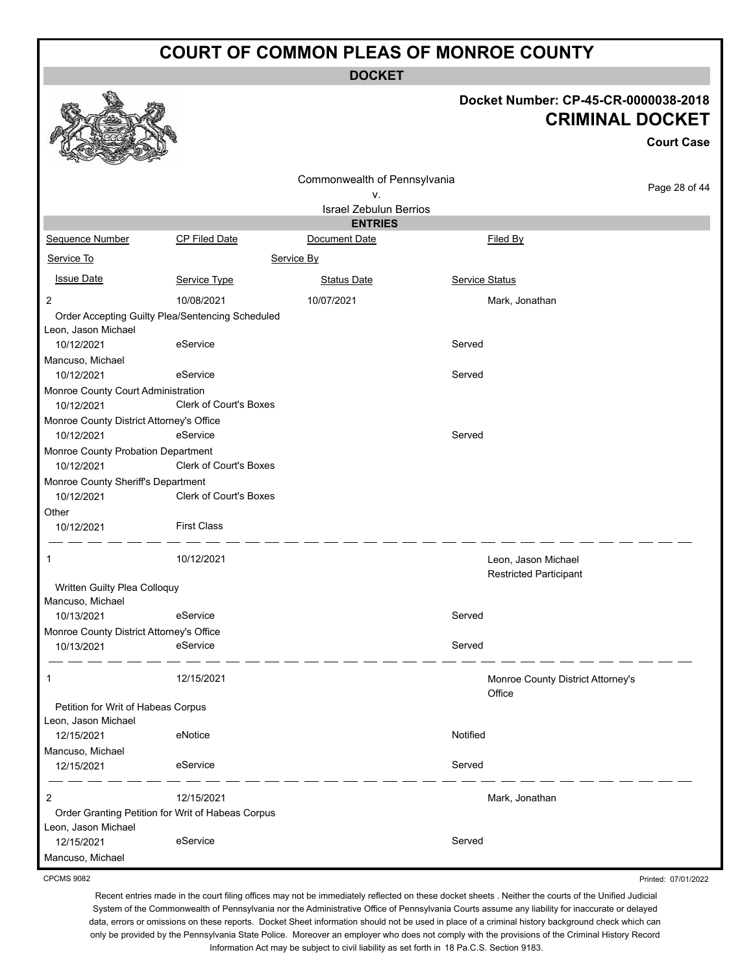**DOCKET**

### **Docket Number: CP-45-CR-0000038-2018 CRIMINAL DOCKET**

**Court Case**

|                                          |                                                   | Commonwealth of Pennsylvania  |                                   |               |
|------------------------------------------|---------------------------------------------------|-------------------------------|-----------------------------------|---------------|
|                                          |                                                   | v.                            |                                   | Page 28 of 44 |
|                                          |                                                   | <b>Israel Zebulun Berrios</b> |                                   |               |
|                                          |                                                   | <b>ENTRIES</b>                |                                   |               |
| Sequence Number                          | CP Filed Date                                     | Document Date                 | Filed By                          |               |
| Service To                               |                                                   | Service By                    |                                   |               |
| <b>Issue Date</b>                        | Service Type                                      | <b>Status Date</b>            | Service Status                    |               |
| $\overline{c}$                           | 10/08/2021                                        | 10/07/2021                    | Mark, Jonathan                    |               |
|                                          | Order Accepting Guilty Plea/Sentencing Scheduled  |                               |                                   |               |
| Leon, Jason Michael                      |                                                   |                               |                                   |               |
| 10/12/2021                               | eService                                          |                               | Served                            |               |
| Mancuso, Michael                         |                                                   |                               |                                   |               |
| 10/12/2021                               | eService                                          |                               | Served                            |               |
| Monroe County Court Administration       |                                                   |                               |                                   |               |
| 10/12/2021                               | <b>Clerk of Court's Boxes</b>                     |                               |                                   |               |
| Monroe County District Attorney's Office |                                                   |                               |                                   |               |
| 10/12/2021                               | eService                                          |                               | Served                            |               |
| Monroe County Probation Department       |                                                   |                               |                                   |               |
| 10/12/2021                               | Clerk of Court's Boxes                            |                               |                                   |               |
| Monroe County Sheriff's Department       | Clerk of Court's Boxes                            |                               |                                   |               |
| 10/12/2021                               |                                                   |                               |                                   |               |
| Other<br>10/12/2021                      | <b>First Class</b>                                |                               |                                   |               |
|                                          |                                                   |                               |                                   |               |
| 1                                        | 10/12/2021                                        |                               | Leon, Jason Michael               |               |
|                                          |                                                   |                               | <b>Restricted Participant</b>     |               |
| Written Guilty Plea Colloquy             |                                                   |                               |                                   |               |
| Mancuso, Michael                         |                                                   |                               |                                   |               |
| 10/13/2021                               | eService                                          |                               | Served                            |               |
| Monroe County District Attorney's Office |                                                   |                               |                                   |               |
| 10/13/2021                               | eService                                          |                               | Served                            |               |
| 1                                        | 12/15/2021                                        |                               | Monroe County District Attorney's |               |
|                                          |                                                   |                               | Office                            |               |
| Petition for Writ of Habeas Corpus       |                                                   |                               |                                   |               |
| Leon, Jason Michael                      |                                                   |                               |                                   |               |
| 12/15/2021                               | eNotice                                           |                               | Notified                          |               |
| Mancuso, Michael                         |                                                   |                               |                                   |               |
| 12/15/2021                               | eService                                          |                               | Served                            |               |
| 2                                        | 12/15/2021                                        |                               | Mark, Jonathan                    |               |
|                                          | Order Granting Petition for Writ of Habeas Corpus |                               |                                   |               |
| Leon, Jason Michael                      |                                                   |                               |                                   |               |
| 12/15/2021                               | eService                                          |                               | Served                            |               |
| Mancuso, Michael                         |                                                   |                               |                                   |               |

CPCMS 9082

Printed: 07/01/2022

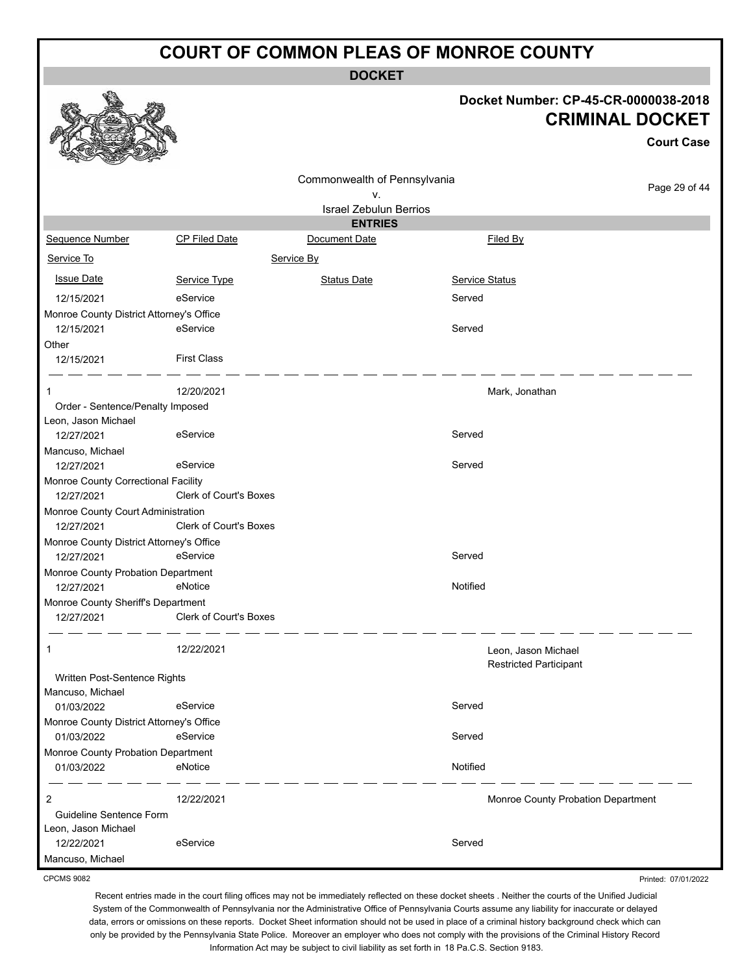**DOCKET**

#### **Docket Number: CP-45-CR-0000038-2018 CRIMINAL DOCKET**

|                                                  |                        | JNIIIIIIHAL DUVNET            |                                                      |                   |
|--------------------------------------------------|------------------------|-------------------------------|------------------------------------------------------|-------------------|
|                                                  |                        |                               |                                                      | <b>Court Case</b> |
|                                                  |                        | Commonwealth of Pennsylvania  |                                                      |                   |
|                                                  |                        | ν.                            |                                                      | Page 29 of 44     |
|                                                  |                        | <b>Israel Zebulun Berrios</b> |                                                      |                   |
|                                                  |                        | <b>ENTRIES</b>                |                                                      |                   |
| Sequence Number                                  | <b>CP Filed Date</b>   | Document Date                 | Filed By                                             |                   |
| Service To                                       |                        | Service By                    |                                                      |                   |
| <b>Issue Date</b>                                | Service Type           | <b>Status Date</b>            | Service Status                                       |                   |
| 12/15/2021                                       | eService               |                               | Served                                               |                   |
| Monroe County District Attorney's Office         |                        |                               |                                                      |                   |
| 12/15/2021                                       | eService               |                               | Served                                               |                   |
| Other                                            |                        |                               |                                                      |                   |
| 12/15/2021                                       | <b>First Class</b>     |                               |                                                      |                   |
| 1                                                | 12/20/2021             |                               | Mark, Jonathan                                       |                   |
| Order - Sentence/Penalty Imposed                 |                        |                               |                                                      |                   |
| Leon, Jason Michael                              |                        |                               |                                                      |                   |
| 12/27/2021                                       | eService               |                               | Served                                               |                   |
| Mancuso, Michael                                 |                        |                               |                                                      |                   |
| 12/27/2021                                       | eService               |                               | Served                                               |                   |
| Monroe County Correctional Facility              |                        |                               |                                                      |                   |
| 12/27/2021                                       | Clerk of Court's Boxes |                               |                                                      |                   |
| Monroe County Court Administration               |                        |                               |                                                      |                   |
| 12/27/2021                                       | Clerk of Court's Boxes |                               |                                                      |                   |
| Monroe County District Attorney's Office         |                        |                               |                                                      |                   |
| 12/27/2021                                       | eService               |                               | Served                                               |                   |
| Monroe County Probation Department               |                        |                               |                                                      |                   |
| 12/27/2021                                       | eNotice                |                               | Notified                                             |                   |
| Monroe County Sheriff's Department<br>12/27/2021 | Clerk of Court's Boxes |                               |                                                      |                   |
|                                                  | 12/22/2021             |                               | Leon, Jason Michael<br><b>Restricted Participant</b> |                   |
| Written Post-Sentence Rights                     |                        |                               |                                                      |                   |
| Mancuso, Michael                                 |                        |                               |                                                      |                   |
| 01/03/2022                                       | eService               |                               | Served                                               |                   |
| Monroe County District Attorney's Office         |                        |                               |                                                      |                   |
| 01/03/2022                                       | eService               |                               | Served                                               |                   |
| Monroe County Probation Department               |                        |                               |                                                      |                   |
| 01/03/2022                                       | eNotice                |                               | Notified                                             |                   |
| 2                                                | 12/22/2021             |                               | Monroe County Probation Department                   |                   |
| Guideline Sentence Form                          |                        |                               |                                                      |                   |
| Leon, Jason Michael                              |                        |                               |                                                      |                   |
| 12/22/2021                                       | eService               |                               | Served                                               |                   |
| Mancuso, Michael                                 |                        |                               |                                                      |                   |

CPCMS 9082

**RAA** 

Recent entries made in the court filing offices may not be immediately reflected on these docket sheets . Neither the courts of the Unified Judicial System of the Commonwealth of Pennsylvania nor the Administrative Office of Pennsylvania Courts assume any liability for inaccurate or delayed data, errors or omissions on these reports. Docket Sheet information should not be used in place of a criminal history background check which can only be provided by the Pennsylvania State Police. Moreover an employer who does not comply with the provisions of the Criminal History Record Information Act may be subject to civil liability as set forth in 18 Pa.C.S. Section 9183.

Printed: 07/01/2022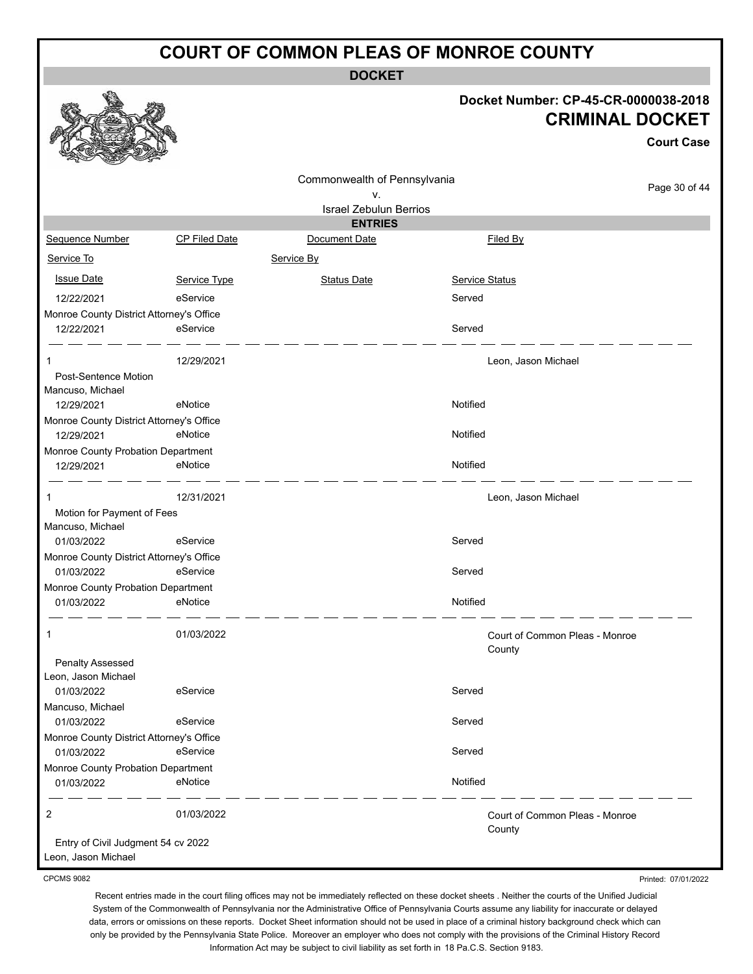**DOCKET**

#### **Docket Number: CP-45-CR-0000038-2018 CRIMINAL DOCKET**

**Court Case**

|                                                           |                      |                               |                     | Court Case                     |
|-----------------------------------------------------------|----------------------|-------------------------------|---------------------|--------------------------------|
|                                                           |                      | Commonwealth of Pennsylvania  |                     | Page 30 of 44                  |
|                                                           |                      | ۷.                            |                     |                                |
|                                                           |                      | <b>Israel Zebulun Berrios</b> |                     |                                |
|                                                           |                      | <b>ENTRIES</b>                |                     |                                |
| Sequence Number                                           | <b>CP Filed Date</b> | Document Date                 | Filed By            |                                |
| Service To                                                |                      | Service By                    |                     |                                |
| <b>Issue Date</b>                                         | Service Type         | <b>Status Date</b>            | Service Status      |                                |
| 12/22/2021                                                | eService             |                               | Served              |                                |
| Monroe County District Attorney's Office                  |                      |                               |                     |                                |
| 12/22/2021                                                | eService             |                               | Served              |                                |
| 1                                                         | 12/29/2021           |                               | Leon, Jason Michael |                                |
| Post-Sentence Motion                                      |                      |                               |                     |                                |
| Mancuso, Michael                                          |                      |                               |                     |                                |
| 12/29/2021                                                | eNotice              |                               | Notified            |                                |
| Monroe County District Attorney's Office                  |                      |                               |                     |                                |
| 12/29/2021                                                | eNotice              |                               | Notified            |                                |
| Monroe County Probation Department                        |                      |                               |                     |                                |
| 12/29/2021                                                | eNotice              |                               | Notified            |                                |
| -1                                                        | 12/31/2021           |                               | Leon, Jason Michael |                                |
| Motion for Payment of Fees                                |                      |                               |                     |                                |
| Mancuso, Michael                                          |                      |                               |                     |                                |
| 01/03/2022                                                | eService             |                               | Served              |                                |
| Monroe County District Attorney's Office                  |                      |                               |                     |                                |
| 01/03/2022                                                | eService             |                               | Served              |                                |
| Monroe County Probation Department                        |                      |                               |                     |                                |
| 01/03/2022                                                | eNotice              |                               | Notified            |                                |
| 1                                                         | 01/03/2022           |                               |                     | Court of Common Pleas - Monroe |
| Penalty Assessed                                          |                      |                               | County              |                                |
| Leon, Jason Michael                                       |                      |                               |                     |                                |
| 01/03/2022                                                | eService             |                               | Served              |                                |
| Mancuso, Michael                                          |                      |                               |                     |                                |
| 01/03/2022                                                | eService             |                               | Served              |                                |
| Monroe County District Attorney's Office                  |                      |                               |                     |                                |
| 01/03/2022                                                | eService             |                               | Served              |                                |
| Monroe County Probation Department                        |                      |                               |                     |                                |
| 01/03/2022                                                | eNotice              |                               | Notified            |                                |
| $\overline{2}$                                            | 01/03/2022           |                               | County              | Court of Common Pleas - Monroe |
| Entry of Civil Judgment 54 cv 2022<br>Leon, Jason Michael |                      |                               |                     |                                |

CPCMS 9082

Printed: 07/01/2022

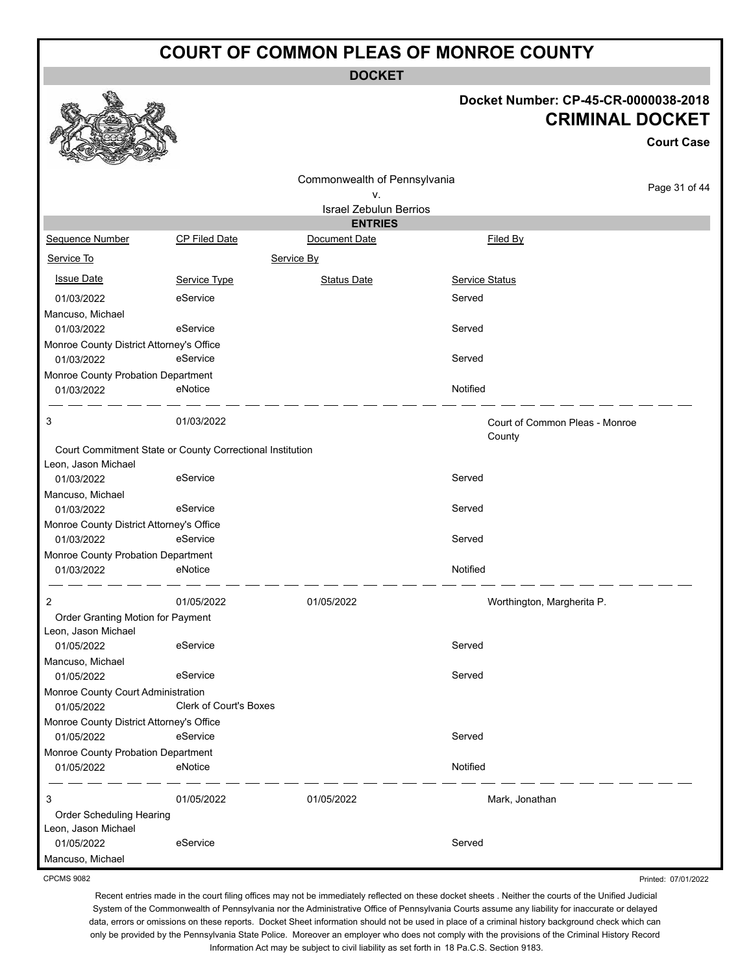**DOCKET**

#### **Docket Number: CP-45-CR-0000038-2018 CRIMINAL DOCKET**

**Court Case**

|                                          |                                                           | Commonwealth of Pennsylvania  |                                |               |
|------------------------------------------|-----------------------------------------------------------|-------------------------------|--------------------------------|---------------|
|                                          |                                                           | ν.                            |                                | Page 31 of 44 |
|                                          |                                                           | <b>Israel Zebulun Berrios</b> |                                |               |
|                                          |                                                           | <b>ENTRIES</b>                |                                |               |
| Sequence Number                          | <b>CP Filed Date</b>                                      | Document Date                 | Filed By                       |               |
| Service To                               |                                                           | Service By                    |                                |               |
| <b>Issue Date</b>                        | Service Type                                              | <b>Status Date</b>            | <b>Service Status</b>          |               |
| 01/03/2022                               | eService                                                  |                               | Served                         |               |
| Mancuso, Michael                         |                                                           |                               |                                |               |
| 01/03/2022                               | eService                                                  |                               | Served                         |               |
| Monroe County District Attorney's Office |                                                           |                               |                                |               |
| 01/03/2022                               | eService                                                  |                               | Served                         |               |
| Monroe County Probation Department       |                                                           |                               |                                |               |
| 01/03/2022                               | eNotice                                                   |                               | Notified                       |               |
| 3                                        | 01/03/2022                                                |                               | Court of Common Pleas - Monroe |               |
|                                          |                                                           |                               | County                         |               |
|                                          | Court Commitment State or County Correctional Institution |                               |                                |               |
| Leon, Jason Michael                      |                                                           |                               |                                |               |
| 01/03/2022                               | eService                                                  |                               | Served                         |               |
| Mancuso, Michael                         |                                                           |                               |                                |               |
| 01/03/2022                               | eService                                                  |                               | Served                         |               |
| Monroe County District Attorney's Office |                                                           |                               |                                |               |
| 01/03/2022                               | eService                                                  |                               | Served                         |               |
| Monroe County Probation Department       |                                                           |                               |                                |               |
| 01/03/2022                               | eNotice                                                   |                               | Notified                       |               |
| 2                                        | 01/05/2022                                                | 01/05/2022                    | Worthington, Margherita P.     |               |
| Order Granting Motion for Payment        |                                                           |                               |                                |               |
| Leon, Jason Michael                      |                                                           |                               |                                |               |
| 01/05/2022                               | eService                                                  |                               | Served                         |               |
| Mancuso, Michael                         |                                                           |                               |                                |               |
| 01/05/2022                               | eService                                                  |                               | Served                         |               |
| Monroe County Court Administration       |                                                           |                               |                                |               |
| 01/05/2022                               | Clerk of Court's Boxes                                    |                               |                                |               |
| Monroe County District Attorney's Office |                                                           |                               |                                |               |
| 01/05/2022                               | eService                                                  |                               | Served                         |               |
| Monroe County Probation Department       |                                                           |                               |                                |               |
| 01/05/2022                               | eNotice                                                   |                               | Notified                       |               |
| 3                                        | 01/05/2022                                                | 01/05/2022                    | Mark, Jonathan                 |               |
| Order Scheduling Hearing                 |                                                           |                               |                                |               |
| Leon, Jason Michael                      |                                                           |                               |                                |               |
| 01/05/2022                               | eService                                                  |                               | Served                         |               |
| Mancuso, Michael                         |                                                           |                               |                                |               |

CPCMS 9082

Recent entries made in the court filing offices may not be immediately reflected on these docket sheets . Neither the courts of the Unified Judicial System of the Commonwealth of Pennsylvania nor the Administrative Office of Pennsylvania Courts assume any liability for inaccurate or delayed data, errors or omissions on these reports. Docket Sheet information should not be used in place of a criminal history background check which can only be provided by the Pennsylvania State Police. Moreover an employer who does not comply with the provisions of the Criminal History Record Information Act may be subject to civil liability as set forth in 18 Pa.C.S. Section 9183.

Printed: 07/01/2022

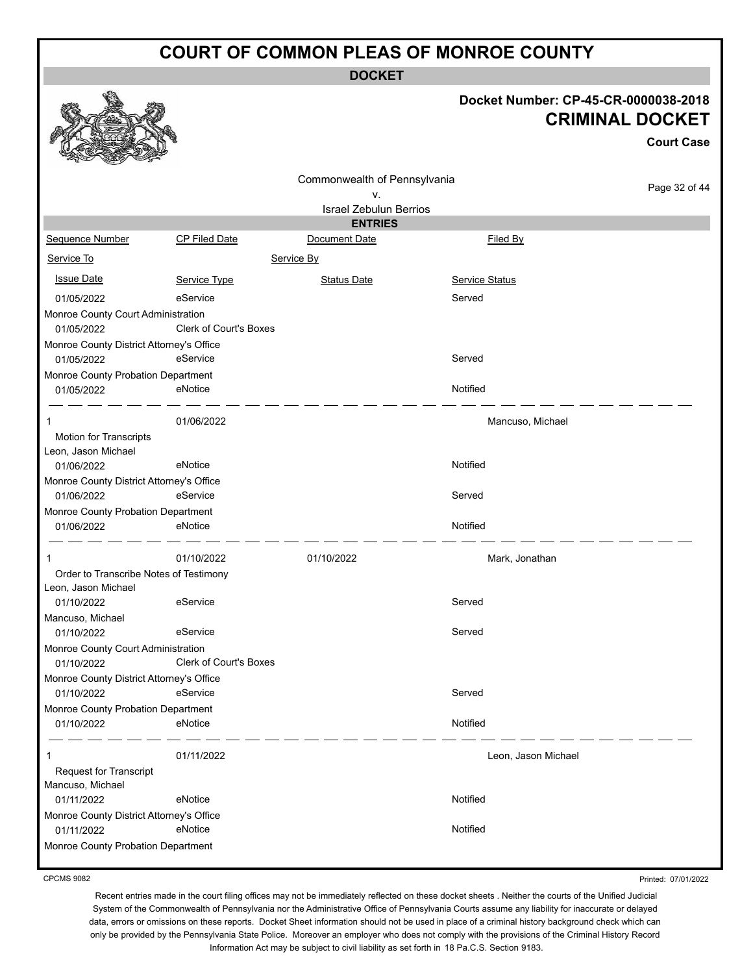**DOCKET**

#### **Docket Number: CP-45-CR-0000038-2018 CRIMINAL DOCKET**

|                                                  |                               |                               |                       | <b>Court Case</b> |
|--------------------------------------------------|-------------------------------|-------------------------------|-----------------------|-------------------|
|                                                  |                               | Commonwealth of Pennsylvania  |                       |                   |
|                                                  |                               | ٧.                            |                       | Page 32 of 44     |
|                                                  |                               | <b>Israel Zebulun Berrios</b> |                       |                   |
|                                                  |                               | <b>ENTRIES</b>                |                       |                   |
| Sequence Number                                  | <b>CP Filed Date</b>          | Document Date                 | Filed By              |                   |
| Service To                                       |                               | Service By                    |                       |                   |
| <b>Issue Date</b>                                | Service Type                  | <b>Status Date</b>            | <b>Service Status</b> |                   |
| 01/05/2022                                       | eService                      |                               | Served                |                   |
| Monroe County Court Administration               |                               |                               |                       |                   |
| 01/05/2022                                       | Clerk of Court's Boxes        |                               |                       |                   |
| Monroe County District Attorney's Office         |                               |                               |                       |                   |
| 01/05/2022                                       | eService                      |                               | Served                |                   |
| Monroe County Probation Department<br>01/05/2022 | eNotice                       |                               | Notified              |                   |
|                                                  |                               |                               |                       |                   |
| 1                                                | 01/06/2022                    |                               | Mancuso, Michael      |                   |
| Motion for Transcripts                           |                               |                               |                       |                   |
| Leon, Jason Michael                              |                               |                               |                       |                   |
| 01/06/2022                                       | eNotice                       |                               | Notified              |                   |
| Monroe County District Attorney's Office         |                               |                               |                       |                   |
| 01/06/2022                                       | eService                      |                               | Served                |                   |
| Monroe County Probation Department<br>01/06/2022 | eNotice                       |                               | Notified              |                   |
|                                                  |                               |                               |                       |                   |
| 1                                                | 01/10/2022                    | 01/10/2022                    | Mark, Jonathan        |                   |
| Order to Transcribe Notes of Testimony           |                               |                               |                       |                   |
| Leon, Jason Michael                              |                               |                               |                       |                   |
| 01/10/2022                                       | eService                      |                               | Served                |                   |
| Mancuso, Michael<br>01/10/2022                   | eService                      |                               | Served                |                   |
| Monroe County Court Administration               |                               |                               |                       |                   |
| 01/10/2022                                       | <b>Clerk of Court's Boxes</b> |                               |                       |                   |
| Monroe County District Attorney's Office         |                               |                               |                       |                   |
| 01/10/2022                                       | eService                      |                               | Served                |                   |
| Monroe County Probation Department               |                               |                               |                       |                   |
| 01/10/2022                                       | eNotice                       |                               | Notified              |                   |
| 1                                                | 01/11/2022                    |                               | Leon, Jason Michael   |                   |
| <b>Request for Transcript</b>                    |                               |                               |                       |                   |
| Mancuso, Michael                                 |                               |                               |                       |                   |
| 01/11/2022                                       | eNotice                       |                               | Notified              |                   |
| Monroe County District Attorney's Office         |                               |                               |                       |                   |
| 01/11/2022                                       | eNotice                       |                               | Notified              |                   |
| Monroe County Probation Department               |                               |                               |                       |                   |

CPCMS 9082

 $\bigotimes_{\sigma}$ 

Printed: 07/01/2022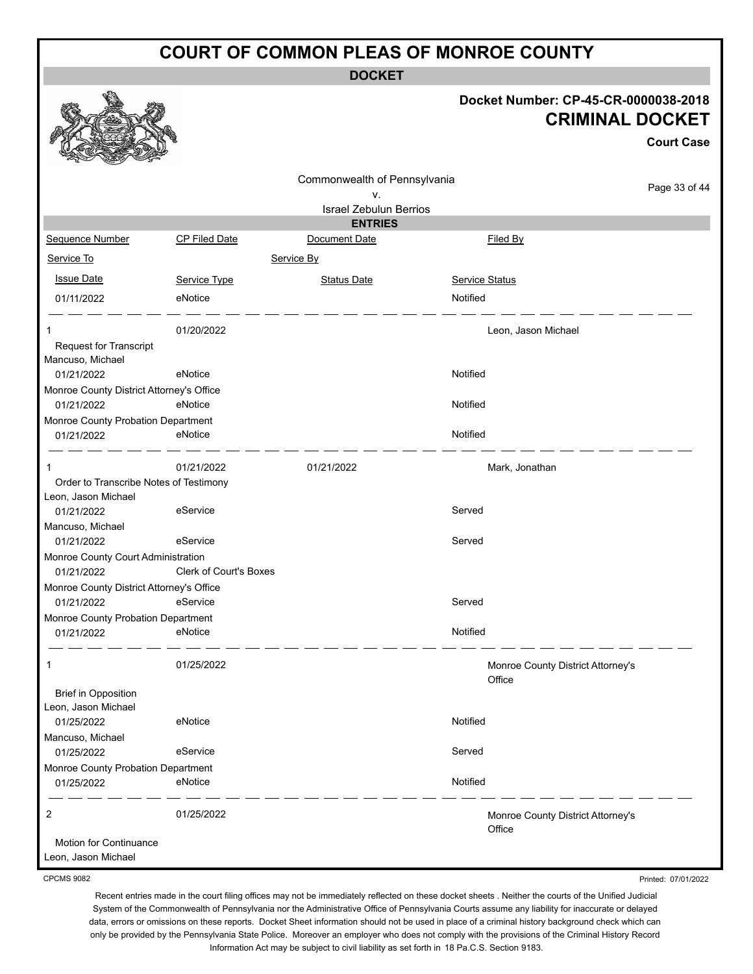**DOCKET**

#### **Docket Number: CP-45-CR-0000038-2018 CRIMINAL DOCKET**

**Court Case**

|                                                   |                               | Commonwealth of Pennsylvania  |                                             |               |
|---------------------------------------------------|-------------------------------|-------------------------------|---------------------------------------------|---------------|
|                                                   |                               | ٧.                            |                                             | Page 33 of 44 |
|                                                   |                               | <b>Israel Zebulun Berrios</b> |                                             |               |
|                                                   |                               | <b>ENTRIES</b>                |                                             |               |
| Sequence Number                                   | <b>CP Filed Date</b>          | Document Date                 | Filed By                                    |               |
| Service To                                        |                               | Service By                    |                                             |               |
| <b>Issue Date</b>                                 | Service Type                  | <b>Status Date</b>            | <b>Service Status</b>                       |               |
| 01/11/2022                                        | eNotice                       |                               | Notified                                    |               |
| 1                                                 | 01/20/2022                    |                               | Leon, Jason Michael                         |               |
| <b>Request for Transcript</b>                     |                               |                               |                                             |               |
| Mancuso, Michael                                  |                               |                               |                                             |               |
| 01/21/2022                                        | eNotice                       |                               | Notified                                    |               |
| Monroe County District Attorney's Office          |                               |                               |                                             |               |
| 01/21/2022                                        | eNotice                       |                               | Notified                                    |               |
| Monroe County Probation Department                |                               |                               |                                             |               |
| 01/21/2022                                        | eNotice                       |                               | Notified                                    |               |
|                                                   | 01/21/2022                    | 01/21/2022                    | Mark, Jonathan                              |               |
| Order to Transcribe Notes of Testimony            |                               |                               |                                             |               |
| Leon, Jason Michael                               |                               |                               |                                             |               |
| 01/21/2022                                        | eService                      |                               | Served                                      |               |
| Mancuso, Michael                                  |                               |                               |                                             |               |
| 01/21/2022                                        | eService                      |                               | Served                                      |               |
| Monroe County Court Administration                |                               |                               |                                             |               |
| 01/21/2022                                        | <b>Clerk of Court's Boxes</b> |                               |                                             |               |
| Monroe County District Attorney's Office          |                               |                               |                                             |               |
| 01/21/2022                                        | eService                      |                               | Served                                      |               |
| Monroe County Probation Department                |                               |                               |                                             |               |
| 01/21/2022                                        | eNotice                       |                               | Notified                                    |               |
| 1                                                 | 01/25/2022                    |                               | Monroe County District Attorney's<br>Office |               |
| <b>Brief in Opposition</b><br>Leon, Jason Michael |                               |                               |                                             |               |
| 01/25/2022                                        | eNotice                       |                               | Notified                                    |               |
| Mancuso, Michael                                  |                               |                               |                                             |               |
| 01/25/2022                                        | eService                      |                               | Served                                      |               |
| Monroe County Probation Department                |                               |                               |                                             |               |
| 01/25/2022                                        | eNotice                       |                               | Notified                                    |               |
| 2                                                 | 01/25/2022                    |                               | Monroe County District Attorney's<br>Office |               |
| Motion for Continuance<br>Leon, Jason Michael     |                               |                               |                                             |               |

CPCMS 9082

Printed: 07/01/2022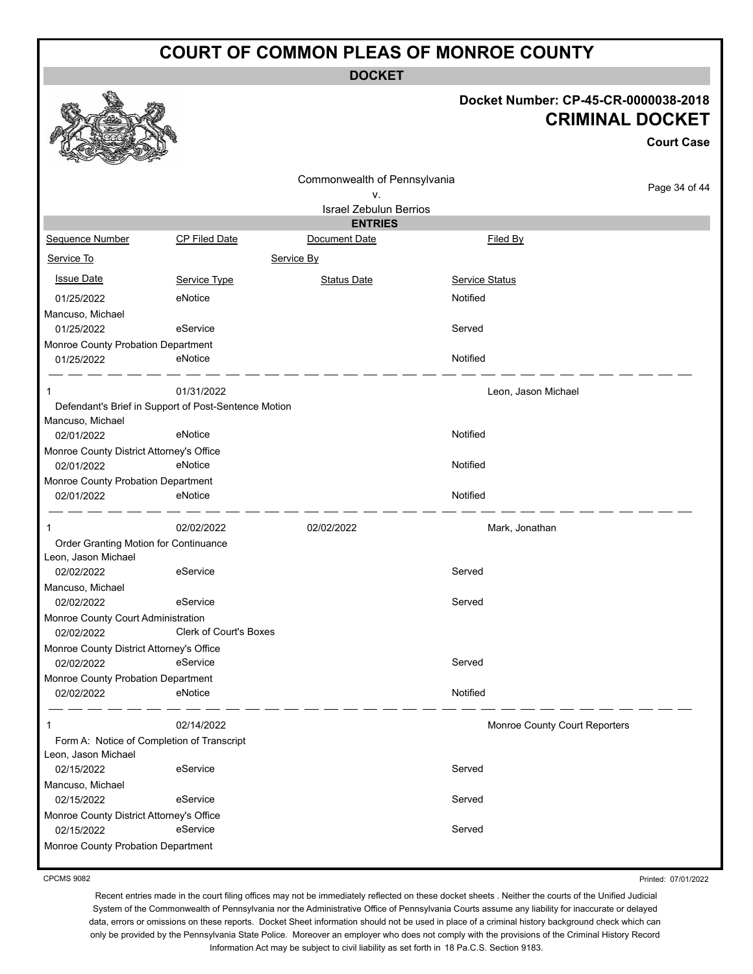**DOCKET**

#### **Docket Number: CP-45-CR-0000038-2018 CRIMINAL DOCKET**

**Court Case**

|                                            |                                                      |                               |                               | υυμι ι υαστ   |
|--------------------------------------------|------------------------------------------------------|-------------------------------|-------------------------------|---------------|
|                                            |                                                      | Commonwealth of Pennsylvania  |                               |               |
|                                            |                                                      | ν.                            |                               | Page 34 of 44 |
|                                            |                                                      | <b>Israel Zebulun Berrios</b> |                               |               |
|                                            |                                                      | <b>ENTRIES</b>                |                               |               |
| Sequence Number                            | <b>CP Filed Date</b>                                 | Document Date                 | Filed By                      |               |
| Service To                                 |                                                      | Service By                    |                               |               |
| <b>Issue Date</b>                          | Service Type                                         | <b>Status Date</b>            | <b>Service Status</b>         |               |
| 01/25/2022                                 | eNotice                                              |                               | Notified                      |               |
| Mancuso, Michael                           |                                                      |                               |                               |               |
| 01/25/2022                                 | eService                                             |                               | Served                        |               |
| Monroe County Probation Department         |                                                      |                               |                               |               |
| 01/25/2022                                 | eNotice                                              |                               | Notified                      |               |
|                                            | 01/31/2022                                           |                               | Leon, Jason Michael           |               |
|                                            | Defendant's Brief in Support of Post-Sentence Motion |                               |                               |               |
| Mancuso, Michael                           |                                                      |                               |                               |               |
| 02/01/2022                                 | eNotice                                              |                               | Notified                      |               |
| Monroe County District Attorney's Office   |                                                      |                               |                               |               |
| 02/01/2022                                 | eNotice                                              |                               | Notified                      |               |
| Monroe County Probation Department         |                                                      |                               |                               |               |
| 02/01/2022                                 | eNotice                                              |                               | Notified                      |               |
| 1                                          | 02/02/2022                                           | 02/02/2022                    | Mark, Jonathan                |               |
| Order Granting Motion for Continuance      |                                                      |                               |                               |               |
| Leon, Jason Michael                        |                                                      |                               |                               |               |
| 02/02/2022                                 | eService                                             |                               | Served                        |               |
| Mancuso, Michael                           |                                                      |                               |                               |               |
| 02/02/2022                                 | eService                                             |                               | Served                        |               |
| Monroe County Court Administration         |                                                      |                               |                               |               |
| 02/02/2022                                 | <b>Clerk of Court's Boxes</b>                        |                               |                               |               |
| Monroe County District Attorney's Office   |                                                      |                               |                               |               |
| 02/02/2022                                 | eService                                             |                               | Served                        |               |
| Monroe County Probation Department         |                                                      |                               |                               |               |
| 02/02/2022                                 | eNotice                                              |                               | Notified                      |               |
|                                            |                                                      |                               |                               |               |
| 1                                          | 02/14/2022                                           |                               | Monroe County Court Reporters |               |
| Form A: Notice of Completion of Transcript |                                                      |                               |                               |               |
| Leon, Jason Michael                        |                                                      |                               |                               |               |
| 02/15/2022                                 | eService                                             |                               | Served                        |               |
| Mancuso, Michael                           |                                                      |                               |                               |               |
| 02/15/2022                                 | eService                                             |                               | Served                        |               |
| Monroe County District Attorney's Office   |                                                      |                               |                               |               |
| 02/15/2022                                 | eService                                             |                               | Served                        |               |
| Monroe County Probation Department         |                                                      |                               |                               |               |

CPCMS 9082

Printed: 07/01/2022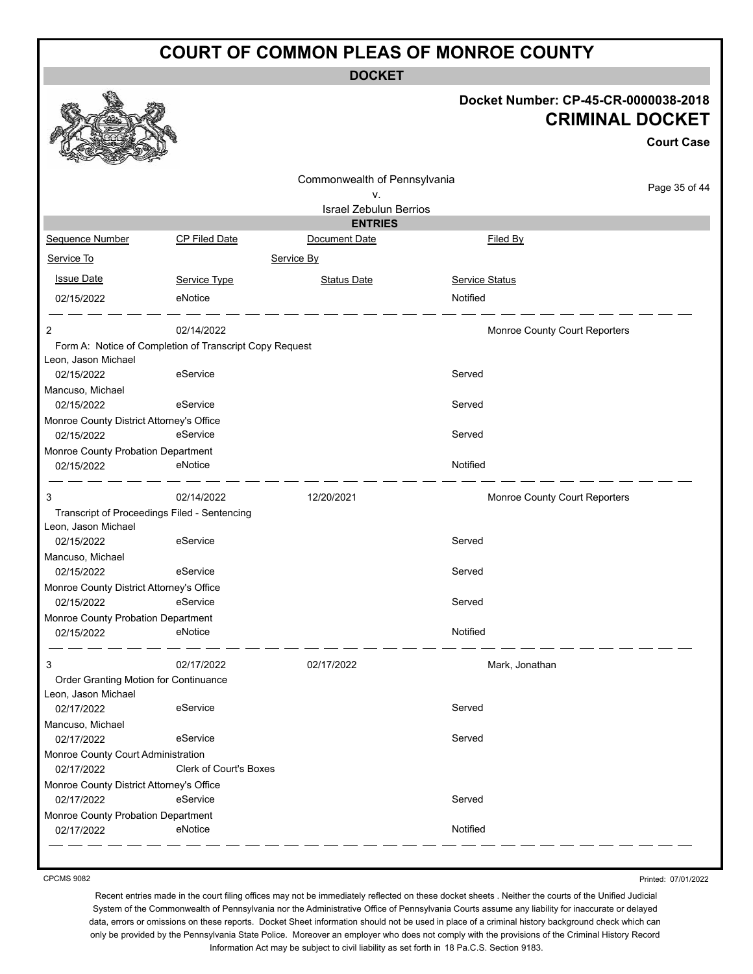**DOCKET**

#### **Docket Number: CP-45-CR-0000038-2018 CRIMINAL DOCKET**

**Court Case**

|                                              |                                                         | Commonwealth of Pennsylvania  |                               |               |
|----------------------------------------------|---------------------------------------------------------|-------------------------------|-------------------------------|---------------|
|                                              |                                                         | v.                            |                               | Page 35 of 44 |
|                                              |                                                         | <b>Israel Zebulun Berrios</b> |                               |               |
|                                              |                                                         | <b>ENTRIES</b>                |                               |               |
| Sequence Number                              | <b>CP Filed Date</b>                                    | Document Date                 | Filed By                      |               |
| Service To                                   |                                                         | Service By                    |                               |               |
| <b>Issue Date</b>                            | Service Type                                            | <b>Status Date</b>            | <b>Service Status</b>         |               |
| 02/15/2022                                   | eNotice                                                 |                               | Notified                      |               |
| 2                                            | 02/14/2022                                              |                               | Monroe County Court Reporters |               |
|                                              | Form A: Notice of Completion of Transcript Copy Request |                               |                               |               |
| Leon, Jason Michael                          |                                                         |                               |                               |               |
| 02/15/2022                                   | eService                                                |                               | Served                        |               |
| Mancuso, Michael                             |                                                         |                               |                               |               |
| 02/15/2022                                   | eService                                                |                               | Served                        |               |
| Monroe County District Attorney's Office     |                                                         |                               |                               |               |
| 02/15/2022                                   | eService                                                |                               | Served                        |               |
| Monroe County Probation Department           |                                                         |                               |                               |               |
| 02/15/2022                                   | eNotice                                                 |                               | Notified                      |               |
| 3                                            | 02/14/2022                                              | 12/20/2021                    | Monroe County Court Reporters |               |
| Transcript of Proceedings Filed - Sentencing |                                                         |                               |                               |               |
| Leon, Jason Michael                          |                                                         |                               |                               |               |
| 02/15/2022                                   | eService                                                |                               | Served                        |               |
| Mancuso, Michael                             |                                                         |                               |                               |               |
| 02/15/2022                                   | eService                                                |                               | Served                        |               |
| Monroe County District Attorney's Office     |                                                         |                               |                               |               |
| 02/15/2022                                   | eService                                                |                               | Served                        |               |
| Monroe County Probation Department           |                                                         |                               |                               |               |
| 02/15/2022                                   | eNotice                                                 |                               | Notified                      |               |
| 3                                            | 02/17/2022                                              | 02/17/2022                    | Mark, Jonathan                |               |
| Order Granting Motion for Continuance        |                                                         |                               |                               |               |
| Leon, Jason Michael                          |                                                         |                               |                               |               |
| 02/17/2022                                   | eService                                                |                               | Served                        |               |
| Mancuso, Michael                             |                                                         |                               |                               |               |
| 02/17/2022                                   | eService                                                |                               | Served                        |               |
| Monroe County Court Administration           |                                                         |                               |                               |               |
| 02/17/2022                                   | Clerk of Court's Boxes                                  |                               |                               |               |
| Monroe County District Attorney's Office     |                                                         |                               |                               |               |
| 02/17/2022                                   | eService                                                |                               | Served                        |               |
| Monroe County Probation Department           |                                                         |                               |                               |               |
| 02/17/2022                                   | eNotice                                                 |                               | Notified                      |               |
|                                              |                                                         |                               |                               |               |

CPCMS 9082

Printed: 07/01/2022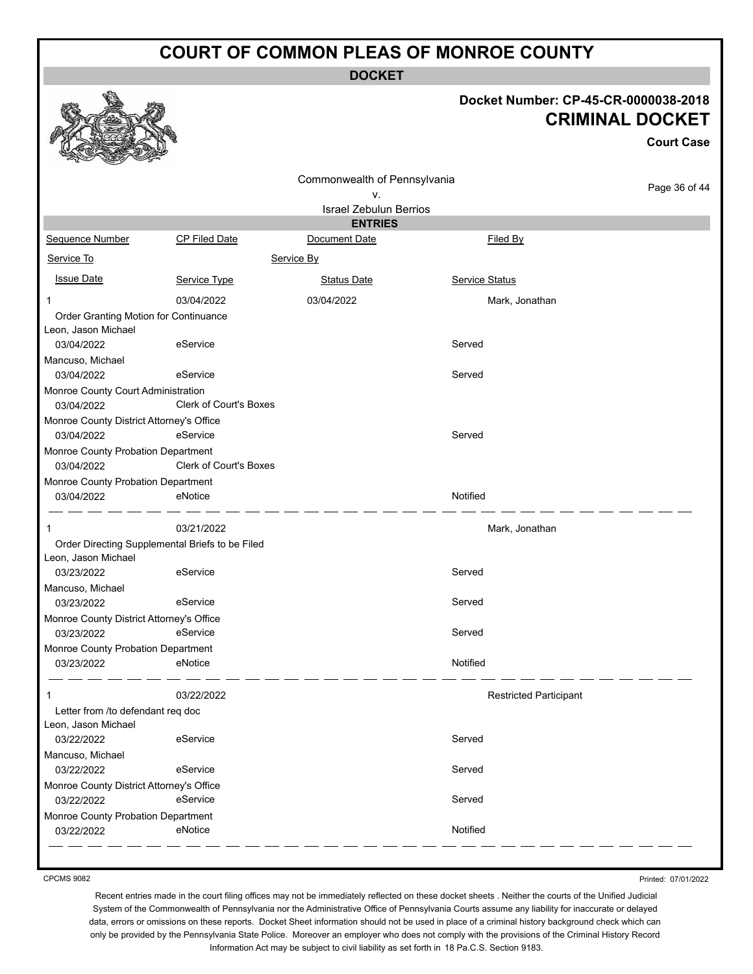**DOCKET**

#### **Docket Number: CP-45-CR-0000038-2018 CRIMINAL DOCKET**

**Court Case**

| RE<br><b>COLOR OF SHIP</b><br><b>Contraction</b> |                                                 |                                    |                               |               |
|--------------------------------------------------|-------------------------------------------------|------------------------------------|-------------------------------|---------------|
|                                                  |                                                 | Commonwealth of Pennsylvania<br>٧. |                               | Page 36 of 44 |
|                                                  |                                                 | <b>Israel Zebulun Berrios</b>      |                               |               |
|                                                  |                                                 | <b>ENTRIES</b>                     |                               |               |
| Sequence Number                                  | CP Filed Date                                   | Document Date                      | Filed By                      |               |
| Service To                                       |                                                 | Service By                         |                               |               |
| <b>Issue Date</b>                                | Service Type                                    | <b>Status Date</b>                 | Service Status                |               |
|                                                  | 03/04/2022                                      | 03/04/2022                         | Mark, Jonathan                |               |
| Order Granting Motion for Continuance            |                                                 |                                    |                               |               |
| Leon, Jason Michael                              |                                                 |                                    |                               |               |
| 03/04/2022                                       | eService                                        |                                    | Served                        |               |
| Mancuso, Michael                                 |                                                 |                                    |                               |               |
| 03/04/2022                                       | eService                                        |                                    | Served                        |               |
| Monroe County Court Administration<br>03/04/2022 | Clerk of Court's Boxes                          |                                    |                               |               |
| Monroe County District Attorney's Office         |                                                 |                                    |                               |               |
| 03/04/2022                                       | eService                                        |                                    | Served                        |               |
| Monroe County Probation Department<br>03/04/2022 | <b>Clerk of Court's Boxes</b>                   |                                    |                               |               |
| Monroe County Probation Department               |                                                 |                                    |                               |               |
| 03/04/2022                                       | eNotice                                         |                                    | Notified                      |               |
| 1                                                | 03/21/2022                                      |                                    | Mark, Jonathan                |               |
|                                                  | Order Directing Supplemental Briefs to be Filed |                                    |                               |               |
| Leon, Jason Michael                              |                                                 |                                    |                               |               |
| 03/23/2022                                       | eService                                        |                                    | Served                        |               |
| Mancuso, Michael                                 |                                                 |                                    |                               |               |
| 03/23/2022                                       | eService                                        |                                    | Served                        |               |
| Monroe County District Attorney's Office         |                                                 |                                    |                               |               |
| 03/23/2022                                       | eService                                        |                                    | Served                        |               |
| Monroe County Probation Department               |                                                 |                                    |                               |               |
| 03/23/2022                                       | eNotice                                         |                                    | Notified                      |               |
|                                                  | 03/22/2022                                      |                                    | <b>Restricted Participant</b> |               |
| Letter from /to defendant req doc                |                                                 |                                    |                               |               |
| Leon, Jason Michael                              |                                                 |                                    |                               |               |
| 03/22/2022                                       | eService                                        |                                    | Served                        |               |
| Mancuso, Michael                                 |                                                 |                                    |                               |               |
| 03/22/2022                                       | eService                                        |                                    | Served                        |               |
| Monroe County District Attorney's Office         |                                                 |                                    |                               |               |
| 03/22/2022                                       | eService                                        |                                    | Served                        |               |
| Monroe County Probation Department               |                                                 |                                    |                               |               |
| 03/22/2022                                       | eNotice                                         |                                    | Notified                      |               |
|                                                  |                                                 |                                    |                               |               |

CPCMS 9082

Printed: 07/01/2022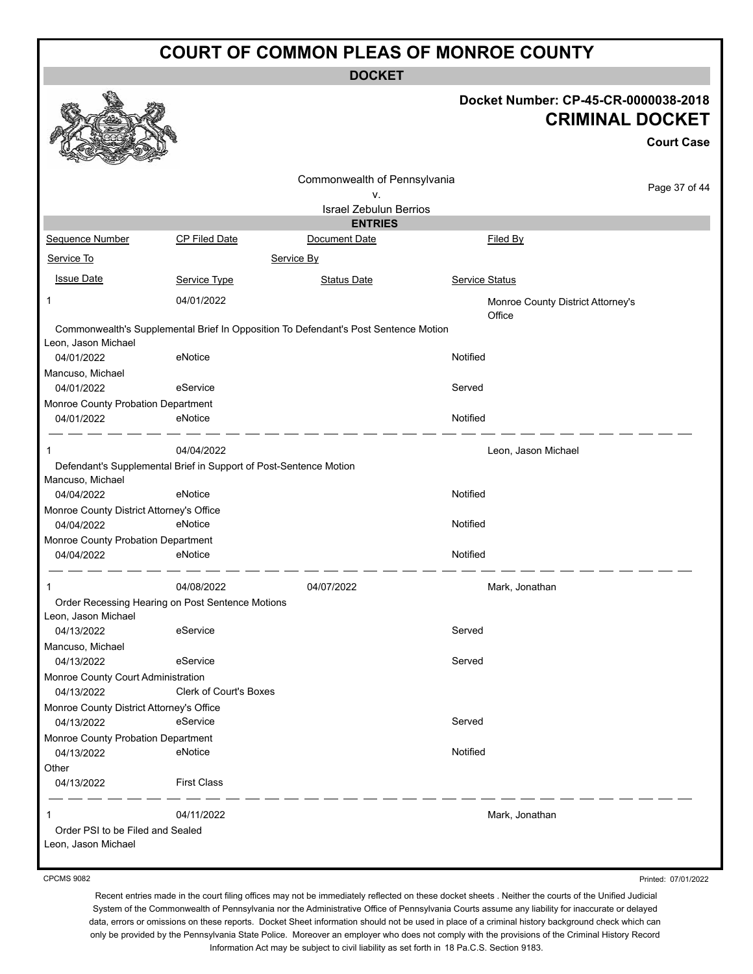**DOCKET**

| Docket Number: CP-45-CR-0000038-2018 |
|--------------------------------------|
| <b>CRIMINAL DOCKET</b>               |

**Court Case**

|                                          |                                                                                     |                               |                                             | <b>Court Case</b> |
|------------------------------------------|-------------------------------------------------------------------------------------|-------------------------------|---------------------------------------------|-------------------|
|                                          |                                                                                     | Commonwealth of Pennsylvania  |                                             | Page 37 of 44     |
|                                          |                                                                                     | ۷.                            |                                             |                   |
|                                          |                                                                                     | <b>Israel Zebulun Berrios</b> |                                             |                   |
|                                          |                                                                                     | <b>ENTRIES</b>                |                                             |                   |
| <b>Sequence Number</b>                   | <b>CP Filed Date</b>                                                                | Document Date                 | Filed By                                    |                   |
| Service To                               |                                                                                     | Service By                    |                                             |                   |
| <b>Issue Date</b>                        | Service Type                                                                        | <b>Status Date</b>            | Service Status                              |                   |
| 1                                        | 04/01/2022                                                                          |                               | Monroe County District Attorney's<br>Office |                   |
| Leon, Jason Michael                      | Commonwealth's Supplemental Brief In Opposition To Defendant's Post Sentence Motion |                               |                                             |                   |
| 04/01/2022                               | eNotice                                                                             |                               | Notified                                    |                   |
| Mancuso, Michael                         |                                                                                     |                               |                                             |                   |
| 04/01/2022                               | eService                                                                            |                               | Served                                      |                   |
| Monroe County Probation Department       |                                                                                     |                               |                                             |                   |
| 04/01/2022                               | eNotice                                                                             |                               | Notified                                    |                   |
| 1                                        | 04/04/2022                                                                          |                               | Leon, Jason Michael                         |                   |
| Mancuso, Michael                         | Defendant's Supplemental Brief in Support of Post-Sentence Motion                   |                               |                                             |                   |
| 04/04/2022                               | eNotice                                                                             |                               | Notified                                    |                   |
| Monroe County District Attorney's Office |                                                                                     |                               |                                             |                   |
| 04/04/2022                               | eNotice                                                                             |                               | Notified                                    |                   |
| Monroe County Probation Department       |                                                                                     |                               |                                             |                   |
| 04/04/2022                               | eNotice                                                                             |                               | Notified                                    |                   |
| 1                                        | 04/08/2022                                                                          | 04/07/2022                    | Mark, Jonathan                              |                   |
| Leon, Jason Michael                      | Order Recessing Hearing on Post Sentence Motions                                    |                               |                                             |                   |
| 04/13/2022                               | eService                                                                            |                               | Served                                      |                   |
| Mancuso, Michael                         |                                                                                     |                               |                                             |                   |
| 04/13/2022                               | eService                                                                            |                               | Served                                      |                   |
| Monroe County Court Administration       |                                                                                     |                               |                                             |                   |
| 04/13/2022                               | <b>Clerk of Court's Boxes</b>                                                       |                               |                                             |                   |
| Monroe County District Attorney's Office |                                                                                     |                               |                                             |                   |
| 04/13/2022                               | eService                                                                            |                               | Served                                      |                   |
| Monroe County Probation Department       |                                                                                     |                               |                                             |                   |
| 04/13/2022                               | eNotice                                                                             |                               | Notified                                    |                   |
| Other                                    |                                                                                     |                               |                                             |                   |
| 04/13/2022                               | <b>First Class</b>                                                                  |                               |                                             |                   |
| 1                                        | 04/11/2022                                                                          |                               | Mark, Jonathan                              |                   |
| Order PSI to be Filed and Sealed         |                                                                                     |                               |                                             |                   |
| Leon, Jason Michael                      |                                                                                     |                               |                                             |                   |

CPCMS 9082

Printed: 07/01/2022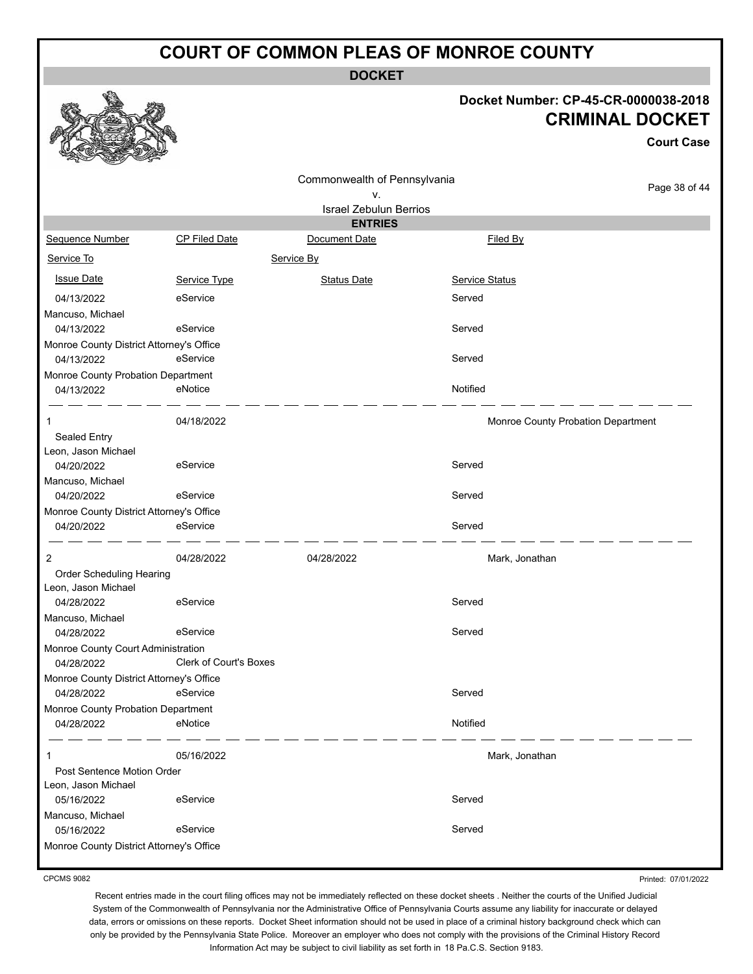**DOCKET**

#### **Docket Number: CP-45-CR-0000038-2018 CRIMINAL DOCKET**

**Court Case**

|                                                        |                               | Commonwealth of Pennsylvania  |                | Page 38 of 44                      |
|--------------------------------------------------------|-------------------------------|-------------------------------|----------------|------------------------------------|
|                                                        |                               | ٧.                            |                |                                    |
|                                                        |                               | <b>Israel Zebulun Berrios</b> |                |                                    |
|                                                        |                               | <b>ENTRIES</b>                |                |                                    |
| Sequence Number                                        | <b>CP Filed Date</b>          | Document Date                 | Filed By       |                                    |
| Service To                                             |                               | Service By                    |                |                                    |
| <b>Issue Date</b>                                      | Service Type                  | <b>Status Date</b>            | Service Status |                                    |
| 04/13/2022                                             | eService                      |                               | Served         |                                    |
| Mancuso, Michael                                       |                               |                               |                |                                    |
| 04/13/2022                                             | eService                      |                               | Served         |                                    |
| Monroe County District Attorney's Office               |                               |                               |                |                                    |
| 04/13/2022                                             | eService                      |                               | Served         |                                    |
| Monroe County Probation Department                     |                               |                               |                |                                    |
| 04/13/2022                                             | eNotice                       |                               | Notified       |                                    |
| 1                                                      | 04/18/2022                    |                               |                | Monroe County Probation Department |
| Sealed Entry                                           |                               |                               |                |                                    |
| Leon, Jason Michael                                    |                               |                               |                |                                    |
| 04/20/2022                                             | eService                      |                               | Served         |                                    |
| Mancuso, Michael                                       |                               |                               |                |                                    |
| 04/20/2022                                             | eService                      |                               | Served         |                                    |
| Monroe County District Attorney's Office               |                               |                               |                |                                    |
| 04/20/2022                                             | eService                      |                               | Served         |                                    |
| $\overline{c}$                                         | 04/28/2022                    | 04/28/2022                    | Mark, Jonathan |                                    |
| Order Scheduling Hearing                               |                               |                               |                |                                    |
| Leon, Jason Michael                                    |                               |                               |                |                                    |
| 04/28/2022                                             | eService                      |                               | Served         |                                    |
| Mancuso, Michael                                       |                               |                               |                |                                    |
| 04/28/2022                                             | eService                      |                               | Served         |                                    |
| Monroe County Court Administration                     | <b>Clerk of Court's Boxes</b> |                               |                |                                    |
| 04/28/2022                                             |                               |                               |                |                                    |
| Monroe County District Attorney's Office<br>04/28/2022 | eService                      |                               | Served         |                                    |
| Monroe County Probation Department                     |                               |                               |                |                                    |
| 04/28/2022                                             | eNotice                       |                               | Notified       |                                    |
|                                                        |                               |                               |                |                                    |
| 1                                                      | 05/16/2022                    |                               | Mark, Jonathan |                                    |
| Post Sentence Motion Order                             |                               |                               |                |                                    |
| Leon, Jason Michael                                    |                               |                               |                |                                    |
| 05/16/2022                                             | eService                      |                               | Served         |                                    |
| Mancuso, Michael                                       |                               |                               |                |                                    |
| 05/16/2022                                             | eService                      |                               | Served         |                                    |
| Monroe County District Attorney's Office               |                               |                               |                |                                    |

CPCMS 9082

Printed: 07/01/2022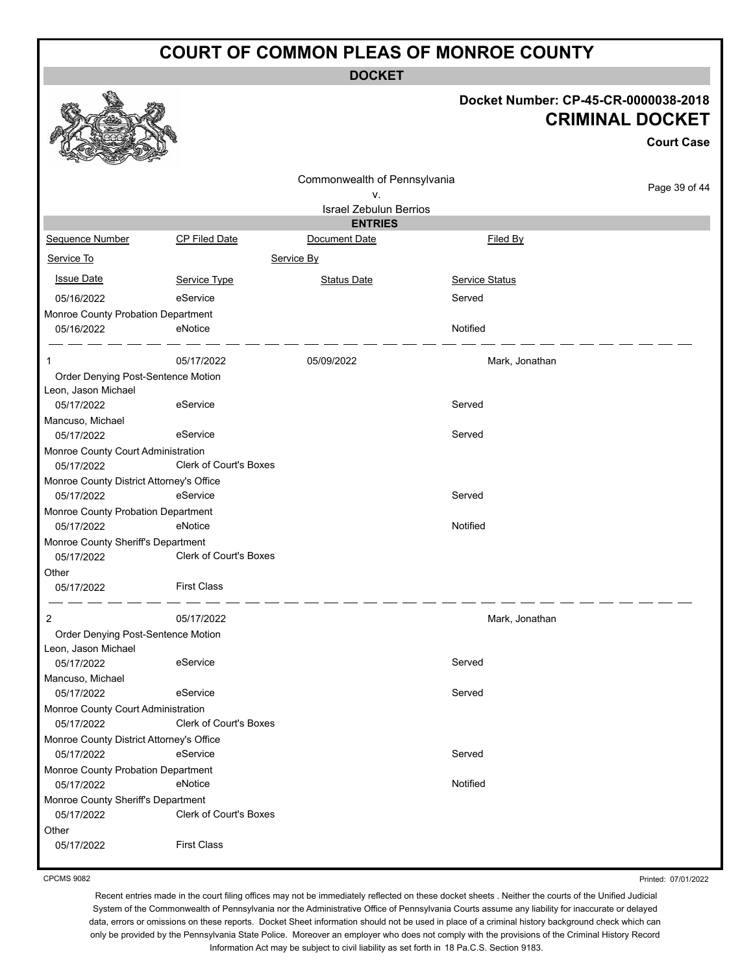**DOCKET**

#### **Docket Number: CP-45-CR-0000038-2018 CRIMINAL DOCKET**

|                                          |                               |                               |                | <b>Court Case</b> |
|------------------------------------------|-------------------------------|-------------------------------|----------------|-------------------|
|                                          |                               | Commonwealth of Pennsylvania  |                |                   |
|                                          |                               | ۷.                            |                | Page 39 of 44     |
|                                          |                               | <b>Israel Zebulun Berrios</b> |                |                   |
|                                          |                               | <b>ENTRIES</b>                |                |                   |
| Sequence Number                          | CP Filed Date                 | Document Date                 | Filed By       |                   |
| Service To                               |                               | Service By                    |                |                   |
| <b>Issue Date</b>                        | Service Type                  | <b>Status Date</b>            | Service Status |                   |
| 05/16/2022                               | eService                      |                               | Served         |                   |
| Monroe County Probation Department       |                               |                               |                |                   |
| 05/16/2022                               | eNotice                       |                               | Notified       |                   |
| 1                                        | 05/17/2022                    | 05/09/2022                    | Mark, Jonathan |                   |
| Order Denying Post-Sentence Motion       |                               |                               |                |                   |
| Leon, Jason Michael                      |                               |                               |                |                   |
| 05/17/2022                               | eService                      |                               | Served         |                   |
| Mancuso, Michael                         |                               |                               |                |                   |
| 05/17/2022                               | eService                      |                               | Served         |                   |
| Monroe County Court Administration       |                               |                               |                |                   |
| 05/17/2022                               | <b>Clerk of Court's Boxes</b> |                               |                |                   |
| Monroe County District Attorney's Office |                               |                               |                |                   |
| 05/17/2022                               | eService                      |                               | Served         |                   |
| Monroe County Probation Department       |                               |                               |                |                   |
| 05/17/2022                               | eNotice                       |                               | Notified       |                   |
| Monroe County Sheriff's Department       |                               |                               |                |                   |
| 05/17/2022                               | Clerk of Court's Boxes        |                               |                |                   |
| Other                                    |                               |                               |                |                   |
| 05/17/2022                               | <b>First Class</b>            |                               |                |                   |
|                                          | 05/17/2022                    |                               |                |                   |
| 2                                        |                               |                               | Mark, Jonathan |                   |
| Order Denying Post-Sentence Motion       |                               |                               |                |                   |
| Leon, Jason Michael<br>05/17/2022        | eService                      |                               | Served         |                   |
|                                          |                               |                               |                |                   |
| Mancuso, Michael<br>05/17/2022           | eService                      |                               | Served         |                   |
| Monroe County Court Administration       |                               |                               |                |                   |
| 05/17/2022                               | <b>Clerk of Court's Boxes</b> |                               |                |                   |
| Monroe County District Attorney's Office |                               |                               |                |                   |
| 05/17/2022                               | eService                      |                               | Served         |                   |
| Monroe County Probation Department       |                               |                               |                |                   |
| 05/17/2022                               | eNotice                       |                               | Notified       |                   |
| Monroe County Sheriff's Department       |                               |                               |                |                   |
| 05/17/2022                               | Clerk of Court's Boxes        |                               |                |                   |
| Other                                    |                               |                               |                |                   |
| 05/17/2022                               | <b>First Class</b>            |                               |                |                   |
|                                          |                               |                               |                |                   |

Printed: 07/01/2022

Recent entries made in the court filing offices may not be immediately reflected on these docket sheets . Neither the courts of the Unified Judicial System of the Commonwealth of Pennsylvania nor the Administrative Office of Pennsylvania Courts assume any liability for inaccurate or delayed data, errors or omissions on these reports. Docket Sheet information should not be used in place of a criminal history background check which can only be provided by the Pennsylvania State Police. Moreover an employer who does not comply with the provisions of the Criminal History Record Information Act may be subject to civil liability as set forth in 18 Pa.C.S. Section 9183.



CPCMS 9082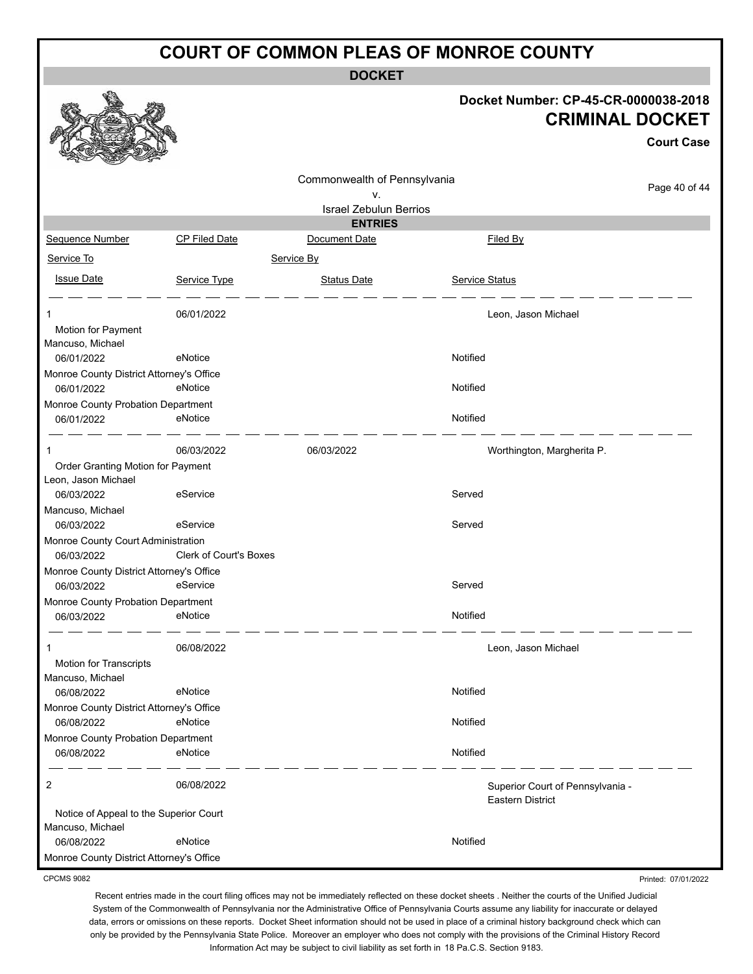**DOCKET**

| Docket Number: CP-45-CR-0000038-2018 |
|--------------------------------------|
| <b>CRIMINAL DOCKET</b>               |
| <b>Court Case</b>                    |
|                                      |

Printed: 07/01/2022

|                                                        |                        | Commonwealth of Pennsylvania<br>v. |                                                      | Page 40 of 44 |
|--------------------------------------------------------|------------------------|------------------------------------|------------------------------------------------------|---------------|
|                                                        |                        | <b>Israel Zebulun Berrios</b>      |                                                      |               |
| Sequence Number                                        | CP Filed Date          | <b>ENTRIES</b><br>Document Date    | Filed By                                             |               |
|                                                        |                        |                                    |                                                      |               |
| Service To                                             |                        | Service By                         |                                                      |               |
| <b>Issue Date</b>                                      | Service Type           | <b>Status Date</b>                 | <b>Service Status</b>                                |               |
| 1                                                      | 06/01/2022             |                                    | Leon, Jason Michael                                  |               |
| Motion for Payment<br>Mancuso, Michael                 |                        |                                    |                                                      |               |
| 06/01/2022                                             | eNotice                |                                    | Notified                                             |               |
| Monroe County District Attorney's Office               |                        |                                    |                                                      |               |
| 06/01/2022                                             | eNotice                |                                    | Notified                                             |               |
| Monroe County Probation Department                     |                        |                                    |                                                      |               |
| 06/01/2022                                             | eNotice                |                                    | Notified                                             |               |
| 1                                                      | 06/03/2022             | 06/03/2022                         | Worthington, Margherita P.                           |               |
| Order Granting Motion for Payment                      |                        |                                    |                                                      |               |
| Leon, Jason Michael                                    |                        |                                    |                                                      |               |
| 06/03/2022                                             | eService               |                                    | Served                                               |               |
| Mancuso, Michael<br>06/03/2022                         | eService               |                                    | Served                                               |               |
| Monroe County Court Administration                     |                        |                                    |                                                      |               |
| 06/03/2022                                             | Clerk of Court's Boxes |                                    |                                                      |               |
| Monroe County District Attorney's Office               |                        |                                    |                                                      |               |
| 06/03/2022                                             | eService               |                                    | Served                                               |               |
| Monroe County Probation Department                     |                        |                                    |                                                      |               |
| 06/03/2022                                             | eNotice                |                                    | Notified                                             |               |
| 1                                                      | 06/08/2022             |                                    | Leon, Jason Michael                                  |               |
| Motion for Transcripts                                 |                        |                                    |                                                      |               |
| Mancuso, Michael                                       |                        |                                    |                                                      |               |
| 06/08/2022                                             | eNotice                |                                    | Notified                                             |               |
| Monroe County District Attorney's Office<br>06/08/2022 | eNotice                |                                    | Notified                                             |               |
| Monroe County Probation Department                     |                        |                                    |                                                      |               |
| 06/08/2022                                             | eNotice                |                                    | Notified                                             |               |
| 2                                                      | 06/08/2022             |                                    | Superior Court of Pennsylvania -<br>Eastern District |               |
| Notice of Appeal to the Superior Court                 |                        |                                    |                                                      |               |
| Mancuso, Michael                                       |                        |                                    |                                                      |               |
| 06/08/2022                                             | eNotice                |                                    | Notified                                             |               |
| Monroe County District Attorney's Office               |                        |                                    |                                                      |               |

CPCMS 9082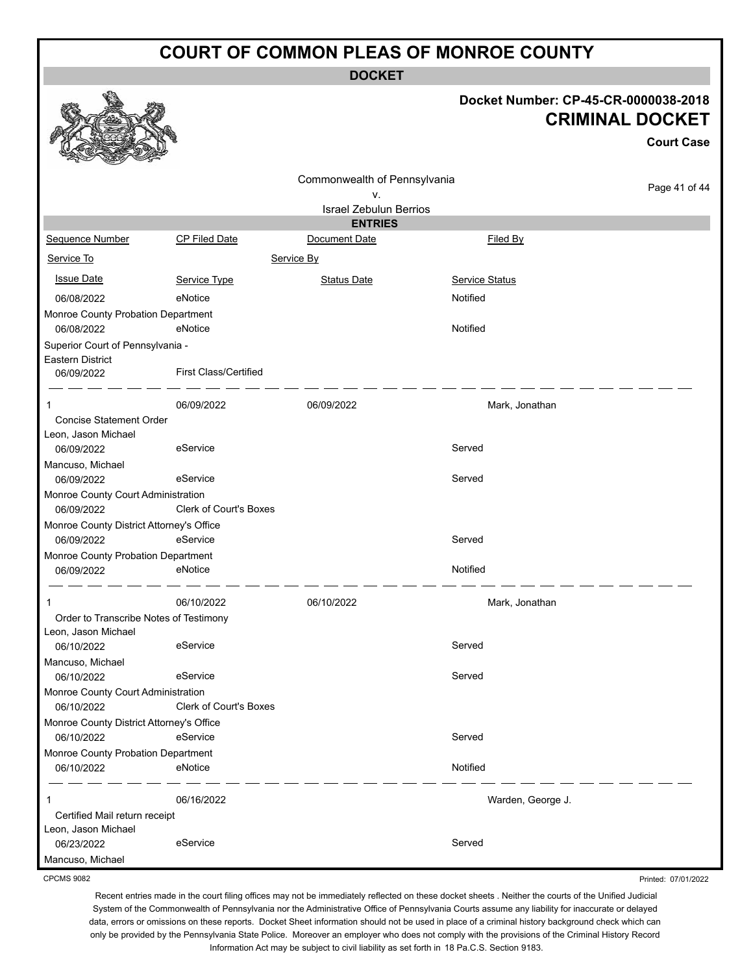**DOCKET**

#### **Docket Number: CP-45-CR-0000038-2018 CRIMINAL DOCKET**

**Court Case**

Printed: 07/01/2022

|                                          |                               |                               |                       | <b>Court Case</b> |
|------------------------------------------|-------------------------------|-------------------------------|-----------------------|-------------------|
|                                          |                               | Commonwealth of Pennsylvania  |                       |                   |
|                                          |                               | ۷.                            |                       | Page 41 of 44     |
|                                          |                               | <b>Israel Zebulun Berrios</b> |                       |                   |
|                                          |                               | <b>ENTRIES</b>                |                       |                   |
| Sequence Number                          | CP Filed Date                 | Document Date                 | Filed By              |                   |
| Service To                               |                               | Service By                    |                       |                   |
| <b>Issue Date</b>                        | Service Type                  | <b>Status Date</b>            | <b>Service Status</b> |                   |
| 06/08/2022                               | eNotice                       |                               | Notified              |                   |
| Monroe County Probation Department       |                               |                               |                       |                   |
| 06/08/2022                               | eNotice                       |                               | Notified              |                   |
| Superior Court of Pennsylvania -         |                               |                               |                       |                   |
| Eastern District<br>06/09/2022           | <b>First Class/Certified</b>  |                               |                       |                   |
| 1                                        | 06/09/2022                    | 06/09/2022                    | Mark, Jonathan        |                   |
| Concise Statement Order                  |                               |                               |                       |                   |
| Leon, Jason Michael                      |                               |                               |                       |                   |
| 06/09/2022                               | eService                      |                               | Served                |                   |
| Mancuso, Michael                         |                               |                               |                       |                   |
| 06/09/2022                               | eService                      |                               | Served                |                   |
| Monroe County Court Administration       |                               |                               |                       |                   |
| 06/09/2022                               | <b>Clerk of Court's Boxes</b> |                               |                       |                   |
| Monroe County District Attorney's Office |                               |                               |                       |                   |
| 06/09/2022                               | eService                      |                               | Served                |                   |
| Monroe County Probation Department       |                               |                               |                       |                   |
| 06/09/2022                               | eNotice                       |                               | Notified              |                   |
| 1                                        | 06/10/2022                    | 06/10/2022                    | Mark, Jonathan        |                   |
| Order to Transcribe Notes of Testimony   |                               |                               |                       |                   |
| Leon, Jason Michael                      |                               |                               |                       |                   |
| 06/10/2022                               | eService                      |                               | Served                |                   |
| Mancuso, Michael                         |                               |                               |                       |                   |
| 06/10/2022                               | eService                      |                               | Served                |                   |
| Monroe County Court Administration       |                               |                               |                       |                   |
| 06/10/2022                               | <b>Clerk of Court's Boxes</b> |                               |                       |                   |
| Monroe County District Attorney's Office |                               |                               |                       |                   |
| 06/10/2022                               | eService                      |                               | Served                |                   |
| Monroe County Probation Department       |                               |                               |                       |                   |
| 06/10/2022                               | eNotice                       |                               | Notified              |                   |
| 1                                        | 06/16/2022                    |                               | Warden, George J.     |                   |
| Certified Mail return receipt            |                               |                               |                       |                   |
| Leon, Jason Michael                      |                               |                               |                       |                   |
| 06/23/2022                               | eService                      |                               | Served                |                   |
| Mancuso, Michael                         |                               |                               |                       |                   |

CPCMS 9082

Recent entries made in the court filing offices may not be immediately reflected on these docket sheets . Neither the courts of the Unified Judicial System of the Commonwealth of Pennsylvania nor the Administrative Office of Pennsylvania Courts assume any liability for inaccurate or delayed data, errors or omissions on these reports. Docket Sheet information should not be used in place of a criminal history background check which can only be provided by the Pennsylvania State Police. Moreover an employer who does not comply with the provisions of the Criminal History Record

Information Act may be subject to civil liability as set forth in 18 Pa.C.S. Section 9183.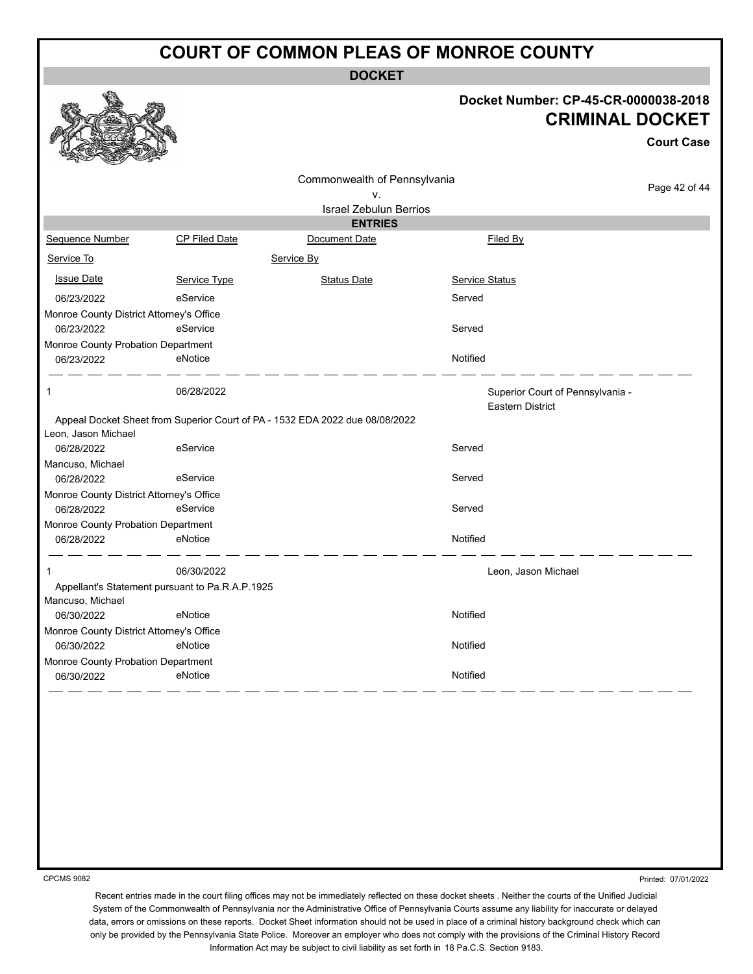**DOCKET**

#### **Docket Number: CP-45-CR-0000038-2018 CRIMINAL DOCKET**

**Court Case**

Page 42 of 44 Commonwealth of Pennsylvania v. Israel Zebulun Berrios **ENTRIES** Sequence Number CP Filed Date Document Date **Document Date** Filed By Service To Service By **Issue Date Service Type** Service Type Status Date Service Status Date Service Status Service Status Date Service Status 06/23/2022 eService entertainment of the Served Monroe County District Attorney's Office 06/23/2022 eService Served Monroe County Probation Department 06/23/2022 eNotice Notified 1 06/28/2022 Superior Court of Pennsylvania - Eastern District Appeal Docket Sheet from Superior Court of PA - 1532 EDA 2022 due 08/08/2022 Leon, Jason Michael 06/28/2022 eService Served Mancuso, Michael 06/28/2022 eService Served Monroe County District Attorney's Office 06/28/2022 eService exercises and the Served Monroe County Probation Department 06/28/2022 eNotice Notified 1 06/30/2022 Leon, Jason Michael Appellant's Statement pursuant to Pa.R.A.P.1925 Mancuso, Michael 06/30/2022 eNotice Notified Monroe County District Attorney's Office 06/30/2022 eNotice Notified Monroe County Probation Department 06/30/2022 eNotice Notified

CPCMS 9082

Printed: 07/01/2022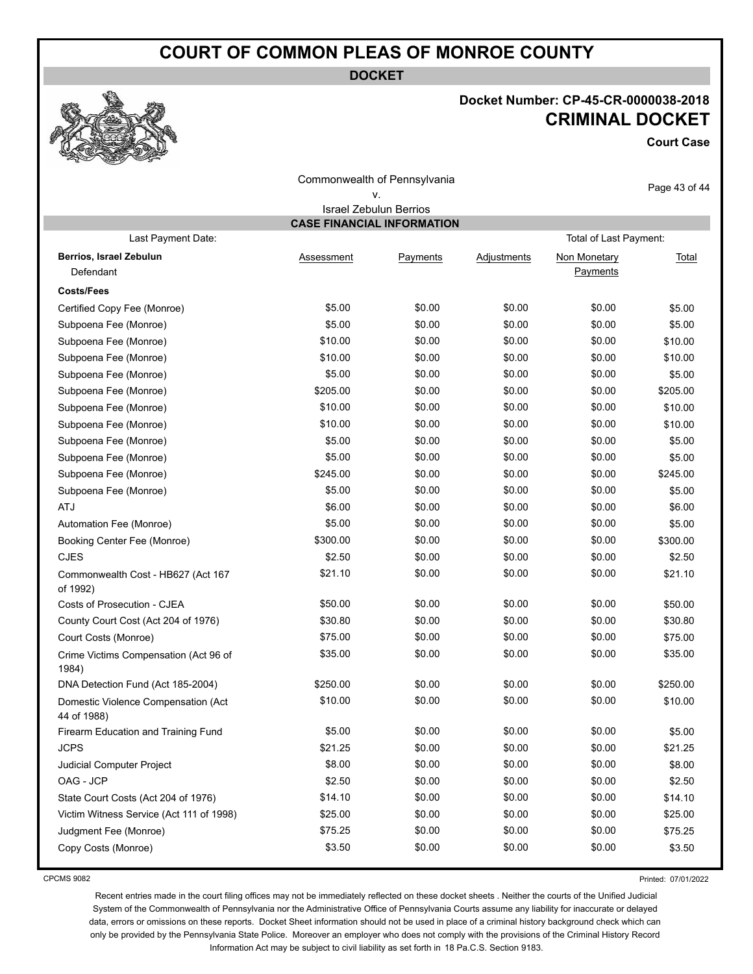**DOCKET**

### **Docket Number: CP-45-CR-0000038-2018 CRIMINAL DOCKET**

**Court Case**

| Commonwealth of Pennsylvania                       |                                   |                                     |             |                          | Page 43 of 44 |  |  |  |
|----------------------------------------------------|-----------------------------------|-------------------------------------|-------------|--------------------------|---------------|--|--|--|
|                                                    |                                   | ٧.<br><b>Israel Zebulun Berrios</b> |             |                          |               |  |  |  |
|                                                    | <b>CASE FINANCIAL INFORMATION</b> |                                     |             |                          |               |  |  |  |
| Last Payment Date:                                 |                                   |                                     |             | Total of Last Payment:   |               |  |  |  |
| Berrios, Israel Zebulun<br>Defendant               | Assessment                        | Payments                            | Adjustments | Non Monetary<br>Payments | Total         |  |  |  |
| <b>Costs/Fees</b>                                  |                                   |                                     |             |                          |               |  |  |  |
| Certified Copy Fee (Monroe)                        | \$5.00                            | \$0.00                              | \$0.00      | \$0.00                   | \$5.00        |  |  |  |
| Subpoena Fee (Monroe)                              | \$5.00                            | \$0.00                              | \$0.00      | \$0.00                   | \$5.00        |  |  |  |
| Subpoena Fee (Monroe)                              | \$10.00                           | \$0.00                              | \$0.00      | \$0.00                   | \$10.00       |  |  |  |
| Subpoena Fee (Monroe)                              | \$10.00                           | \$0.00                              | \$0.00      | \$0.00                   | \$10.00       |  |  |  |
| Subpoena Fee (Monroe)                              | \$5.00                            | \$0.00                              | \$0.00      | \$0.00                   | \$5.00        |  |  |  |
| Subpoena Fee (Monroe)                              | \$205.00                          | \$0.00                              | \$0.00      | \$0.00                   | \$205.00      |  |  |  |
| Subpoena Fee (Monroe)                              | \$10.00                           | \$0.00                              | \$0.00      | \$0.00                   | \$10.00       |  |  |  |
| Subpoena Fee (Monroe)                              | \$10.00                           | \$0.00                              | \$0.00      | \$0.00                   | \$10.00       |  |  |  |
| Subpoena Fee (Monroe)                              | \$5.00                            | \$0.00                              | \$0.00      | \$0.00                   | \$5.00        |  |  |  |
| Subpoena Fee (Monroe)                              | \$5.00                            | \$0.00                              | \$0.00      | \$0.00                   | \$5.00        |  |  |  |
| Subpoena Fee (Monroe)                              | \$245.00                          | \$0.00                              | \$0.00      | \$0.00                   | \$245.00      |  |  |  |
| Subpoena Fee (Monroe)                              | \$5.00                            | \$0.00                              | \$0.00      | \$0.00                   | \$5.00        |  |  |  |
| <b>ATJ</b>                                         | \$6.00                            | \$0.00                              | \$0.00      | \$0.00                   | \$6.00        |  |  |  |
| Automation Fee (Monroe)                            | \$5.00                            | \$0.00                              | \$0.00      | \$0.00                   | \$5.00        |  |  |  |
| Booking Center Fee (Monroe)                        | \$300.00                          | \$0.00                              | \$0.00      | \$0.00                   | \$300.00      |  |  |  |
| <b>CJES</b>                                        | \$2.50                            | \$0.00                              | \$0.00      | \$0.00                   | \$2.50        |  |  |  |
| Commonwealth Cost - HB627 (Act 167<br>of 1992)     | \$21.10                           | \$0.00                              | \$0.00      | \$0.00                   | \$21.10       |  |  |  |
| Costs of Prosecution - CJEA                        | \$50.00                           | \$0.00                              | \$0.00      | \$0.00                   | \$50.00       |  |  |  |
| County Court Cost (Act 204 of 1976)                | \$30.80                           | \$0.00                              | \$0.00      | \$0.00                   | \$30.80       |  |  |  |
| Court Costs (Monroe)                               | \$75.00                           | \$0.00                              | \$0.00      | \$0.00                   | \$75.00       |  |  |  |
| Crime Victims Compensation (Act 96 of<br>1984)     | \$35.00                           | \$0.00                              | \$0.00      | \$0.00                   | \$35.00       |  |  |  |
| DNA Detection Fund (Act 185-2004)                  | \$250.00                          | \$0.00                              | \$0.00      | \$0.00                   | \$250.00      |  |  |  |
| Domestic Violence Compensation (Act<br>44 of 1988) | \$10.00                           | \$0.00                              | \$0.00      | \$0.00                   | \$10.00       |  |  |  |
| Firearm Education and Training Fund                | \$5.00                            | \$0.00                              | \$0.00      | \$0.00                   | \$5.00        |  |  |  |
| <b>JCPS</b>                                        | \$21.25                           | \$0.00                              | \$0.00      | \$0.00                   | \$21.25       |  |  |  |
| Judicial Computer Project                          | \$8.00                            | \$0.00                              | \$0.00      | \$0.00                   | \$8.00        |  |  |  |
| OAG - JCP                                          | \$2.50                            | \$0.00                              | \$0.00      | \$0.00                   | \$2.50        |  |  |  |
| State Court Costs (Act 204 of 1976)                | \$14.10                           | \$0.00                              | \$0.00      | \$0.00                   | \$14.10       |  |  |  |
| Victim Witness Service (Act 111 of 1998)           | \$25.00                           | \$0.00                              | \$0.00      | \$0.00                   | \$25.00       |  |  |  |
| Judgment Fee (Monroe)                              | \$75.25                           | \$0.00                              | \$0.00      | \$0.00                   | \$75.25       |  |  |  |
| Copy Costs (Monroe)                                | \$3.50                            | \$0.00                              | \$0.00      | \$0.00                   | \$3.50        |  |  |  |

CPCMS 9082

Printed: 07/01/2022